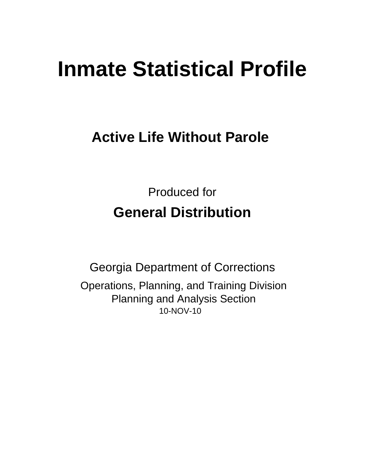# **Inmate Statistical Profile**

# **Active Life Without Parole**

**Produced for General Distribution** 

**Georgia Department of Corrections** Operations, Planning, and Training Division **Planning and Analysis Section** 10-NOV-10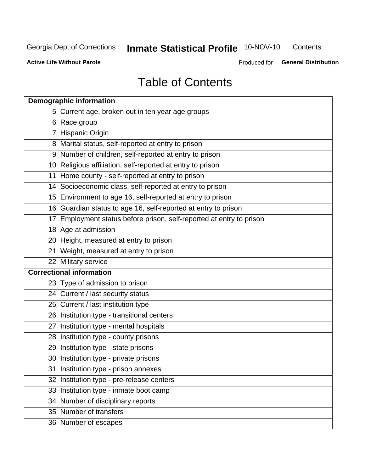# **Inmate Statistical Profile 10-NOV-10**

Contents

**Active Life Without Parole** 

Produced for General Distribution

# **Table of Contents**

|    | <b>Demographic information</b>                                       |
|----|----------------------------------------------------------------------|
|    | 5 Current age, broken out in ten year age groups                     |
|    | 6 Race group                                                         |
|    | 7 Hispanic Origin                                                    |
|    | 8 Marital status, self-reported at entry to prison                   |
|    | 9 Number of children, self-reported at entry to prison               |
|    | 10 Religious affiliation, self-reported at entry to prison           |
|    | 11 Home county - self-reported at entry to prison                    |
|    | 14 Socioeconomic class, self-reported at entry to prison             |
|    | 15 Environment to age 16, self-reported at entry to prison           |
|    | 16 Guardian status to age 16, self-reported at entry to prison       |
|    | 17 Employment status before prison, self-reported at entry to prison |
|    | 18 Age at admission                                                  |
|    | 20 Height, measured at entry to prison                               |
|    | 21 Weight, measured at entry to prison                               |
|    | 22 Military service                                                  |
|    | <b>Correctional information</b>                                      |
|    | 23 Type of admission to prison                                       |
|    | 24 Current / last security status                                    |
|    | 25 Current / last institution type                                   |
|    | 26 Institution type - transitional centers                           |
| 27 | Institution type - mental hospitals                                  |
|    | 28 Institution type - county prisons                                 |
|    | 29 Institution type - state prisons                                  |
|    | 30 Institution type - private prisons                                |
|    | 31 Institution type - prison annexes                                 |
|    | 32 Institution type - pre-release centers                            |
|    | 33 Institution type - inmate boot camp                               |
|    | 34 Number of disciplinary reports                                    |
|    | 35 Number of transfers                                               |
|    | 36 Number of escapes                                                 |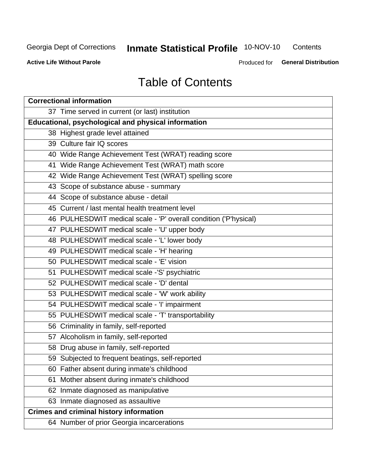# **Inmate Statistical Profile 10-NOV-10**

Contents

**Active Life Without Parole** 

Produced for General Distribution

# **Table of Contents**

| <b>Correctional information</b>                                  |  |  |  |  |  |  |  |
|------------------------------------------------------------------|--|--|--|--|--|--|--|
| 37 Time served in current (or last) institution                  |  |  |  |  |  |  |  |
| Educational, psychological and physical information              |  |  |  |  |  |  |  |
| 38 Highest grade level attained                                  |  |  |  |  |  |  |  |
| 39 Culture fair IQ scores                                        |  |  |  |  |  |  |  |
| 40 Wide Range Achievement Test (WRAT) reading score              |  |  |  |  |  |  |  |
| 41 Wide Range Achievement Test (WRAT) math score                 |  |  |  |  |  |  |  |
| 42 Wide Range Achievement Test (WRAT) spelling score             |  |  |  |  |  |  |  |
| 43 Scope of substance abuse - summary                            |  |  |  |  |  |  |  |
| 44 Scope of substance abuse - detail                             |  |  |  |  |  |  |  |
| 45 Current / last mental health treatment level                  |  |  |  |  |  |  |  |
| 46 PULHESDWIT medical scale - 'P' overall condition ('P'hysical) |  |  |  |  |  |  |  |
| 47 PULHESDWIT medical scale - 'U' upper body                     |  |  |  |  |  |  |  |
| 48 PULHESDWIT medical scale - 'L' lower body                     |  |  |  |  |  |  |  |
| 49 PULHESDWIT medical scale - 'H' hearing                        |  |  |  |  |  |  |  |
| 50 PULHESDWIT medical scale - 'E' vision                         |  |  |  |  |  |  |  |
| 51 PULHESDWIT medical scale -'S' psychiatric                     |  |  |  |  |  |  |  |
| 52 PULHESDWIT medical scale - 'D' dental                         |  |  |  |  |  |  |  |
| 53 PULHESDWIT medical scale - 'W' work ability                   |  |  |  |  |  |  |  |
| 54 PULHESDWIT medical scale - 'I' impairment                     |  |  |  |  |  |  |  |
| 55 PULHESDWIT medical scale - 'T' transportability               |  |  |  |  |  |  |  |
| 56 Criminality in family, self-reported                          |  |  |  |  |  |  |  |
| 57 Alcoholism in family, self-reported                           |  |  |  |  |  |  |  |
| 58 Drug abuse in family, self-reported                           |  |  |  |  |  |  |  |
| 59 Subjected to frequent beatings, self-reported                 |  |  |  |  |  |  |  |
| 60 Father absent during inmate's childhood                       |  |  |  |  |  |  |  |
| Mother absent during inmate's childhood<br>61                    |  |  |  |  |  |  |  |
| 62 Inmate diagnosed as manipulative                              |  |  |  |  |  |  |  |
| 63 Inmate diagnosed as assaultive                                |  |  |  |  |  |  |  |
| <b>Crimes and criminal history information</b>                   |  |  |  |  |  |  |  |
| 64 Number of prior Georgia incarcerations                        |  |  |  |  |  |  |  |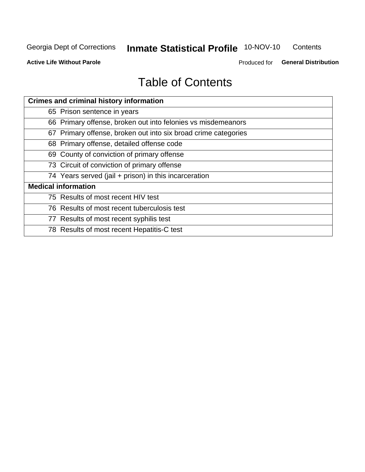# **Inmate Statistical Profile 10-NOV-10**

Contents

**Active Life Without Parole** 

Produced for General Distribution

# **Table of Contents**

| <b>Crimes and criminal history information</b>                 |
|----------------------------------------------------------------|
| 65 Prison sentence in years                                    |
| 66 Primary offense, broken out into felonies vs misdemeanors   |
| 67 Primary offense, broken out into six broad crime categories |
| 68 Primary offense, detailed offense code                      |
| 69 County of conviction of primary offense                     |
| 73 Circuit of conviction of primary offense                    |
| 74 Years served (jail + prison) in this incarceration          |
| <b>Medical information</b>                                     |
| 75 Results of most recent HIV test                             |
| 76 Results of most recent tuberculosis test                    |
| 77 Results of most recent syphilis test                        |
| 78 Results of most recent Hepatitis-C test                     |
|                                                                |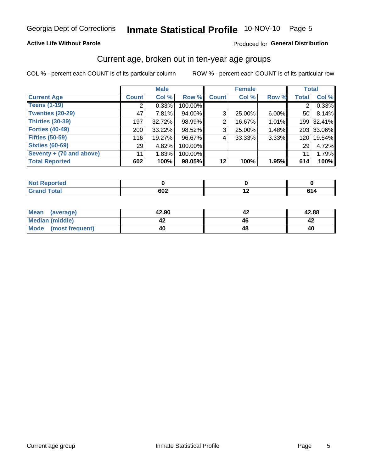# Inmate Statistical Profile 10-NOV-10 Page 5

### **Active Life Without Parole**

### Produced for General Distribution

### Current age, broken out in ten-year age groups

COL % - percent each COUNT is of its particular column

|                          |              | <b>Male</b> |         |                | <b>Female</b> |          | <b>Total</b>     |            |
|--------------------------|--------------|-------------|---------|----------------|---------------|----------|------------------|------------|
| <b>Current Age</b>       | <b>Count</b> | Col %       | Row %   | <b>Count</b>   | Col %         | Row %    | <b>Total</b>     | Col %      |
| <b>Teens (1-19)</b>      | 2            | 0.33%       | 100.00% |                |               |          | $\overline{2}$   | 0.33%      |
| <b>Twenties (20-29)</b>  | 47           | 7.81%       | 94.00%  | 3 <sub>1</sub> | 25.00%        | $6.00\%$ | 50 <sub>1</sub>  | 8.14%      |
| Thirties (30-39)         | 197          | 32.72%      | 98.99%  | 2              | 16.67%        | 1.01%    |                  | 199 32.41% |
| <b>Forties (40-49)</b>   | 200          | $33.22\%$   | 98.52%  | 3              | 25.00%        | 1.48%    |                  | 203 33.06% |
| <b>Fifties (50-59)</b>   | 116          | 19.27%      | 96.67%  | 4              | 33.33%        | 3.33%    | 120 <sub>1</sub> | 19.54%     |
| <b>Sixties (60-69)</b>   | 29           | 4.82%       | 100.00% |                |               |          | 291              | 4.72%      |
| Seventy + (70 and above) | 11           | 1.83%       | 100.00% |                |               |          | 11               | 1.79%      |
| <b>Total Reported</b>    | 602          | 100%        | 98.05%  | 12             | 100%          | 1.95%    | 614              | 100%       |

| <b>A. A. A.</b>  |                   |                          |       |
|------------------|-------------------|--------------------------|-------|
| Cofet.<br>______ | <b>COO</b><br>0UZ | $\overline{\phantom{0}}$ | - - - |

| Mean<br>(average)    | 42.90 | 42.88 |
|----------------------|-------|-------|
| Median (middle)      |       |       |
| Mode (most frequent) | 40    | 40    |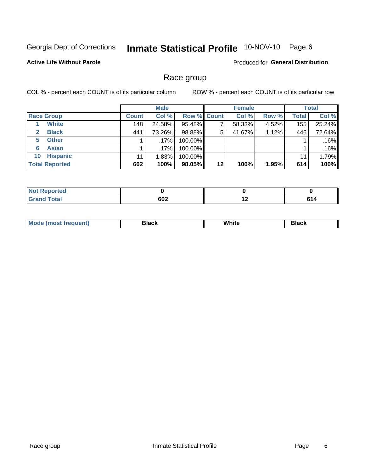# Inmate Statistical Profile 10-NOV-10 Page 6

**Active Life Without Parole** 

Produced for General Distribution

### Race group

COL % - percent each COUNT is of its particular column

|                              |              | <b>Male</b> |                    |    | <b>Female</b> |       |              | <b>Total</b> |
|------------------------------|--------------|-------------|--------------------|----|---------------|-------|--------------|--------------|
| <b>Race Group</b>            | <b>Count</b> | Col %       | <b>Row % Count</b> |    | Col %         | Row % | <b>Total</b> | Col %        |
| <b>White</b>                 | 148          | 24.58%      | 95.48%             |    | 58.33%        | 4.52% | 155          | 25.24%       |
| <b>Black</b><br>$\mathbf{2}$ | 441          | 73.26%      | 98.88%             | 5  | 41.67%        | 1.12% | 446          | 72.64%       |
| <b>Other</b><br>5.           |              | .17%        | 100.00%            |    |               |       |              | .16%         |
| <b>Asian</b><br>6            |              | $.17\%$     | 100.00%            |    |               |       |              | .16%         |
| <b>Hispanic</b><br>10        | 11           | 1.83%       | 100.00%            |    |               |       | 11           | 1.79%        |
| <b>Total Reported</b>        | 602          | 100%        | 98.05%             | 12 | 100%          | 1.95% | 614          | 100%         |

| тео         |     |     |     |
|-------------|-----|-----|-----|
| <b>otal</b> | 602 | . . | u ı |

| M | .<br>vv | Piasn |
|---|---------|-------|
|   |         |       |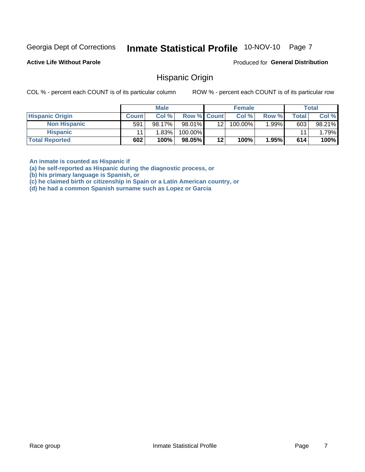#### Inmate Statistical Profile 10-NOV-10 Page 7

**Active Life Without Parole** 

Produced for General Distribution

### Hispanic Origin

COL % - percent each COUNT is of its particular column

ROW % - percent each COUNT is of its particular row

|                        |              | <b>Male</b> |                    |     | <b>Female</b> |          |       | <b>Total</b> |
|------------------------|--------------|-------------|--------------------|-----|---------------|----------|-------|--------------|
| <b>Hispanic Origin</b> | <b>Count</b> | Col %       | <b>Row % Count</b> |     | Col %         | Row %    | Total | Col %        |
| <b>Non Hispanic</b>    | 591          | 98.17%      | 98.01%             | 121 | 100.00%       | $1.99\%$ | 603   | 98.21%       |
| <b>Hispanic</b>        |              | 1.83%       | 100.00%            |     |               |          | 11    | $1.79\%$     |
| <b>Total Reported</b>  | 602          | 100%        | 98.05%             | 12  | 100%          | 1.95%    | 614   | 100%         |

An inmate is counted as Hispanic if

(a) he self-reported as Hispanic during the diagnostic process, or

(b) his primary language is Spanish, or

(c) he claimed birth or citizenship in Spain or a Latin American country, or

(d) he had a common Spanish surname such as Lopez or Garcia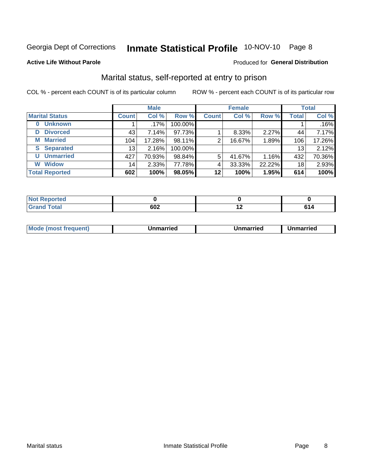# Inmate Statistical Profile 10-NOV-10 Page 8

#### **Active Life Without Parole**

### Produced for General Distribution

### Marital status, self-reported at entry to prison

COL % - percent each COUNT is of its particular column

|                            | <b>Male</b>     |         |         | <b>Female</b> |        |        | <b>Total</b> |        |
|----------------------------|-----------------|---------|---------|---------------|--------|--------|--------------|--------|
| <b>Marital Status</b>      | <b>Count</b>    | Col %   | Row %   | <b>Count</b>  | Col %  | Row %  | <b>Total</b> | Col %  |
| <b>Unknown</b><br>$\bf{0}$ |                 | $.17\%$ | 100.00% |               |        |        |              | .16%   |
| <b>Divorced</b><br>D       | 43              | 7.14%   | 97.73%  |               | 8.33%  | 2.27%  | 44           | 7.17%  |
| <b>Married</b><br>М        | 104             | 17.28%  | 98.11%  | 2             | 16.67% | 1.89%  | 106          | 17.26% |
| <b>Separated</b><br>S      | 13 <sub>1</sub> | 2.16%   | 100.00% |               |        |        | 13           | 2.12%  |
| <b>Unmarried</b><br>U      | 427             | 70.93%  | 98.84%  | 5             | 41.67% | 1.16%  | 432          | 70.36% |
| <b>Widow</b><br>W          | 14              | 2.33%   | 77.78%  | 4             | 33.33% | 22.22% | 18           | 2.93%  |
| <b>Total Reported</b>      | 602             | 100%    | 98.05%  | 12            | 100%   | 1.95%  | 614          | 100%   |

| $\sim$ $-$<br>NO<br>πεα |     |     |     |
|-------------------------|-----|-----|-----|
|                         | 602 | . . | . . |

|--|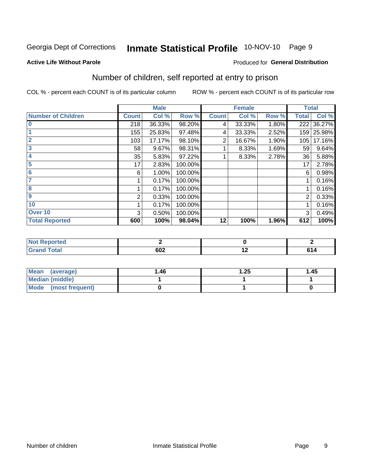# Inmate Statistical Profile 10-NOV-10 Page 9

#### **Active Life Without Parole**

#### Produced for General Distribution

# Number of children, self reported at entry to prison

COL % - percent each COUNT is of its particular column

|                           |              | <b>Male</b> |         |              | <b>Female</b> |       | <b>Total</b> |        |
|---------------------------|--------------|-------------|---------|--------------|---------------|-------|--------------|--------|
| <b>Number of Children</b> | <b>Count</b> | Col %       | Row %   | <b>Count</b> | Col %         | Row % | <b>Total</b> | Col %  |
| $\bf{0}$                  | 218          | 36.33%      | 98.20%  | 4            | 33.33%        | 1.80% | 222          | 36.27% |
|                           | 155          | 25.83%      | 97.48%  | 4            | 33.33%        | 2.52% | 159          | 25.98% |
| $\overline{2}$            | 103          | 17.17%      | 98.10%  | 2            | 16.67%        | 1.90% | 105          | 17.16% |
| 3                         | 58           | 9.67%       | 98.31%  |              | 8.33%         | 1.69% | 59           | 9.64%  |
| 4                         | 35           | 5.83%       | 97.22%  |              | 8.33%         | 2.78% | 36           | 5.88%  |
| 5                         | 17           | 2.83%       | 100.00% |              |               |       | 17           | 2.78%  |
| $6\phantom{1}6$           | 6            | 1.00%       | 100.00% |              |               |       | 6            | 0.98%  |
|                           |              | 0.17%       | 100.00% |              |               |       |              | 0.16%  |
| 8                         |              | 0.17%       | 100.00% |              |               |       |              | 0.16%  |
| 9                         | 2            | 0.33%       | 100.00% |              |               |       | 2            | 0.33%  |
| 10                        |              | 0.17%       | 100.00% |              |               |       |              | 0.16%  |
| Over 10                   | 3            | 0.50%       | 100.00% |              |               |       | 3            | 0.49%  |
| <b>Total Reported</b>     | 600          | 100%        | 98.04%  | 12           | 100%          | 1.96% | 612          | 100%   |

| nceo<br>w.                              |     |                 |
|-----------------------------------------|-----|-----------------|
| $f \wedge f \wedge f$<br>υιαι<br>$\sim$ | OVZ | .<br>c.<br>- 14 |

| Mean<br>(average)       | 1.46 | .25 | 1.45 |
|-------------------------|------|-----|------|
| Median (middle)         |      |     |      |
| Mode<br>(most frequent) |      |     |      |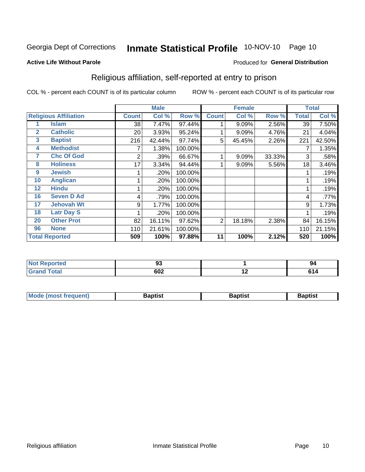# Inmate Statistical Profile 10-NOV-10 Page 10

#### **Active Life Without Parole**

#### Produced for General Distribution

# Religious affiliation, self-reported at entry to prison

COL % - percent each COUNT is of its particular column

|              |                              |              | <b>Male</b> |         |              | <b>Female</b> |        |              | <b>Total</b> |
|--------------|------------------------------|--------------|-------------|---------|--------------|---------------|--------|--------------|--------------|
|              | <b>Religious Affiliation</b> | <b>Count</b> | Col %       | Row %   | <b>Count</b> | Col %         | Row %  | <b>Total</b> | Col %        |
|              | <b>Islam</b>                 | 38           | 7.47%       | 97.44%  |              | 9.09%         | 2.56%  | 39           | 7.50%        |
| $\mathbf{2}$ | <b>Catholic</b>              | 20           | 3.93%       | 95.24%  |              | 9.09%         | 4.76%  | 21           | 4.04%        |
| 3            | <b>Baptist</b>               | 216          | 42.44%      | 97.74%  | 5            | 45.45%        | 2.26%  | 221          | 42.50%       |
| 4            | <b>Methodist</b>             |              | 1.38%       | 100.00% |              |               |        | 7            | 1.35%        |
| 7            | <b>Chc Of God</b>            | 2            | .39%        | 66.67%  |              | 9.09%         | 33.33% | 3            | .58%         |
| 8            | <b>Holiness</b>              | 17           | 3.34%       | 94.44%  |              | 9.09%         | 5.56%  | 18           | 3.46%        |
| 9            | <b>Jewish</b>                |              | .20%        | 100.00% |              |               |        |              | .19%         |
| 10           | <b>Anglican</b>              |              | .20%        | 100.00% |              |               |        |              | .19%         |
| 12           | <b>Hindu</b>                 |              | .20%        | 100.00% |              |               |        |              | .19%         |
| 16           | <b>Seven D Ad</b>            | 4            | .79%        | 100.00% |              |               |        | 4            | .77%         |
| 17           | <b>Jehovah Wt</b>            | 9            | 1.77%       | 100.00% |              |               |        | 9            | 1.73%        |
| 18           | <b>Latr Day S</b>            |              | .20%        | 100.00% |              |               |        |              | .19%         |
| 20           | <b>Other Prot</b>            | 82           | 16.11%      | 97.62%  | 2            | 18.18%        | 2.38%  | 84           | 16.15%       |
| 96           | <b>None</b>                  | 110          | 21.61%      | 100.00% |              |               |        | 110          | 21.15%       |
|              | <b>Total Reported</b>        | 509          | 100%        | 97.88%  | 11           | 100%          | 2.12%  | 520          | 100%         |

| τeα                         | - -<br>JJ.        |                          | 94 |
|-----------------------------|-------------------|--------------------------|----|
| $\sim$ $\sim$ $\sim$ $\sim$ | <b>000</b><br>◡◡▵ | $\overline{\phantom{a}}$ | .  |

| <b>Mode (most frequent)</b> | եaptist | 3aptisเ | aptist |
|-----------------------------|---------|---------|--------|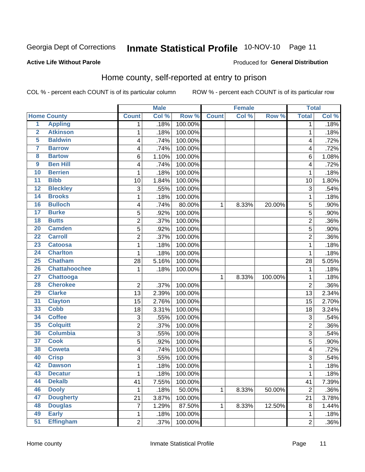#### Inmate Statistical Profile 10-NOV-10 Page 11

#### **Active Life Without Parole**

### Produced for General Distribution

# Home county, self-reported at entry to prison

COL % - percent each COUNT is of its particular column

|                         |                      |                | <b>Male</b> |         |              | <b>Female</b> |         | <b>Total</b>   |         |
|-------------------------|----------------------|----------------|-------------|---------|--------------|---------------|---------|----------------|---------|
|                         | <b>Home County</b>   | <b>Count</b>   | Col %       | Row %   | <b>Count</b> | Col %         | Row %   | <b>Total</b>   | Col %   |
| $\overline{1}$          | <b>Appling</b>       | 1              | .18%        | 100.00% |              |               |         | 1              | .18%    |
| $\overline{2}$          | <b>Atkinson</b>      | 1              | .18%        | 100.00% |              |               |         | 1              | .18%    |
| 5                       | <b>Baldwin</b>       | 4              | .74%        | 100.00% |              |               |         | 4              | .72%    |
| 7                       | <b>Barrow</b>        | 4              | .74%        | 100.00% |              |               |         | 4              | .72%    |
| $\overline{\mathbf{8}}$ | <b>Bartow</b>        | 6              | 1.10%       | 100.00% |              |               |         | 6              | 1.08%   |
| 9                       | <b>Ben Hill</b>      | 4              | .74%        | 100.00% |              |               |         | 4              | .72%    |
| 10                      | <b>Berrien</b>       | 1              | .18%        | 100.00% |              |               |         | 1              | .18%    |
| 11                      | <b>Bibb</b>          | 10             | 1.84%       | 100.00% |              |               |         | 10             | 1.80%   |
| $\overline{12}$         | <b>Bleckley</b>      | 3              | .55%        | 100.00% |              |               |         | 3              | .54%    |
| 14                      | <b>Brooks</b>        | 1              | .18%        | 100.00% |              |               |         | 1              | .18%    |
| 16                      | <b>Bulloch</b>       | 4              | .74%        | 80.00%  | 1            | 8.33%         | 20.00%  | 5              | .90%    |
| 17                      | <b>Burke</b>         | 5              | .92%        | 100.00% |              |               |         | 5              | .90%    |
| $\overline{18}$         | <b>Butts</b>         | $\overline{2}$ | .37%        | 100.00% |              |               |         | $\overline{2}$ | .36%    |
| 20                      | <b>Camden</b>        | 5              | .92%        | 100.00% |              |               |         | 5              | .90%    |
| $\overline{22}$         | <b>Carroll</b>       | $\overline{2}$ | .37%        | 100.00% |              |               |         | $\overline{2}$ | .36%    |
| 23                      | <b>Catoosa</b>       | 1              | .18%        | 100.00% |              |               |         | 1              | .18%    |
| $\overline{24}$         | <b>Charlton</b>      | 1              | .18%        | 100.00% |              |               |         | 1              | .18%    |
| 25                      | <b>Chatham</b>       | 28             | 5.16%       | 100.00% |              |               |         | 28             | 5.05%   |
| 26                      | <b>Chattahoochee</b> | 1              | .18%        | 100.00% |              |               |         | 1              | .18%    |
| $\overline{27}$         | <b>Chattooga</b>     |                |             |         | 1            | 8.33%         | 100.00% | 1              | .18%    |
| 28                      | <b>Cherokee</b>      | $\overline{2}$ | .37%        | 100.00% |              |               |         | $\overline{2}$ | .36%    |
| 29                      | <b>Clarke</b>        | 13             | 2.39%       | 100.00% |              |               |         | 13             | 2.34%   |
| $\overline{31}$         | <b>Clayton</b>       | 15             | 2.76%       | 100.00% |              |               |         | 15             | 2.70%   |
| 33                      | <b>Cobb</b>          | 18             | 3.31%       | 100.00% |              |               |         | 18             | 3.24%   |
| 34                      | <b>Coffee</b>        | 3              | .55%        | 100.00% |              |               |         | 3              | .54%    |
| 35                      | <b>Colquitt</b>      | 2              | .37%        | 100.00% |              |               |         | $\overline{2}$ | .36%    |
| 36                      | <b>Columbia</b>      | $\overline{3}$ | .55%        | 100.00% |              |               |         | 3              | .54%    |
| 37                      | <b>Cook</b>          | 5              | .92%        | 100.00% |              |               |         | 5              | .90%    |
| 38                      | <b>Coweta</b>        | 4              | .74%        | 100.00% |              |               |         | 4              | .72%    |
| 40                      | <b>Crisp</b>         | 3              | .55%        | 100.00% |              |               |         | 3              | .54%    |
| 42                      | <b>Dawson</b>        | 1              | .18%        | 100.00% |              |               |         | 1              | .18%    |
| 43                      | <b>Decatur</b>       | 1              | .18%        | 100.00% |              |               |         | 1              | .18%    |
| 44                      | <b>Dekalb</b>        | 41             | 7.55%       | 100.00% |              |               |         | 41             | 7.39%   |
| 46                      | <b>Dooly</b>         | 1              | .18%        | 50.00%  | 1            | 8.33%         | 50.00%  | $\overline{2}$ | .36%    |
| 47                      | <b>Dougherty</b>     | 21             | 3.87%       | 100.00% |              |               |         | 21             | 3.78%   |
| 48                      | <b>Douglas</b>       | 7              | 1.29%       | 87.50%  | 1            | 8.33%         | 12.50%  | 8              | 1.44%   |
| 49                      | <b>Early</b>         | 1              | .18%        | 100.00% |              |               |         | 1              | .18%    |
| 51                      | <b>Effingham</b>     | $\overline{2}$ | .37%        | 100.00% |              |               |         | $\overline{c}$ | $.36\%$ |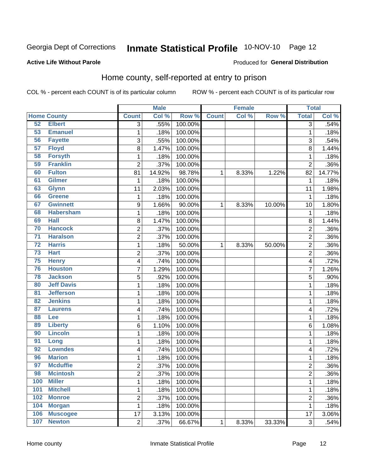#### Inmate Statistical Profile 10-NOV-10 Page 12

#### **Active Life Without Parole**

#### Produced for General Distribution

# Home county, self-reported at entry to prison

COL % - percent each COUNT is of its particular column

|                 |                    |                  | <b>Male</b> |         |              | <b>Female</b> |        | <b>Total</b>   |         |
|-----------------|--------------------|------------------|-------------|---------|--------------|---------------|--------|----------------|---------|
|                 | <b>Home County</b> | <b>Count</b>     | Col %       | Row %   | <b>Count</b> | Col %         | Row %  | <b>Total</b>   | Col %   |
| 52              | <b>Elbert</b>      | $\overline{3}$   | .55%        | 100.00% |              |               |        | 3              | .54%    |
| 53              | <b>Emanuel</b>     | $\mathbf{1}$     | .18%        | 100.00% |              |               |        | 1              | .18%    |
| 56              | <b>Fayette</b>     | 3                | .55%        | 100.00% |              |               |        | 3              | .54%    |
| 57              | <b>Floyd</b>       | 8                | 1.47%       | 100.00% |              |               |        | 8              | 1.44%   |
| 58              | <b>Forsyth</b>     | $\mathbf 1$      | .18%        | 100.00% |              |               |        | 1              | .18%    |
| 59              | <b>Franklin</b>    | $\overline{2}$   | .37%        | 100.00% |              |               |        | $\overline{2}$ | .36%    |
| 60              | <b>Fulton</b>      | 81               | 14.92%      | 98.78%  | 1            | 8.33%         | 1.22%  | 82             | 14.77%  |
| 61              | <b>Gilmer</b>      | 1                | .18%        | 100.00% |              |               |        | 1              | .18%    |
| 63              | <b>Glynn</b>       | 11               | 2.03%       | 100.00% |              |               |        | 11             | 1.98%   |
| 66              | <b>Greene</b>      | $\mathbf 1$      | .18%        | 100.00% |              |               |        | 1              | .18%    |
| 67              | <b>Gwinnett</b>    | $\boldsymbol{9}$ | 1.66%       | 90.00%  | 1            | 8.33%         | 10.00% | 10             | 1.80%   |
| 68              | <b>Habersham</b>   | $\mathbf{1}$     | .18%        | 100.00% |              |               |        | 1              | .18%    |
| 69              | <b>Hall</b>        | 8                | 1.47%       | 100.00% |              |               |        | 8              | 1.44%   |
| 70              | <b>Hancock</b>     | $\overline{c}$   | .37%        | 100.00% |              |               |        | $\overline{c}$ | .36%    |
| $\overline{71}$ | <b>Haralson</b>    | $\overline{c}$   | .37%        | 100.00% |              |               |        | $\overline{2}$ | .36%    |
| $\overline{72}$ | <b>Harris</b>      | $\mathbf{1}$     | .18%        | 50.00%  | 1            | 8.33%         | 50.00% | $\overline{2}$ | .36%    |
| 73              | <b>Hart</b>        | $\overline{c}$   | .37%        | 100.00% |              |               |        | 2              | .36%    |
| 75              | <b>Henry</b>       | 4                | .74%        | 100.00% |              |               |        | 4              | .72%    |
| 76              | <b>Houston</b>     | 7                | 1.29%       | 100.00% |              |               |        | 7              | 1.26%   |
| 78              | <b>Jackson</b>     | 5                | .92%        | 100.00% |              |               |        | 5              | .90%    |
| 80              | <b>Jeff Davis</b>  | $\mathbf 1$      | .18%        | 100.00% |              |               |        | 1              | .18%    |
| $\overline{81}$ | <b>Jefferson</b>   | $\mathbf 1$      | .18%        | 100.00% |              |               |        | 1              | .18%    |
| 82              | <b>Jenkins</b>     | $\mathbf 1$      | .18%        | 100.00% |              |               |        | 1              | .18%    |
| 87              | <b>Laurens</b>     | 4                | .74%        | 100.00% |              |               |        | 4              | .72%    |
| 88              | Lee                | $\mathbf 1$      | .18%        | 100.00% |              |               |        | 1              | .18%    |
| 89              | <b>Liberty</b>     | 6                | 1.10%       | 100.00% |              |               |        | 6              | 1.08%   |
| 90              | <b>Lincoln</b>     | $\mathbf 1$      | .18%        | 100.00% |              |               |        | 1              | .18%    |
| 91              | Long               | $\mathbf{1}$     | .18%        | 100.00% |              |               |        | 1              | .18%    |
| 92              | <b>Lowndes</b>     | 4                | .74%        | 100.00% |              |               |        | 4              | .72%    |
| 96              | <b>Marion</b>      | $\mathbf 1$      | .18%        | 100.00% |              |               |        | 1              | .18%    |
| 97              | <b>Mcduffie</b>    | $\overline{c}$   | .37%        | 100.00% |              |               |        | $\overline{c}$ | $.36\%$ |
| 98              | <b>Mcintosh</b>    | 2                | .37%        | 100.00% |              |               |        | 2              | $.36\%$ |
| 100             | <b>Miller</b>      | $\mathbf 1$      | .18%        | 100.00% |              |               |        | 1              | .18%    |
| 101             | <b>Mitchell</b>    | $\mathbf{1}$     | .18%        | 100.00% |              |               |        | 1              | .18%    |
| 102             | <b>Monroe</b>      | $\overline{c}$   | .37%        | 100.00% |              |               |        | $\overline{c}$ | .36%    |
| 104             | <b>Morgan</b>      | $\mathbf{1}$     | .18%        | 100.00% |              |               |        | 1              | .18%    |
| 106             | <b>Muscogee</b>    | 17               | 3.13%       | 100.00% |              |               |        | 17             | 3.06%   |
| 107             | <b>Newton</b>      | $\overline{2}$   | .37%        | 66.67%  | $\mathbf 1$  | 8.33%         | 33.33% | 3              | .54%    |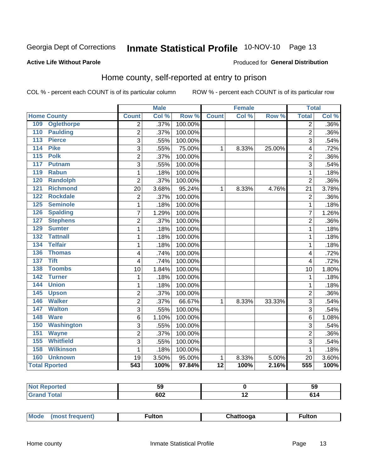# Inmate Statistical Profile 10-NOV-10 Page 13

#### **Active Life Without Parole**

### Produced for General Distribution

# Home county, self-reported at entry to prison

COL % - percent each COUNT is of its particular column

|     |                      |                | <b>Male</b> |                  |                 | <b>Female</b> |        | <b>Total</b>   |       |
|-----|----------------------|----------------|-------------|------------------|-----------------|---------------|--------|----------------|-------|
|     | <b>Home County</b>   | <b>Count</b>   | Col%        | Row <sup>%</sup> | <b>Count</b>    | Col %         | Row %  | <b>Total</b>   | Col % |
| 109 | <b>Oglethorpe</b>    | $\overline{2}$ | .37%        | 100.00%          |                 |               |        | $\overline{2}$ | .36%  |
| 110 | <b>Paulding</b>      | $\overline{2}$ | .37%        | 100.00%          |                 |               |        | $\overline{2}$ | .36%  |
| 113 | <b>Pierce</b>        | 3              | .55%        | 100.00%          |                 |               |        | 3              | .54%  |
| 114 | <b>Pike</b>          | 3              | .55%        | 75.00%           | 1               | 8.33%         | 25.00% | 4              | .72%  |
| 115 | <b>Polk</b>          | $\overline{2}$ | .37%        | 100.00%          |                 |               |        | $\overline{2}$ | .36%  |
| 117 | <b>Putnam</b>        | 3              | .55%        | 100.00%          |                 |               |        | 3              | .54%  |
| 119 | <b>Rabun</b>         | 1              | .18%        | 100.00%          |                 |               |        | 1              | .18%  |
| 120 | <b>Randolph</b>      | $\overline{2}$ | .37%        | 100.00%          |                 |               |        | $\overline{2}$ | .36%  |
| 121 | <b>Richmond</b>      | 20             | 3.68%       | 95.24%           | 1               | 8.33%         | 4.76%  | 21             | 3.78% |
| 122 | <b>Rockdale</b>      | $\overline{2}$ | .37%        | 100.00%          |                 |               |        | $\overline{2}$ | .36%  |
| 125 | <b>Seminole</b>      | 1              | .18%        | 100.00%          |                 |               |        | 1              | .18%  |
| 126 | <b>Spalding</b>      | 7              | 1.29%       | 100.00%          |                 |               |        | 7              | 1.26% |
| 127 | <b>Stephens</b>      | $\overline{c}$ | .37%        | 100.00%          |                 |               |        | $\overline{2}$ | .36%  |
| 129 | <b>Sumter</b>        | 1              | .18%        | 100.00%          |                 |               |        | 1              | .18%  |
| 132 | <b>Tattnall</b>      | 1              | .18%        | 100.00%          |                 |               |        | 1              | .18%  |
| 134 | <b>Telfair</b>       | 1              | .18%        | 100.00%          |                 |               |        | 1              | .18%  |
| 136 | <b>Thomas</b>        | 4              | .74%        | 100.00%          |                 |               |        | $\overline{4}$ | .72%  |
| 137 | <b>Tift</b>          | 4              | .74%        | 100.00%          |                 |               |        | 4              | .72%  |
| 138 | <b>Toombs</b>        | 10             | 1.84%       | 100.00%          |                 |               |        | 10             | 1.80% |
| 142 | <b>Turner</b>        | $\mathbf{1}$   | .18%        | 100.00%          |                 |               |        | 1              | .18%  |
| 144 | <b>Union</b>         | 1              | .18%        | 100.00%          |                 |               |        | 1              | .18%  |
| 145 | <b>Upson</b>         | $\overline{c}$ | .37%        | 100.00%          |                 |               |        | $\overline{2}$ | .36%  |
| 146 | <b>Walker</b>        | $\overline{c}$ | .37%        | 66.67%           | 1               | 8.33%         | 33.33% | 3              | .54%  |
| 147 | <b>Walton</b>        | 3              | .55%        | 100.00%          |                 |               |        | 3              | .54%  |
| 148 | <b>Ware</b>          | 6              | 1.10%       | 100.00%          |                 |               |        | 6              | 1.08% |
| 150 | <b>Washington</b>    | 3              | .55%        | 100.00%          |                 |               |        | 3              | .54%  |
| 151 | <b>Wayne</b>         | $\overline{c}$ | .37%        | 100.00%          |                 |               |        | $\overline{2}$ | .36%  |
| 155 | <b>Whitfield</b>     | 3              | .55%        | 100.00%          |                 |               |        | 3              | .54%  |
| 158 | <b>Wilkinson</b>     | 1              | .18%        | 100.00%          |                 |               |        | 1              | .18%  |
| 160 | <b>Unknown</b>       | 19             | 3.50%       | 95.00%           | 1               | 8.33%         | 5.00%  | 20             | 3.60% |
|     | <b>Total Rported</b> | 543            | 100%        | 97.84%           | $\overline{12}$ | 100%          | 2.16%  | 555            | 100%  |

| eported:                    |            |                          | ວະ  |
|-----------------------------|------------|--------------------------|-----|
| ota                         |            | $\overline{\phantom{0}}$ |     |
| $\sim$ $\sim$ $\sim$ $\sim$ | <b>UUZ</b> |                          | . . |

| Mode | ulton | cooga | <b>ulton</b> |
|------|-------|-------|--------------|
| most |       |       |              |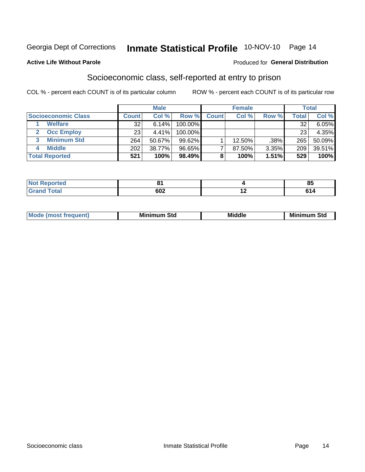# Inmate Statistical Profile 10-NOV-10 Page 14

#### **Active Life Without Parole**

#### Produced for General Distribution

### Socioeconomic class, self-reported at entry to prison

COL % - percent each COUNT is of its particular column

|                       |              | <b>Male</b> |           |              | <b>Female</b> |       |        | <b>Total</b> |
|-----------------------|--------------|-------------|-----------|--------------|---------------|-------|--------|--------------|
| Socioeconomic Class   | <b>Count</b> | Col %       | Row %     | <b>Count</b> | Col %         | Row % | Total, | Col %        |
| <b>Welfare</b>        | 32           | 6.14%       | 100.00%   |              |               |       | 32     | $6.05\%$     |
| <b>Occ Employ</b>     | 23           | 4.41%       | 100.00%   |              |               |       | 23     | 4.35%        |
| <b>Minimum Std</b>    | 264          | 50.67%      | $99.62\%$ |              | $12.50\%$     | .38%  | 265    | 50.09%       |
| <b>Middle</b>         | 202          | 38.77%      | 96.65%    |              | 87.50%        | 3.35% | 209    | 39.51%       |
| <b>Total Reported</b> | 521          | 100%        | 98.49%    |              | 100%          | 1.51% | 529    | 100%         |

| <b><i>Command</i></b> | O4     | 0E              |
|-----------------------|--------|-----------------|
| N                     | $\sim$ | uu              |
| _____                 | 602    | . .<br>. .<br>. |

|  | Mo | Minin<br>Std<br>$- - - -$ | <b>Middle</b> | Min<br>Std<br>. |
|--|----|---------------------------|---------------|-----------------|
|--|----|---------------------------|---------------|-----------------|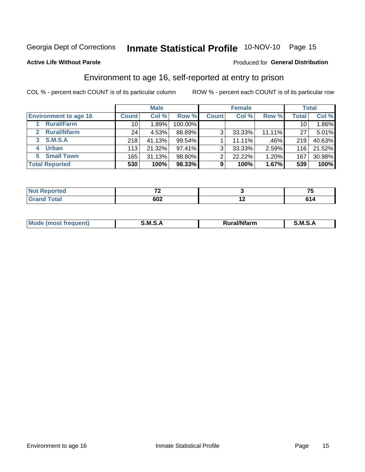# Inmate Statistical Profile 10-NOV-10 Page 15

#### **Active Life Without Parole**

#### Produced for General Distribution

# Environment to age 16, self-reported at entry to prison

COL % - percent each COUNT is of its particular column

|                                    |              | <b>Male</b> |           |              | <b>Female</b> |        |                 | <b>Total</b> |
|------------------------------------|--------------|-------------|-----------|--------------|---------------|--------|-----------------|--------------|
| <b>Environment to age 16</b>       | <b>Count</b> | Col %       | Row %     | <b>Count</b> | Col %         | Row %  | <b>Total</b>    | Col %        |
| <b>Rural/Farm</b>                  | 10           | 1.89%       | 100.00%   |              |               |        | 10 <sub>1</sub> | 1.86%        |
| <b>Rural/Nfarm</b><br>$\mathbf{2}$ | 24           | 4.53%       | 88.89%    | 3            | 33.33%        | 11.11% | 27              | 5.01%        |
| 3 S.M.S.A                          | 218          | 41.13%      | $99.54\%$ |              | 11.11%        | .46%   | 219             | 40.63%       |
| <b>Urban</b><br>4                  | 113          | 21.32%      | $97.41\%$ | 3            | 33.33%        | 2.59%  | 116             | 21.52%       |
| 5 Small Town                       | 165          | 31.13%      | 98.80%    | ົ            | 22.22%        | 1.20%  | 167             | 30.98%       |
| <b>Total Reported</b>              | 530          | 100%        | 98.33%    | 9            | 100%          | 1.67%  | 539             | 100%         |

| <b>Not Reported</b> | --  | --              |
|---------------------|-----|-----------------|
| <b>Total</b>        | 602 | <br>CA.<br>, 14 |

| Mo | M<br>______ | <b>17516</b><br><b>Ifarm</b><br>. | -<br>M<br>_____ |
|----|-------------|-----------------------------------|-----------------|
|    |             |                                   |                 |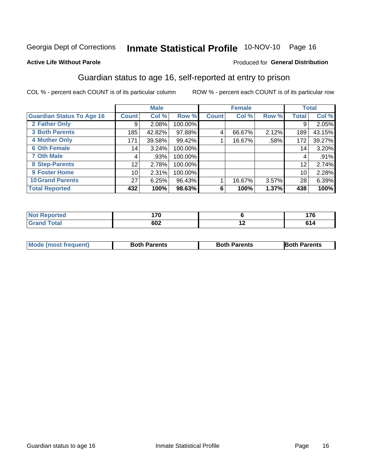# Inmate Statistical Profile 10-NOV-10 Page 16

### **Active Life Without Parole**

#### Produced for General Distribution

# Guardian status to age 16, self-reported at entry to prison

COL % - percent each COUNT is of its particular column

|                                  |                 | <b>Male</b> |         |              | <b>Female</b> |       |                 | <b>Total</b> |
|----------------------------------|-----------------|-------------|---------|--------------|---------------|-------|-----------------|--------------|
| <b>Guardian Status To Age 16</b> | <b>Count</b>    | Col %       | Row %   | <b>Count</b> | Col %         | Row % | <b>Total</b>    | Col %        |
| 2 Father Only                    | 9               | 2.08%       | 100.00% |              |               |       | 9               | 2.05%        |
| <b>3 Both Parents</b>            | 185             | 42.82%      | 97.88%  | 4            | 66.67%        | 2.12% | 189             | 43.15%       |
| <b>4 Mother Only</b>             | 171             | 39.58%      | 99.42%  |              | 16.67%        | .58%  | 172             | 39.27%       |
| <b>6 Oth Female</b>              | 14              | 3.24%       | 100.00% |              |               |       | 14 <sub>1</sub> | 3.20%        |
| <b>7 Oth Male</b>                | 4               | .93%        | 100.00% |              |               |       | 4               | .91%         |
| 8 Step-Parents                   | 12              | 2.78%       | 100.00% |              |               |       | 12              | 2.74%        |
| <b>9 Foster Home</b>             | 10 <sup>1</sup> | 2.31%       | 100.00% |              |               |       | 10              | 2.28%        |
| <b>10 Grand Parents</b>          | 27              | 6.25%       | 96.43%  |              | 16.67%        | 3.57% | 28              | 6.39%        |
| <b>Total Reported</b>            | 432             | 100%        | 98.63%  | 6            | 100%          | 1.37% | 438             | 100%         |

| Reported<br>NOT<br>$\mathcal{L} = \mathcal{L} \mathcal{L} \mathcal{L} \mathcal{L} \mathcal{L} \mathcal{L} \mathcal{L} \mathcal{L} \mathcal{L} \mathcal{L} \mathcal{L} \mathcal{L} \mathcal{L} \mathcal{L} \mathcal{L} \mathcal{L} \mathcal{L} \mathcal{L} \mathcal{L} \mathcal{L} \mathcal{L} \mathcal{L} \mathcal{L} \mathcal{L} \mathcal{L} \mathcal{L} \mathcal{L} \mathcal{L} \mathcal{L} \mathcal{L} \mathcal{L} \mathcal{L} \mathcal{L} \mathcal{L} \mathcal{L} \mathcal$ | $\overline{\phantom{a}}$<br>70 |     | .              |
|---------------------------------------------------------------------------------------------------------------------------------------------------------------------------------------------------------------------------------------------------------------------------------------------------------------------------------------------------------------------------------------------------------------------------------------------------------------------------------|--------------------------------|-----|----------------|
| <b>Total</b>                                                                                                                                                                                                                                                                                                                                                                                                                                                                    | coo                            | . . | г.             |
|                                                                                                                                                                                                                                                                                                                                                                                                                                                                                 | ου∠                            |     | . <del>.</del> |

| <b>Mode (most frequent)</b> | <b>Both Parents</b> | <b>Both Parents</b> | <b>Both Parents</b> |
|-----------------------------|---------------------|---------------------|---------------------|
|                             |                     |                     |                     |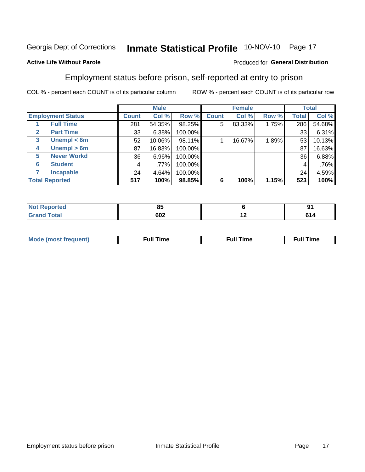# Inmate Statistical Profile 10-NOV-10 Page 17

### **Active Life Without Parole**

#### Produced for General Distribution

### Employment status before prison, self-reported at entry to prison

COL % - percent each COUNT is of its particular column

|                       |                          |              | <b>Male</b> |         |              | <b>Female</b> |       |       | <b>Total</b> |
|-----------------------|--------------------------|--------------|-------------|---------|--------------|---------------|-------|-------|--------------|
|                       | <b>Employment Status</b> | <b>Count</b> | Col %       | Row %   | <b>Count</b> | Col %         | Row % | Total | Col %        |
|                       | <b>Full Time</b>         | 281          | 54.35%      | 98.25%  | 5            | 83.33%        | 1.75% | 286   | 54.68%       |
| $\mathbf{2}$          | <b>Part Time</b>         | 33           | 6.38%       | 100.00% |              |               |       | 33    | 6.31%        |
| 3                     | Unempl $<$ 6m            | 52           | 10.06%      | 98.11%  |              | 16.67%        | 1.89% | 53    | 10.13%       |
| 4                     | Unempl $> 6m$            | 87           | 16.83%      | 100.00% |              |               |       | 87    | 16.63%       |
| 5                     | <b>Never Workd</b>       | 36           | 6.96%       | 100.00% |              |               |       | 36    | 6.88%        |
| 6                     | <b>Student</b>           | 4            | .77%        | 100.00% |              |               |       | 4     | .76%         |
|                       | <b>Incapable</b>         | 24           | 4.64%       | 100.00% |              |               |       | 24    | 4.59%        |
| <b>Total Reported</b> |                          | 517          | 100%        | 98.85%  | 6            | 100%          | 1.15% | 523   | 100%         |

| <b>orteg</b> | n r<br>ου |     | 04<br> |
|--------------|-----------|-----|--------|
| $T0+2$       | 602       | . . | ø      |

| M | the contract of the contract of the contract of the contract of the contract of the contract of the contract of | ---<br>mє<br> |
|---|-----------------------------------------------------------------------------------------------------------------|---------------|
|   |                                                                                                                 |               |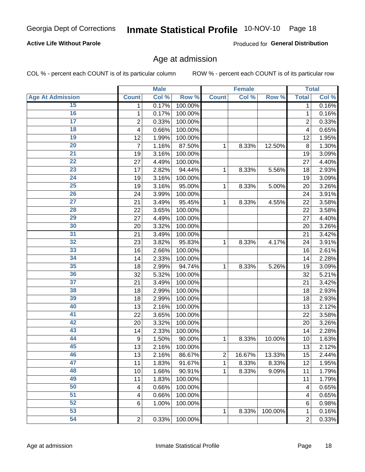# Inmate Statistical Profile 10-NOV-10 Page 18

### **Active Life Without Parole**

Produced for General Distribution

### Age at admission

COL % - percent each COUNT is of its particular column

|                         |                | <b>Male</b> |         |                         | <b>Female</b> |         |                | <b>Total</b> |
|-------------------------|----------------|-------------|---------|-------------------------|---------------|---------|----------------|--------------|
| <b>Age At Admission</b> | <b>Count</b>   | Col %       | Row %   | <b>Count</b>            | Col %         | Row %   | <b>Total</b>   | Col %        |
| 15                      | 1              | 0.17%       | 100.00% |                         |               |         | 1              | 0.16%        |
| 16                      | 1              | 0.17%       | 100.00% |                         |               |         | $\mathbf{1}$   | 0.16%        |
| $\overline{17}$         | $\overline{c}$ | 0.33%       | 100.00% |                         |               |         | $\overline{2}$ | 0.33%        |
| 18                      | 4              | 0.66%       | 100.00% |                         |               |         | 4              | 0.65%        |
| $\overline{19}$         | 12             | 1.99%       | 100.00% |                         |               |         | 12             | 1.95%        |
| $\overline{20}$         | 7              | 1.16%       | 87.50%  | 1                       | 8.33%         | 12.50%  | 8              | 1.30%        |
| $\overline{21}$         | 19             | 3.16%       | 100.00% |                         |               |         | 19             | 3.09%        |
| $\overline{22}$         | 27             | 4.49%       | 100.00% |                         |               |         | 27             | 4.40%        |
| 23                      | 17             | 2.82%       | 94.44%  | 1                       | 8.33%         | 5.56%   | 18             | 2.93%        |
| $\overline{24}$         | 19             | 3.16%       | 100.00% |                         |               |         | 19             | 3.09%        |
| $\overline{25}$         | 19             | 3.16%       | 95.00%  | 1                       | 8.33%         | 5.00%   | 20             | 3.26%        |
| 26                      | 24             | 3.99%       | 100.00% |                         |               |         | 24             | 3.91%        |
| $\overline{27}$         | 21             | 3.49%       | 95.45%  | $\mathbf{1}$            | 8.33%         | 4.55%   | 22             | 3.58%        |
| 28                      | 22             | 3.65%       | 100.00% |                         |               |         | 22             | 3.58%        |
| 29                      | 27             | 4.49%       | 100.00% |                         |               |         | 27             | 4.40%        |
| 30                      | 20             | 3.32%       | 100.00% |                         |               |         | 20             | 3.26%        |
| 31                      | 21             | 3.49%       | 100.00% |                         |               |         | 21             | 3.42%        |
| 32                      | 23             | 3.82%       | 95.83%  | 1                       | 8.33%         | 4.17%   | 24             | 3.91%        |
| 33                      | 16             | 2.66%       | 100.00% |                         |               |         | 16             | 2.61%        |
| 34                      | 14             | 2.33%       | 100.00% |                         |               |         | 14             | 2.28%        |
| 35                      | 18             | 2.99%       | 94.74%  | 1                       | 8.33%         | 5.26%   | 19             | 3.09%        |
| 36                      | 32             | 5.32%       | 100.00% |                         |               |         | 32             | 5.21%        |
| $\overline{37}$         | 21             | 3.49%       | 100.00% |                         |               |         | 21             | 3.42%        |
| 38                      | 18             | 2.99%       | 100.00% |                         |               |         | 18             | 2.93%        |
| 39                      | 18             | 2.99%       | 100.00% |                         |               |         | 18             | 2.93%        |
| 40                      | 13             | 2.16%       | 100.00% |                         |               |         | 13             | 2.12%        |
| 41                      | 22             | 3.65%       | 100.00% |                         |               |         | 22             | 3.58%        |
| 42                      | 20             | 3.32%       | 100.00% |                         |               |         | 20             | 3.26%        |
| 43                      | 14             | 2.33%       | 100.00% |                         |               |         | 14             | 2.28%        |
| 44                      | 9              | 1.50%       | 90.00%  | 1                       | 8.33%         | 10.00%  | 10             | 1.63%        |
| 45                      | 13             | 2.16%       | 100.00% |                         |               |         | 13             | 2.12%        |
| 46                      | 13             | 2.16%       | 86.67%  | $\overline{\mathbf{c}}$ | 16.67%        | 13.33%  | 15             | 2.44%        |
| 47                      | 11             | 1.83%       | 91.67%  | 1                       | 8.33%         | 8.33%   | 12             | 1.95%        |
| 48                      | 10             | 1.66%       | 90.91%  | 1                       | 8.33%         | 9.09%   | 11             | 1.79%        |
| 49                      | 11             | 1.83%       | 100.00% |                         |               |         | 11             | 1.79%        |
| 50                      | 4              | 0.66%       | 100.00% |                         |               |         | 4              | 0.65%        |
| $\overline{51}$         | 4              | 0.66%       | 100.00% |                         |               |         | 4              | 0.65%        |
| 52                      | 6              | 1.00%       | 100.00% |                         |               |         | 6              | 0.98%        |
| 53                      |                |             |         | 1                       | 8.33%         | 100.00% | $\mathbf{1}$   | 0.16%        |
| 54                      | $\overline{2}$ | 0.33%       | 100.00% |                         |               |         | $\overline{2}$ | 0.33%        |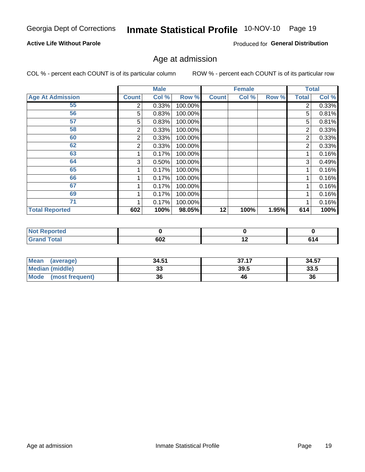# Inmate Statistical Profile 10-NOV-10 Page 19

### **Active Life Without Parole**

Produced for General Distribution

### Age at admission

COL % - percent each COUNT is of its particular column

|                         |              | <b>Male</b> |         |              | <b>Female</b> |       |              | <b>Total</b> |
|-------------------------|--------------|-------------|---------|--------------|---------------|-------|--------------|--------------|
| <b>Age At Admission</b> | <b>Count</b> | Col %       | Row %   | <b>Count</b> | Col %         | Row % | <b>Total</b> | Col %        |
| 55                      | 2            | 0.33%       | 100.00% |              |               |       | 2            | 0.33%        |
| 56                      | 5            | 0.83%       | 100.00% |              |               |       | 5            | 0.81%        |
| 57                      | 5            | 0.83%       | 100.00% |              |               |       | 5            | 0.81%        |
| 58                      | 2            | 0.33%       | 100.00% |              |               |       | 2            | 0.33%        |
| 60                      | 2            | 0.33%       | 100.00% |              |               |       | 2            | 0.33%        |
| 62                      | 2            | 0.33%       | 100.00% |              |               |       | 2            | 0.33%        |
| 63                      |              | 0.17%       | 100.00% |              |               |       |              | 0.16%        |
| 64                      | 3            | 0.50%       | 100.00% |              |               |       | 3            | 0.49%        |
| 65                      |              | 0.17%       | 100.00% |              |               |       |              | 0.16%        |
| 66                      |              | 0.17%       | 100.00% |              |               |       |              | 0.16%        |
| 67                      |              | 0.17%       | 100.00% |              |               |       |              | 0.16%        |
| 69                      |              | 0.17%       | 100.00% |              |               |       |              | 0.16%        |
| 71                      |              | 0.17%       | 100.00% |              |               |       |              | 0.16%        |
| <b>Total Reported</b>   | 602          | 100%        | 98.05%  | 12           | 100%          | 1.95% | 614          | 100%         |

| <b>Not Reported</b> |     |     |                |
|---------------------|-----|-----|----------------|
| <b>Grand Total</b>  | 602 | . . | C <sub>4</sub> |

| Mean<br>(average)       | 34.51 | 37.17 | 34.57 |
|-------------------------|-------|-------|-------|
| Median (middle)         | JJ    | 39.5  | 33.5  |
| Mode<br>(most frequent) | 36    | 46    | 36    |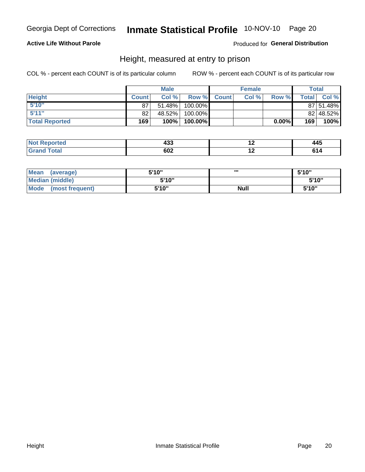# Inmate Statistical Profile 10-NOV-10 Page 20

### **Active Life Without Parole**

Produced for General Distribution

### Height, measured at entry to prison

COL % - percent each COUNT is of its particular column

|                       |              | <b>Male</b> |         |              | <b>Female</b> |       |                  | Total     |
|-----------------------|--------------|-------------|---------|--------------|---------------|-------|------------------|-----------|
| <b>Height</b>         | <b>Count</b> | Col %       | Row %   | <b>Count</b> | Col %         | Row % | <b>Total</b> I   | Col %     |
| 5'10''                | 87           | 51.48%      | 100.00% |              |               |       |                  | 87 51.48% |
| 5'11''                | 82           | 48.52%      | 100.00% |              |               |       |                  | 82 48.52% |
| <b>Total Reported</b> | 169          | 100%        | 100.00% |              |               | 0.00% | 169 <sub>1</sub> | 100%      |

| <b>Not</b><br><b>rted</b><br>ем | ,,,<br>90. | . .<br>445 |
|---------------------------------|------------|------------|
| <b>Total</b><br>'Grand          | 602        |            |

| <b>Mean</b><br>(average)       | 5'10'' | ,,,         | 5'10"  |
|--------------------------------|--------|-------------|--------|
| <b>Median (middle)</b>         | 5'10"  |             | 5'10'' |
| <b>Mode</b><br>(most frequent) | 5'10"  | <b>Null</b> | 5'10"  |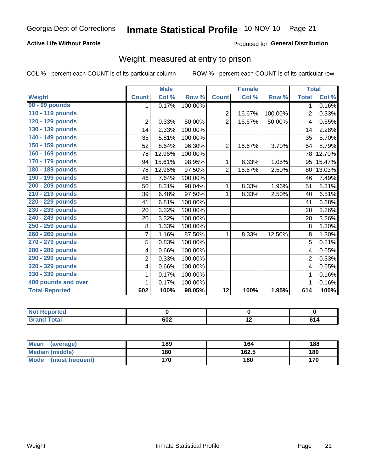# Inmate Statistical Profile 10-NOV-10 Page 21

### **Active Life Without Parole**

### Produced for General Distribution

# Weight, measured at entry to prison

COL % - percent each COUNT is of its particular column

|                       |                | <b>Male</b> |         |                 | <b>Female</b> |         | <b>Total</b>   |                            |
|-----------------------|----------------|-------------|---------|-----------------|---------------|---------|----------------|----------------------------|
| <b>Weight</b>         | <b>Count</b>   | Col %       | Row %   | <b>Count</b>    | Col %         | Row %   | <b>Total</b>   | $\overline{\text{Col }^9}$ |
| 90 - 99 pounds        | 1              | 0.17%       | 100.00% |                 |               |         | 1.             | 0.16%                      |
| 110 - 119 pounds      |                |             |         | $\overline{2}$  | 16.67%        | 100.00% | 2              | 0.33%                      |
| 120 - 129 pounds      | $\overline{2}$ | 0.33%       | 50.00%  | $\overline{2}$  | 16.67%        | 50.00%  | 4              | 0.65%                      |
| 130 - 139 pounds      | 14             | 2.33%       | 100.00% |                 |               |         | 14             | 2.28%                      |
| 140 - 149 pounds      | 35             | 5.81%       | 100.00% |                 |               |         | 35             | 5.70%                      |
| 150 - 159 pounds      | 52             | 8.64%       | 96.30%  | $\overline{2}$  | 16.67%        | 3.70%   | 54             | 8.79%                      |
| 160 - 169 pounds      | 78             | 12.96%      | 100.00% |                 |               |         | 78             | 12.70%                     |
| 170 - 179 pounds      | 94             | 15.61%      | 98.95%  | 1               | 8.33%         | 1.05%   | 95             | 15.47%                     |
| 180 - 189 pounds      | 78             | 12.96%      | 97.50%  | $\overline{2}$  | 16.67%        | 2.50%   | 80             | 13.03%                     |
| 190 - 199 pounds      | 46             | 7.64%       | 100.00% |                 |               |         | 46             | 7.49%                      |
| 200 - 209 pounds      | 50             | 8.31%       | 98.04%  | 1               | 8.33%         | 1.96%   | 51             | 8.31%                      |
| 210 - 219 pounds      | 39             | 6.48%       | 97.50%  | 1               | 8.33%         | 2.50%   | 40             | 6.51%                      |
| 220 - 229 pounds      | 41             | 6.81%       | 100.00% |                 |               |         | 41             | 6.68%                      |
| 230 - 239 pounds      | 20             | 3.32%       | 100.00% |                 |               |         | 20             | 3.26%                      |
| 240 - 249 pounds      | 20             | 3.32%       | 100.00% |                 |               |         | 20             | 3.26%                      |
| 250 - 259 pounds      | 8              | 1.33%       | 100.00% |                 |               |         | 8              | 1.30%                      |
| 260 - 269 pounds      | $\overline{7}$ | 1.16%       | 87.50%  | 1               | 8.33%         | 12.50%  | 8              | 1.30%                      |
| 270 - 279 pounds      | 5              | 0.83%       | 100.00% |                 |               |         | 5              | 0.81%                      |
| 280 - 289 pounds      | 4              | 0.66%       | 100.00% |                 |               |         | 4              | 0.65%                      |
| 290 - 299 pounds      | $\overline{2}$ | 0.33%       | 100.00% |                 |               |         | $\overline{2}$ | 0.33%                      |
| 320 - 329 pounds      | 4              | 0.66%       | 100.00% |                 |               |         | 4              | 0.65%                      |
| 330 - 339 pounds      | 1              | 0.17%       | 100.00% |                 |               |         | 1              | 0.16%                      |
| 400 pounds and over   | 1              | 0.17%       | 100.00% |                 |               |         |                | 0.16%                      |
| <b>Total Reported</b> | 602            | 100%        | 98.05%  | $\overline{12}$ | 100%          | 1.95%   | 614            | 100%                       |

| <b>Not Reported</b>    |                   |     |    |
|------------------------|-------------------|-----|----|
| <b>Total</b><br>l Gran | <b>COO</b><br>OUZ | . . | 14 |

| <b>Mean</b><br>(average)       | 189 | 164   | 188 |
|--------------------------------|-----|-------|-----|
| <b>Median (middle)</b>         | 180 | 162.5 | 180 |
| <b>Mode</b><br>(most frequent) | 170 | 180   | 170 |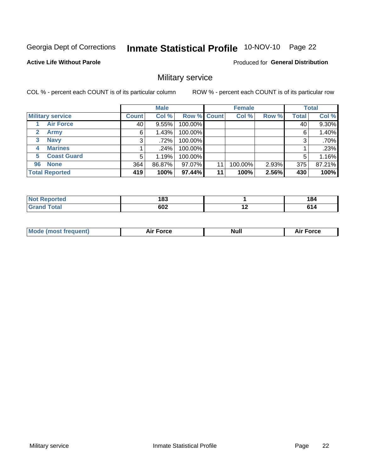# Inmate Statistical Profile 10-NOV-10 Page 22

#### **Active Life Without Parole**

Produced for General Distribution

### Military service

COL % - percent each COUNT is of its particular column

|                             |              | <b>Male</b> |                    |    | <b>Female</b> |       |              | <b>Total</b> |
|-----------------------------|--------------|-------------|--------------------|----|---------------|-------|--------------|--------------|
| <b>Military service</b>     | <b>Count</b> | Col %       | <b>Row % Count</b> |    | Col %         | Row % | <b>Total</b> | Col %        |
| <b>Air Force</b>            | 40           | 9.55%       | 100.00%            |    |               |       | 40           | 9.30%        |
| $\mathbf{2}$<br><b>Army</b> | 6            | 1.43%       | 100.00%            |    |               |       | 6            | 1.40%        |
| <b>Navy</b><br>3            | 3            | .72%        | 100.00%            |    |               |       | 3            | .70%         |
| <b>Marines</b><br>4         |              | $.24\%$     | 100.00%            |    |               |       |              | .23%         |
| <b>Coast Guard</b><br>5     | 5            | 1.19%       | 100.00%            |    |               |       | 5            | 1.16%        |
| <b>None</b><br>96           | 364          | 86.87%      | 97.07%             | 11 | 100.00%       | 2.93% | 375          | 87.21%       |
| <b>Total Reported</b>       | 419          | 100%        | 97.44%             | 11 | 100%          | 2.56% | 430          | 100%         |

| วrted<br>N           | 183 |     | 184               |
|----------------------|-----|-----|-------------------|
| <b>otal</b><br>Grand | 602 | . . | C4.<br><b>VI5</b> |

|  |  | <b>Mode</b><br>uent)<br>most tren | Force<br>Aır | <b>Null</b> | orce |
|--|--|-----------------------------------|--------------|-------------|------|
|--|--|-----------------------------------|--------------|-------------|------|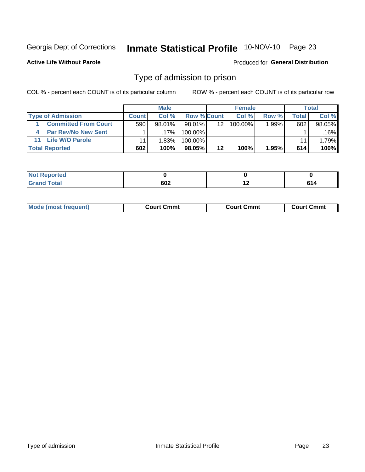# Inmate Statistical Profile 10-NOV-10 Page 23

**Active Life Without Parole** 

#### Produced for General Distribution

### Type of admission to prison

COL % - percent each COUNT is of its particular column

|                             |              | <b>Male</b> |                    |    | <b>Female</b> |          |       | Total  |
|-----------------------------|--------------|-------------|--------------------|----|---------------|----------|-------|--------|
| <b>Type of Admission</b>    | <b>Count</b> | Col%        | <b>Row % Count</b> |    | Col %         | Row %    | Total | Col %  |
| <b>Committed From Court</b> | 590          | $98.01\%$   | 98.01%             | 12 | 100.00%       | $1.99\%$ | 602   | 98.05% |
| <b>Par Rev/No New Sent</b>  |              | $.17\%$     | 100.00%            |    |               |          |       | .16%   |
| <b>Life W/O Parole</b>      |              | 1.83%       | 100.00%            |    |               |          | 11    | 1.79%  |
| <b>Total Reported</b>       | 602          | 100%        | 98.05%             | 12 | 100%          | $1.95\%$ | 614   | 100%   |

| rea                     |     |     |     |
|-------------------------|-----|-----|-----|
| <b>ULU</b><br>$- \cdot$ | 602 | . . | . . |

| <b>Mode (most frequent)</b> | Court Cmmt | <b>Court Cmmt</b> | Court Cmmt |
|-----------------------------|------------|-------------------|------------|
|                             |            |                   |            |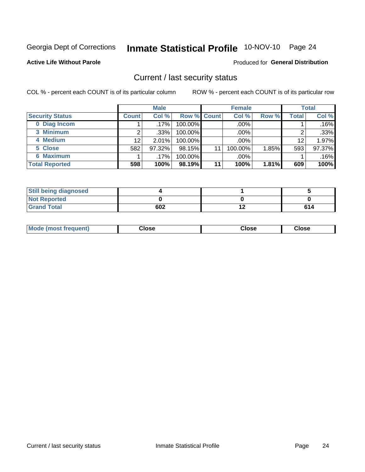# Inmate Statistical Profile 10-NOV-10 Page 24

**Active Life Without Parole** 

#### Produced for General Distribution

### Current / last security status

COL % - percent each COUNT is of its particular column

|                        |                 | <b>Male</b> |             |    | <b>Female</b> |       |       | <b>Total</b> |
|------------------------|-----------------|-------------|-------------|----|---------------|-------|-------|--------------|
| <b>Security Status</b> | <b>Count</b>    | Col %       | Row % Count |    | Col %         | Row % | Total | Col %        |
| 0 Diag Incom           |                 | $.17\%$     | 100.00%     |    | .00%          |       |       | .16%         |
| 3 Minimum              |                 | .33%        | $100.00\%$  |    | .00%          |       | ⌒     | .33%         |
| 4 Medium               | 12 <sup>2</sup> | 2.01%       | 100.00%     |    | .00%          |       | 12    | 1.97%        |
| 5 Close                | 582             | 97.32%      | 98.15%      | 11 | 100.00%       | 1.85% | 593   | 97.37%       |
| 6 Maximum              |                 | $.17\%$     | 100.00%     |    | .00%          |       |       | .16%         |
| <b>Total Reported</b>  | 598             | 100%        | 98.19%      | 11 | 100%          | 1.81% | 609   | 100%         |

| <b>Still being diagnosed</b> |     |     |
|------------------------------|-----|-----|
| <b>Not Reported</b>          |     |     |
| <b>Grand Total</b>           | 602 | 614 |

| loseد<br>$  -$ |
|----------------|
|----------------|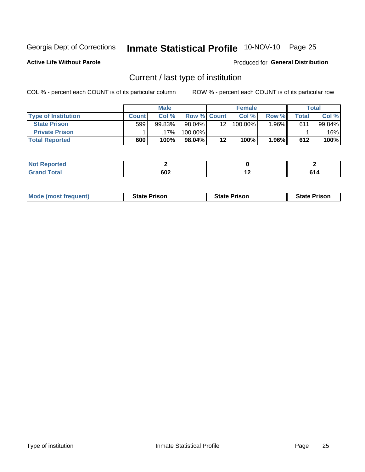# Inmate Statistical Profile 10-NOV-10 Page 25

**Active Life Without Parole** 

#### Produced for General Distribution

# Current / last type of institution

COL % - percent each COUNT is of its particular column

|                            |              | <b>Male</b> |                    |         | <b>Female</b> |       |       | <b>Total</b> |
|----------------------------|--------------|-------------|--------------------|---------|---------------|-------|-------|--------------|
| <b>Type of Institution</b> | <b>Count</b> | Col %       | <b>Row % Count</b> |         | Col %         | Row % | Total | Col %        |
| <b>State Prison</b>        | 599          | 99.83%      | $98.04\%$          | 12      | 100.00%       | 1.96% | 611   | 99.84%       |
| <b>Private Prison</b>      |              | 17%         | $100.00\%$         |         |               |       |       | .16%         |
| <b>Total Reported</b>      | 600          | 100%        | $98.04\%$          | $12 \,$ | 100%          | 1.96% | 612   | 100%         |

| .<br>prtea |     |         |  |
|------------|-----|---------|--|
| otal       | 602 | . .<br> |  |

| <b>Mode (most frequent)</b> | <b>State Prison</b> | <b>State Prison</b> | <b>State Prison</b> |
|-----------------------------|---------------------|---------------------|---------------------|
|                             |                     |                     |                     |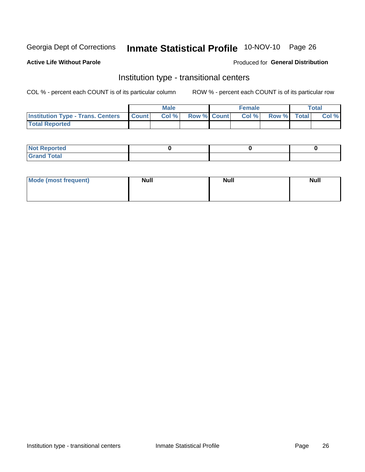# Inmate Statistical Profile 10-NOV-10 Page 26

#### **Active Life Without Parole**

### Produced for General Distribution

# Institution type - transitional centers

COL % - percent each COUNT is of its particular column

|                                                  | <b>Male</b> |                    | <b>Female</b> |             | Total |
|--------------------------------------------------|-------------|--------------------|---------------|-------------|-------|
| <b>Institution Type - Trans. Centers Count  </b> | Col%        | <b>Row % Count</b> | Col %         | Row % Total | Col % |
| <b>Total Reported</b>                            |             |                    |               |             |       |

| <b>Reported</b><br><b>NOT</b><br>$\sim$            |  |  |
|----------------------------------------------------|--|--|
| $f$ $f \circ f \circ f$<br>$C = 1$<br><b>TULAI</b> |  |  |

| Mode (most frequent) | <b>Null</b> | <b>Null</b> | <b>Null</b> |
|----------------------|-------------|-------------|-------------|
|                      |             |             |             |
|                      |             |             |             |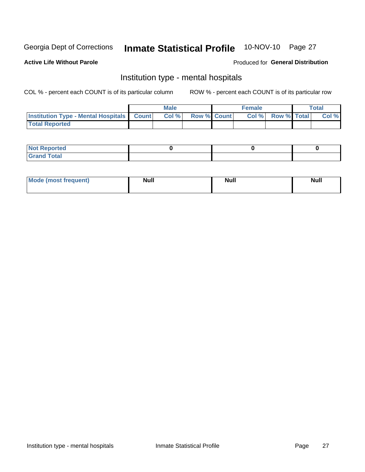#### 10-NOV-10 Page 27 **Inmate Statistical Profile**

#### **Active Life Without Parole**

#### Produced for General Distribution

### Institution type - mental hospitals

COL % - percent each COUNT is of its particular column

|                                                  | Male  |                    | <b>Female</b> |                   | <b>Total</b> |
|--------------------------------------------------|-------|--------------------|---------------|-------------------|--------------|
| <b>Institution Type - Mental Hospitals Count</b> | Col % | <b>Row % Count</b> |               | Col % Row % Total | Col %        |
| <b>Total Reported</b>                            |       |                    |               |                   |              |

| <b>Not Reported</b>                     |  |  |
|-----------------------------------------|--|--|
| <b>otal</b><br>C <sub>r</sub><br>______ |  |  |

| Mode.<br>frequent) | <b>Nul</b><br>_____ | <b>Null</b> | <b>Null</b> |
|--------------------|---------------------|-------------|-------------|
|                    |                     |             |             |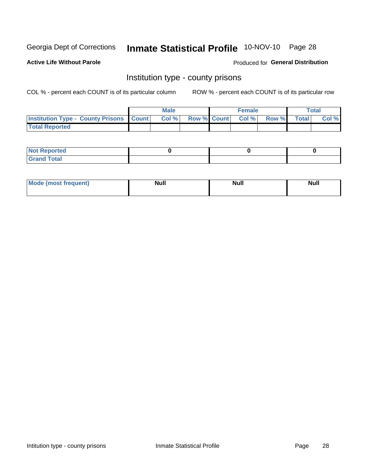# Inmate Statistical Profile 10-NOV-10 Page 28

**Active Life Without Parole** 

Produced for General Distribution

### Institution type - county prisons

COL % - percent each COUNT is of its particular column

|                                                    | <b>Male</b> |                          | <b>Female</b> |             | <b>Total</b> |
|----------------------------------------------------|-------------|--------------------------|---------------|-------------|--------------|
| <b>Institution Type - County Prisons   Count  </b> | Col %       | <b>Row % Count Col %</b> |               | Row % Total | Col %        |
| <b>Total Reported</b>                              |             |                          |               |             |              |

| <b>Not Reported</b>         |  |  |
|-----------------------------|--|--|
| <b>Total</b><br>-<br>______ |  |  |

| <b>Mode</b>      | <b>Null</b> | <b>Null</b> | <b>Null</b> |  |
|------------------|-------------|-------------|-------------|--|
| (most freauent). |             |             |             |  |
|                  |             |             |             |  |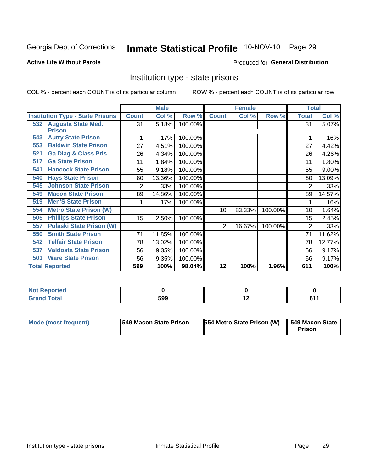# Inmate Statistical Profile 10-NOV-10 Page 29

### **Active Life Without Parole**

#### Produced for General Distribution

### Institution type - state prisons

COL % - percent each COUNT is of its particular column

|                                         |              | <b>Male</b> |         |              | <b>Female</b> |         | <b>Total</b> |        |
|-----------------------------------------|--------------|-------------|---------|--------------|---------------|---------|--------------|--------|
| <b>Institution Type - State Prisons</b> | <b>Count</b> | Col %       | Row %   | <b>Count</b> | Col %         | Row %   | <b>Total</b> | Col %  |
| 532 Augusta State Med.                  | 31           | 5.18%       | 100.00% |              |               |         | 31           | 5.07%  |
| <b>Prison</b>                           |              |             |         |              |               |         |              |        |
| <b>Autry State Prison</b><br>543        |              | .17%        | 100.00% |              |               |         |              | .16%   |
| <b>Baldwin State Prison</b><br>553      | 27           | 4.51%       | 100.00% |              |               |         | 27           | 4.42%  |
| <b>Ga Diag &amp; Class Pris</b><br>521  | 26           | 4.34%       | 100.00% |              |               |         | 26           | 4.26%  |
| <b>Ga State Prison</b><br>517           | 11           | 1.84%       | 100.00% |              |               |         | 11           | 1.80%  |
| <b>Hancock State Prison</b><br>541      | 55           | 9.18%       | 100.00% |              |               |         | 55           | 9.00%  |
| <b>Hays State Prison</b><br>540         | 80           | 13.36%      | 100.00% |              |               |         | 80           | 13.09% |
| <b>Johnson State Prison</b><br>545      | 2            | .33%        | 100.00% |              |               |         | 2            | .33%   |
| <b>Macon State Prison</b><br>549        | 89           | 14.86%      | 100.00% |              |               |         | 89           | 14.57% |
| <b>Men'S State Prison</b><br>519        |              | .17%        | 100.00% |              |               |         |              | .16%   |
| <b>Metro State Prison (W)</b><br>554    |              |             |         | 10           | 83.33%        | 100.00% | 10           | 1.64%  |
| <b>Phillips State Prison</b><br>505     | 15           | 2.50%       | 100.00% |              |               |         | 15           | 2.45%  |
| <b>Pulaski State Prison (W)</b><br>557  |              |             |         | 2            | 16.67%        | 100.00% | 2            | .33%   |
| <b>Smith State Prison</b><br>550        | 71           | 11.85%      | 100.00% |              |               |         | 71           | 11.62% |
| <b>Telfair State Prison</b><br>542      | 78           | 13.02%      | 100.00% |              |               |         | 78           | 12.77% |
| <b>Valdosta State Prison</b><br>537     | 56           | 9.35%       | 100.00% |              |               |         | 56           | 9.17%  |
| <b>Ware State Prison</b><br>501         | 56           | 9.35%       | 100.00% |              |               |         | 56           | 9.17%  |
| <b>Total Reported</b>                   | 599          | 100%        | 98.04%  | 12           | 100%          | 1.96%   | 611          | 100%   |

| <b>Not</b><br>Reported<br>. |     |  |
|-----------------------------|-----|--|
| <b>Total</b><br>'Grano      | 599 |  |

| Mode (most frequent) | <b>1549 Macon State Prison</b> | 554 Metro State Prison (W) | 1549 Macon State<br>Prison |
|----------------------|--------------------------------|----------------------------|----------------------------|
|----------------------|--------------------------------|----------------------------|----------------------------|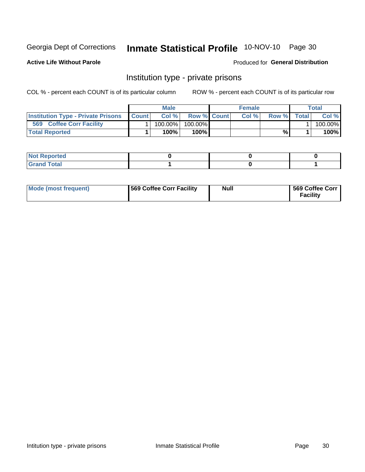# Inmate Statistical Profile 10-NOV-10 Page 30

**Active Life Without Parole** 

Produced for General Distribution

### Institution type - private prisons

COL % - percent each COUNT is of its particular column

|                                           |              | <b>Male</b> |                    | <b>Female</b> |       |              | Total   |
|-------------------------------------------|--------------|-------------|--------------------|---------------|-------|--------------|---------|
| <b>Institution Type - Private Prisons</b> | <b>Count</b> | Col%        | <b>Row % Count</b> | Col $%$       | Row % | <b>Total</b> | Col %   |
| 569<br><b>Coffee Corr Facility</b>        |              | $100.00\%$  | 100.00%            |               |       |              | 100.00% |
| <b>Total Reported</b>                     |              | $100\%$ .   | 100%               |               | %     |              | 100%    |

| Not Reported |  |  |
|--------------|--|--|
|              |  |  |

| Mode (most frequent) | 569 Coffee Corr Facility | <b>Null</b> | 569 Coffee Corr<br><b>Facility</b> |
|----------------------|--------------------------|-------------|------------------------------------|
|----------------------|--------------------------|-------------|------------------------------------|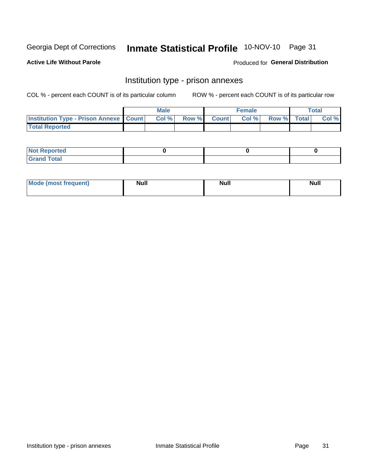# Inmate Statistical Profile 10-NOV-10 Page 31

**Active Life Without Parole** 

**Produced for General Distribution** 

# Institution type - prison annexes

COL % - percent each COUNT is of its particular column

|                                                   | <b>Male</b> |              |       | <b>Female</b> |                    | <b>Total</b> |
|---------------------------------------------------|-------------|--------------|-------|---------------|--------------------|--------------|
| <b>Institution Type - Prison Annexe   Count  </b> | Col %       | <b>Row %</b> | Count | Col %         | <b>Row %</b> Total | Col %        |
| <b>Total Reported</b>                             |             |              |       |               |                    |              |

| <b>Reported</b><br>I NOT |  |  |
|--------------------------|--|--|
| <b>Total</b><br>$C$ ren  |  |  |

| Mor<br><b>ruent</b> )<br>rea<br>nos | <b>Null</b> | <b>Moll</b><br>_____ | . .<br><b>Null</b> |
|-------------------------------------|-------------|----------------------|--------------------|
|                                     |             |                      |                    |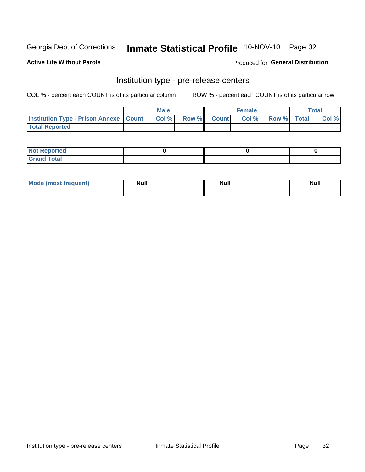# Inmate Statistical Profile 10-NOV-10 Page 32

**Active Life Without Parole** 

Produced for General Distribution

# Institution type - pre-release centers

COL % - percent each COUNT is of its particular column

|                                                   | <b>Male</b> |              |       | <b>Female</b> |                    | <b>Total</b> |
|---------------------------------------------------|-------------|--------------|-------|---------------|--------------------|--------------|
| <b>Institution Type - Prison Annexe   Count  </b> | Col %       | <b>Row %</b> | Count | Col %         | <b>Row %</b> Total | Col %        |
| <b>Total Reported</b>                             |             |              |       |               |                    |              |

| <b>Reported</b><br>I NOT |  |  |
|--------------------------|--|--|
| <b>Total</b><br>$C$ ren  |  |  |

| Mor<br><b>ruent</b> )<br>rea<br>nos | <b>Null</b> | <b>Moll</b><br>_____ | . .<br><b>Null</b> |
|-------------------------------------|-------------|----------------------|--------------------|
|                                     |             |                      |                    |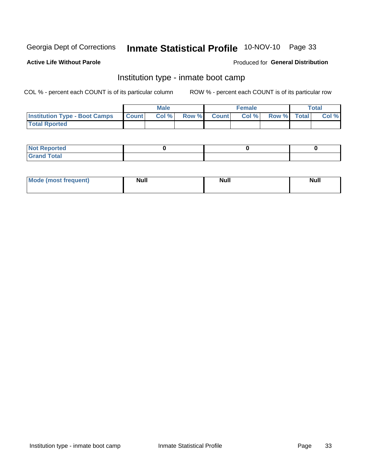# Inmate Statistical Profile 10-NOV-10 Page 33

### **Active Life Without Parole**

#### Produced for General Distribution

# Institution type - inmate boot camp

COL % - percent each COUNT is of its particular column

|                                      |              | <b>Male</b> |             | <b>Female</b> |             | Total |
|--------------------------------------|--------------|-------------|-------------|---------------|-------------|-------|
| <b>Institution Type - Boot Camps</b> | <b>Count</b> | Col %       | Row % Count | Col%          | Row % Total | Col % |
| <b>Total Rported</b>                 |              |             |             |               |             |       |

| <b>Not Reported</b>                       |  |  |
|-------------------------------------------|--|--|
| <b>Total</b><br>C <sub>ucu</sub><br>_____ |  |  |

| <b>Mode (most frequent)</b> | <b>Null</b> | <b>Null</b> | <b>Null</b> |
|-----------------------------|-------------|-------------|-------------|
|                             |             |             |             |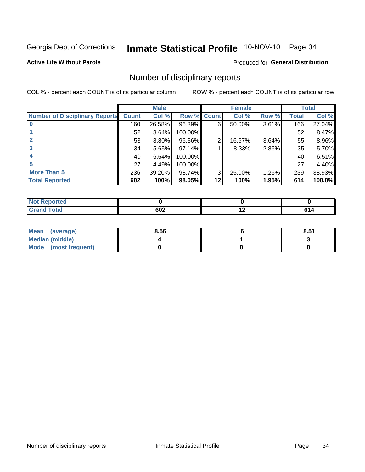# Inmate Statistical Profile 10-NOV-10 Page 34

**Active Life Without Parole** 

#### Produced for General Distribution

### Number of disciplinary reports

COL % - percent each COUNT is of its particular column

|                                       |              | <b>Male</b> |                    |         | <b>Female</b> |          |              | <b>Total</b> |
|---------------------------------------|--------------|-------------|--------------------|---------|---------------|----------|--------------|--------------|
| <b>Number of Disciplinary Reports</b> | <b>Count</b> | Col %       | <b>Row % Count</b> |         | Col %         | Row %    | <b>Total</b> | Col %        |
|                                       | 160          | 26.58%      | 96.39%             | 6       | 50.00%        | $3.61\%$ | 166          | 27.04%       |
|                                       | 52           | 8.64%       | 100.00%            |         |               |          | 52           | 8.47%        |
|                                       | 53           | 8.80%       | 96.36%             | 2       | 16.67%        | 3.64%    | 55           | 8.96%        |
| 3                                     | 34           | 5.65%       | 97.14%             |         | 8.33%         | 2.86%    | 35           | 5.70%        |
|                                       | 40           | 6.64%       | 100.00%            |         |               |          | 40           | 6.51%        |
| 5                                     | 27           | 4.49%       | 100.00%            |         |               |          | 27           | 4.40%        |
| <b>More Than 5</b>                    | 236          | 39.20%      | 98.74%             | 3       | 25.00%        | 1.26%    | 239          | 38.93%       |
| <b>Total Reported</b>                 | 602          | 100%        | 98.05%             | $12 \,$ | 100%          | 1.95%    | 614          | 100.0%       |

| NO.<br>тео |     |             |     |
|------------|-----|-------------|-----|
| Total      | 602 | $\cdot$ $-$ | ,,, |

| Mean (average)       | 8.56 | 8.51 |
|----------------------|------|------|
| Median (middle)      |      |      |
| Mode (most frequent) |      |      |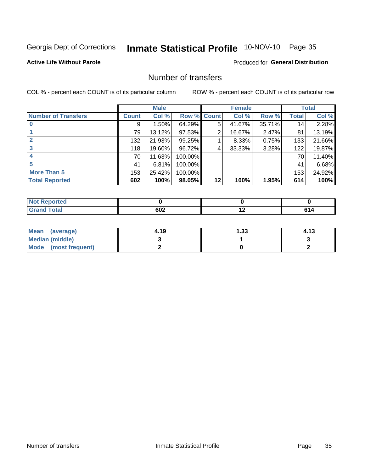# Inmate Statistical Profile 10-NOV-10 Page 35

### **Active Life Without Parole**

#### Produced for General Distribution

# Number of transfers

COL % - percent each COUNT is of its particular column

|                            |              | <b>Male</b> |             |    | <b>Female</b> |        |              | <b>Total</b> |
|----------------------------|--------------|-------------|-------------|----|---------------|--------|--------------|--------------|
| <b>Number of Transfers</b> | <b>Count</b> | Col %       | Row % Count |    | Col %         | Row %  | <b>Total</b> | Col %        |
|                            | 9            | $1.50\%$    | 64.29%      | 5  | 41.67%        | 35.71% | 14           | 2.28%        |
|                            | 79           | 13.12%      | 97.53%      | 2  | 16.67%        | 2.47%  | 81           | 13.19%       |
| $\mathbf{2}$               | 132          | 21.93%      | 99.25%      |    | 8.33%         | 0.75%  | 133          | 21.66%       |
| 3                          | 118          | 19.60%      | 96.72%      | 4  | 33.33%        | 3.28%  | 122          | 19.87%       |
|                            | 70           | 11.63%      | 100.00%     |    |               |        | 70           | 11.40%       |
| 5                          | 41           | 6.81%       | 100.00%     |    |               |        | 41           | 6.68%        |
| <b>More Than 5</b>         | 153          | 25.42%      | 100.00%     |    |               |        | 153          | 24.92%       |
| <b>Total Reported</b>      | 602          | 100%        | 98.05%      | 12 | 100%          | 1.95%  | 614          | 100%         |

| prted<br>NOT |     |     |  |
|--------------|-----|-----|--|
| ™otal        | 602 | . . |  |

| Mean (average)       | 4.19 | 1.33 | 4.13 |
|----------------------|------|------|------|
| Median (middle)      |      |      |      |
| Mode (most frequent) |      |      |      |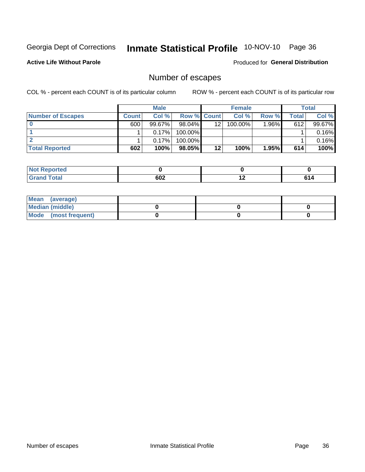# Inmate Statistical Profile 10-NOV-10 Page 36

**Active Life Without Parole** 

Produced for General Distribution

# Number of escapes

COL % - percent each COUNT is of its particular column

|                          |              | <b>Male</b> |                    |    | <b>Female</b> |       |       | Total  |
|--------------------------|--------------|-------------|--------------------|----|---------------|-------|-------|--------|
| <b>Number of Escapes</b> | <b>Count</b> | Col%        | <b>Row % Count</b> |    | Col %         | Row % | Total | Col %  |
|                          | 600          | $99.67\%$   | $98.04\%$          | 12 | 100.00%       | 1.96% | 612   | 99.67% |
|                          |              | 0.17%       | 100.00%            |    |               |       |       | 0.16%  |
|                          |              | 0.17%       | 100.00%            |    |               |       |       | 0.16%  |
| <b>Total Reported</b>    | 602          | 100%        | 98.05%             | 12 | 100%          | 1.95% | 614   | 100%   |

| <b>roorted</b><br><b>NOt Repo</b> |     |     |    |
|-----------------------------------|-----|-----|----|
| <b>Fotal</b><br>Grand             | 602 | . . | c. |

| Mean (average)       |  |  |
|----------------------|--|--|
| Median (middle)      |  |  |
| Mode (most frequent) |  |  |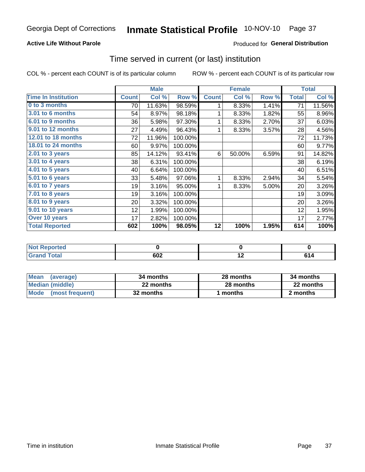#### **Active Life Without Parole**

### **Produced for General Distribution**

### Time served in current (or last) institution

COL % - percent each COUNT is of its particular column

|                            |              | <b>Male</b> |         |              | <b>Female</b> |       |              | <b>Total</b> |
|----------------------------|--------------|-------------|---------|--------------|---------------|-------|--------------|--------------|
| <b>Time In Institution</b> | <b>Count</b> | Col %       | Row %   | <b>Count</b> | Col %         | Row % | <b>Total</b> | Col %        |
| 0 to 3 months              | 70           | 11.63%      | 98.59%  | 1            | 8.33%         | 1.41% | 71           | 11.56%       |
| <b>3.01 to 6 months</b>    | 54           | 8.97%       | 98.18%  | 1            | 8.33%         | 1.82% | 55           | 8.96%        |
| 6.01 to 9 months           | 36           | 5.98%       | 97.30%  | 1            | 8.33%         | 2.70% | 37           | 6.03%        |
| 9.01 to 12 months          | 27           | 4.49%       | 96.43%  |              | 8.33%         | 3.57% | 28           | 4.56%        |
| 12.01 to 18 months         | 72           | 11.96%      | 100.00% |              |               |       | 72           | 11.73%       |
| <b>18.01 to 24 months</b>  | 60           | 9.97%       | 100.00% |              |               |       | 60           | 9.77%        |
| 2.01 to 3 years            | 85           | 14.12%      | 93.41%  | 6            | 50.00%        | 6.59% | 91           | 14.82%       |
| 3.01 to 4 years            | 38           | 6.31%       | 100.00% |              |               |       | 38           | 6.19%        |
| $4.01$ to 5 years          | 40           | 6.64%       | 100.00% |              |               |       | 40           | 6.51%        |
| 5.01 to 6 years            | 33           | 5.48%       | 97.06%  | 1            | 8.33%         | 2.94% | 34           | 5.54%        |
| 6.01 to 7 years            | 19           | 3.16%       | 95.00%  | 1            | 8.33%         | 5.00% | 20           | 3.26%        |
| $7.01$ to 8 years          | 19           | 3.16%       | 100.00% |              |               |       | 19           | 3.09%        |
| 8.01 to 9 years            | 20           | 3.32%       | 100.00% |              |               |       | 20           | 3.26%        |
| 9.01 to 10 years           | 12           | 1.99%       | 100.00% |              |               |       | 12           | 1.95%        |
| Over 10 years              | 17           | 2.82%       | 100.00% |              |               |       | 17           | 2.77%        |
| <b>Total Reported</b>      | 602          | 100%        | 98.05%  | 12           | 100%          | 1.95% | 614          | 100%         |

| <b>orted</b><br><b>NOT</b> |                   |     |  |
|----------------------------|-------------------|-----|--|
| $f \wedge f \wedge f$      | con<br><b>UUZ</b> | . . |  |

| <b>Mean</b><br>(average) | 34 months | 28 months | 34 months |
|--------------------------|-----------|-----------|-----------|
| Median (middle)          | 22 months | 28 months | 22 months |
| Mode (most frequent)     | 32 months | 1 months  | 2 months  |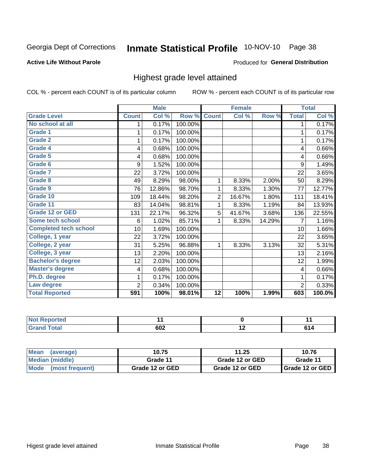# Inmate Statistical Profile 10-NOV-10 Page 38

#### **Active Life Without Parole**

#### Produced for General Distribution

### Highest grade level attained

COL % - percent each COUNT is of its particular column

|                              |                 | <b>Male</b> |         |                | <b>Female</b> |        |                | <b>Total</b> |
|------------------------------|-----------------|-------------|---------|----------------|---------------|--------|----------------|--------------|
| <b>Grade Level</b>           | <b>Count</b>    | Col %       | Row %   | <b>Count</b>   | Col %         | Row %  | <b>Total</b>   | Col %        |
| No school at all             | 1               | 0.17%       | 100.00% |                |               |        | 1              | 0.17%        |
| <b>Grade 1</b>               | 1               | 0.17%       | 100.00% |                |               |        | 1              | 0.17%        |
| <b>Grade 2</b>               | 1               | 0.17%       | 100.00% |                |               |        | 1              | 0.17%        |
| <b>Grade 4</b>               | 4               | 0.68%       | 100.00% |                |               |        | 4              | 0.66%        |
| Grade 5                      | 4               | 0.68%       | 100.00% |                |               |        | 4              | 0.66%        |
| Grade 6                      | 9               | 1.52%       | 100.00% |                |               |        | 9              | 1.49%        |
| <b>Grade 7</b>               | 22              | 3.72%       | 100.00% |                |               |        | 22             | 3.65%        |
| <b>Grade 8</b>               | 49              | 8.29%       | 98.00%  | 1              | 8.33%         | 2.00%  | 50             | 8.29%        |
| <b>Grade 9</b>               | 76              | 12.86%      | 98.70%  | 1              | 8.33%         | 1.30%  | 77             | 12.77%       |
| Grade 10                     | 109             | 18.44%      | 98.20%  | $\overline{2}$ | 16.67%        | 1.80%  | 111            | 18.41%       |
| Grade 11                     | 83              | 14.04%      | 98.81%  | 1              | 8.33%         | 1.19%  | 84             | 13.93%       |
| <b>Grade 12 or GED</b>       | 131             | 22.17%      | 96.32%  | 5              | 41.67%        | 3.68%  | 136            | 22.55%       |
| <b>Some tech school</b>      | 6               | 1.02%       | 85.71%  | 1              | 8.33%         | 14.29% | 7              | 1.16%        |
| <b>Completed tech school</b> | 10 <sup>1</sup> | 1.69%       | 100.00% |                |               |        | 10             | 1.66%        |
| College, 1 year              | 22              | 3.72%       | 100.00% |                |               |        | 22             | 3.65%        |
| College, 2 year              | 31              | 5.25%       | 96.88%  | 1              | 8.33%         | 3.13%  | 32             | 5.31%        |
| College, 3 year              | 13              | 2.20%       | 100.00% |                |               |        | 13             | 2.16%        |
| <b>Bachelor's degree</b>     | 12              | 2.03%       | 100.00% |                |               |        | 12             | 1.99%        |
| <b>Master's degree</b>       | 4               | 0.68%       | 100.00% |                |               |        | 4              | 0.66%        |
| Ph.D. degree                 | 1               | 0.17%       | 100.00% |                |               |        | 1              | 0.17%        |
| Law degree                   | $\overline{2}$  | 0.34%       | 100.00% |                |               |        | $\overline{2}$ | 0.33%        |
| <b>Total Reported</b>        | 591             | 100%        | 98.01%  | 12             | 100%          | 1.99%  | 603            | 100.0%       |

| <b>Reported</b> | $ -$ | $\sim$ $\sim$ |
|-----------------|------|---------------|
| <b>otal</b>     | 602  |               |

| Mean (average)       | 10.75           | 11.25           | 10.76             |
|----------------------|-----------------|-----------------|-------------------|
| Median (middle)      | Grade 11        | Grade 12 or GED | Grade 11          |
| Mode (most frequent) | Grade 12 or GED | Grade 12 or GED | I Grade 12 or GED |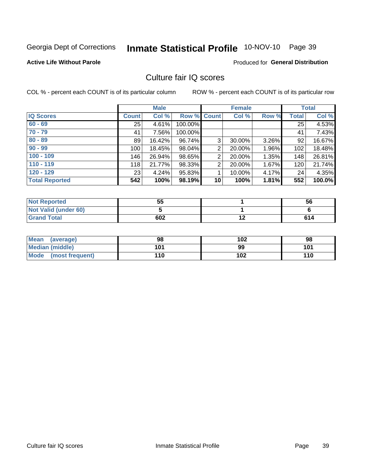# Inmate Statistical Profile 10-NOV-10 Page 39

#### **Active Life Without Parole**

#### Produced for General Distribution

## Culture fair IQ scores

COL % - percent each COUNT is of its particular column

|                       |              | <b>Male</b> |                    |                | <b>Female</b> |       |              | <b>Total</b> |
|-----------------------|--------------|-------------|--------------------|----------------|---------------|-------|--------------|--------------|
| <b>IQ Scores</b>      | <b>Count</b> | Col %       | <b>Row % Count</b> |                | Col %         | Row % | <b>Total</b> | Col %        |
| $60 - 69$             | 25           | 4.61%       | 100.00%            |                |               |       | 25           | 4.53%        |
| $70 - 79$             | 41           | 7.56%       | 100.00%            |                |               |       | 41           | 7.43%        |
| $80 - 89$             | 89           | 16.42%      | 96.74%             | 3              | 30.00%        | 3.26% | 92           | 16.67%       |
| $90 - 99$             | 100          | 18.45%      | 98.04%             | $\overline{2}$ | 20.00%        | 1.96% | 102          | 18.48%       |
| $100 - 109$           | 146          | 26.94%      | 98.65%             | 2              | 20.00%        | 1.35% | 148          | 26.81%       |
| $110 - 119$           | 118          | 21.77%      | 98.33%             | $\overline{2}$ | 20.00%        | 1.67% | 120          | 21.74%       |
| $120 - 129$           | 23           | 4.24%       | 95.83%             | 1              | 10.00%        | 4.17% | 24           | 4.35%        |
| <b>Total Reported</b> | 542          | 100%        | 98.19%             | 10             | 100%          | 1.81% | 552          | 100.0%       |

| <b>Not Reported</b>         | 55  | 56  |
|-----------------------------|-----|-----|
| <b>Not Valid (under 60)</b> |     |     |
| <b>Grand Total</b>          | 602 | 614 |

| Mean (average)       | 98  | 102 | 98  |
|----------------------|-----|-----|-----|
| Median (middle)      | 101 | 99  | 101 |
| Mode (most frequent) | 110 | 102 | 110 |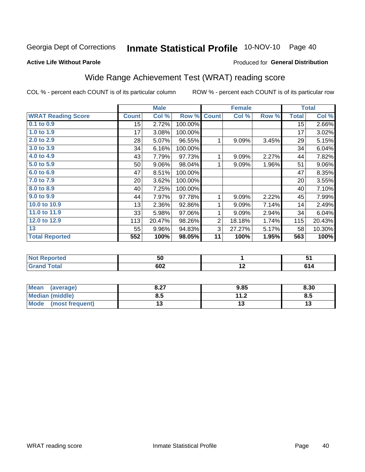# Inmate Statistical Profile 10-NOV-10 Page 40

#### **Active Life Without Parole**

#### Produced for General Distribution

# Wide Range Achievement Test (WRAT) reading score

COL % - percent each COUNT is of its particular column

|                           |                 | <b>Male</b> |         |                | <b>Female</b> |       |              | <b>Total</b> |
|---------------------------|-----------------|-------------|---------|----------------|---------------|-------|--------------|--------------|
| <b>WRAT Reading Score</b> | <b>Count</b>    | Col %       | Row %   | <b>Count</b>   | Col %         | Row % | <b>Total</b> | Col %        |
| $0.1$ to $0.9$            | 15              | 2.72%       | 100.00% |                |               |       | 15           | 2.66%        |
| 1.0 to 1.9                | 17              | 3.08%       | 100.00% |                |               |       | 17           | 3.02%        |
| 2.0 to 2.9                | 28              | 5.07%       | 96.55%  | 1              | 9.09%         | 3.45% | 29           | 5.15%        |
| 3.0 to 3.9                | 34              | 6.16%       | 100.00% |                |               |       | 34           | 6.04%        |
| 4.0 to 4.9                | 43              | 7.79%       | 97.73%  | 1              | 9.09%         | 2.27% | 44           | 7.82%        |
| 5.0 to 5.9                | 50              | 9.06%       | 98.04%  | 1              | 9.09%         | 1.96% | 51           | $9.06\%$     |
| 6.0 to 6.9                | 47              | 8.51%       | 100.00% |                |               |       | 47           | 8.35%        |
| 7.0 to 7.9                | 20 <sup>°</sup> | 3.62%       | 100.00% |                |               |       | 20           | 3.55%        |
| 8.0 to 8.9                | 40              | 7.25%       | 100.00% |                |               |       | 40           | 7.10%        |
| 9.0 to 9.9                | 44              | 7.97%       | 97.78%  | 1              | 9.09%         | 2.22% | 45           | 7.99%        |
| 10.0 to 10.9              | 13              | 2.36%       | 92.86%  | 1              | 9.09%         | 7.14% | 14           | 2.49%        |
| 11.0 to 11.9              | 33              | 5.98%       | 97.06%  | 1              | 9.09%         | 2.94% | 34           | 6.04%        |
| 12.0 to 12.9              | 113             | 20.47%      | 98.26%  | $\overline{2}$ | 18.18%        | 1.74% | 115          | 20.43%       |
| 13                        | 55              | 9.96%       | 94.83%  | 3              | 27.27%        | 5.17% | 58           | 10.30%       |
| <b>Total Reported</b>     | 552             | 100%        | 98.05%  | 11             | 100%          | 1.95% | 563          | 100%         |

| <b>Not Reported</b> | 50  |     |           |
|---------------------|-----|-----|-----------|
| <b>Grand Total</b>  | 602 | . . | C4<br>614 |

| <b>Mean</b><br>(average) | 0.27<br>o.z1 | 9.85          | 8.30 |
|--------------------------|--------------|---------------|------|
| Median (middle)          | ช.อ          | 11 J<br>. . Z | ၓ.Ე  |
| Mode<br>(most frequent)  |              |               | טו   |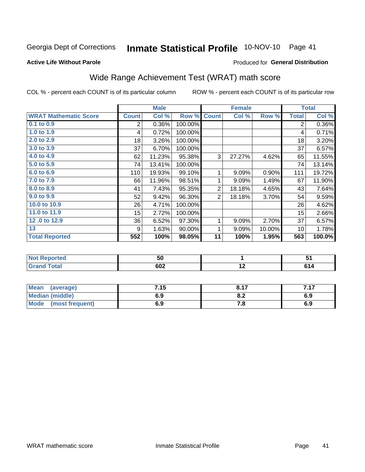# Inmate Statistical Profile 10-NOV-10 Page 41

#### **Active Life Without Parole**

#### Produced for General Distribution

# Wide Range Achievement Test (WRAT) math score

COL % - percent each COUNT is of its particular column

|                              |                  | <b>Male</b> |         |                | <b>Female</b>   |        |              | <b>Total</b>         |
|------------------------------|------------------|-------------|---------|----------------|-----------------|--------|--------------|----------------------|
| <b>WRAT Mathematic Score</b> | <b>Count</b>     | Col %       | Row %   | <b>Count</b>   | Col %           | Row %  | <b>Total</b> | Col %                |
| 0.1 to 0.9                   | $\overline{2}$   | 0.36%       | 100.00% |                |                 |        | 2            | $0.36\%$             |
| 1.0 to 1.9                   | 4                | 0.72%       | 100.00% |                |                 |        | 4            | 0.71%                |
| 2.0 to 2.9                   | 18               | 3.26%       | 100.00% |                |                 |        | 18           | 3.20%                |
| 3.0 to 3.9                   | 37               | 6.70%       | 100.00% |                |                 |        | 37           | 6.57%                |
| 4.0 to 4.9                   | 62               | 11.23%      | 95.38%  | 3              | 27.27%          | 4.62%  | 65           | 11.55%               |
| 5.0 t0 5.9                   | 74               | 13.41%      | 100.00% |                |                 |        | 74           | 13.14%               |
| 6.0 to 6.9                   | 110              | 19.93%      | 99.10%  | 1              | 9.09%           | 0.90%  | 111          | 19.72%               |
| 7.0 to 7.9                   | 66               | 11.96%      | 98.51%  | 1              | 9.09%           | 1.49%  | 67           | 11.90%               |
| 8.0 to 8.9                   | 41               | 7.43%       | 95.35%  | $\overline{2}$ | 18.18%          | 4.65%  | 43           | 7.64%                |
| 9.0 to 9.9                   | 52               | 9.42%       | 96.30%  | $\overline{2}$ | 18.18%          | 3.70%  | 54           | 9.59%                |
| 10.0 to 10.9                 | 26               | 4.71%       | 100.00% |                |                 |        | 26           | 4.62%                |
| 11.0 to 11.9                 | 15 <sub>15</sub> | 2.72%       | 100.00% |                |                 |        | 15           | 2.66%                |
| 12.0 to 12.9                 | 36               | 6.52%       | 97.30%  | 1              | 9.09%           | 2.70%  | 37           | 6.57%                |
| 13                           | 9                | 1.63%       | 90.00%  | 1              | 9.09%           | 10.00% | 10           | 1.78%                |
| <b>Total Reported</b>        | 552              | 100%        | 98.05%  | 11             | 100%            | 1.95%  | 563          | $\overline{100.0\%}$ |
|                              |                  |             |         |                |                 |        |              |                      |
| <b>Not Reported</b>          |                  | 50          |         |                | 1               |        |              | 51                   |
| <b>Grand Total</b>           |                  | 602         |         |                | $\overline{12}$ |        |              | 614                  |

| Mean<br>(average)    | 7.15 | 8.17 | 717<br>. |
|----------------------|------|------|----------|
| Median (middle)      | 6.9  | o.z  | 6.9      |
| Mode (most frequent) | 6.9  | 7.O  | 6.9      |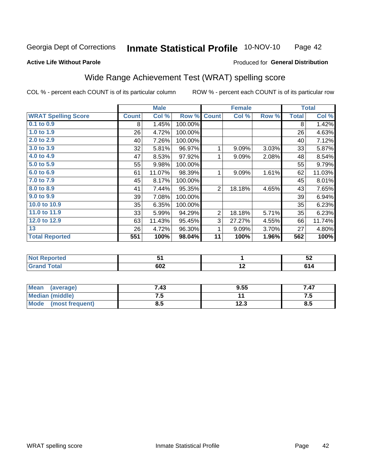#### **Inmate Statistical Profile 10-NOV-10** Page 42

#### **Active Life Without Parole**

#### Produced for General Distribution

# Wide Range Achievement Test (WRAT) spelling score

COL % - percent each COUNT is of its particular column

|                            |              | <b>Male</b> |         |                | <b>Female</b> |       |              | <b>Total</b> |
|----------------------------|--------------|-------------|---------|----------------|---------------|-------|--------------|--------------|
| <b>WRAT Spelling Score</b> | <b>Count</b> | Col %       | Row %   | <b>Count</b>   | Col %         | Row % | <b>Total</b> | Col %        |
| 0.1 to 0.9                 | 8            | 1.45%       | 100.00% |                |               |       | 8            | 1.42%        |
| 1.0 to 1.9                 | 26           | 4.72%       | 100.00% |                |               |       | 26           | 4.63%        |
| 2.0 to 2.9                 | 40           | 7.26%       | 100.00% |                |               |       | 40           | 7.12%        |
| 3.0 to 3.9                 | 32           | 5.81%       | 96.97%  | 1              | 9.09%         | 3.03% | 33           | 5.87%        |
| 4.0 to 4.9                 | 47           | 8.53%       | 97.92%  | 1              | 9.09%         | 2.08% | 48           | 8.54%        |
| 5.0 to 5.9                 | 55           | 9.98%       | 100.00% |                |               |       | 55           | 9.79%        |
| 6.0 to 6.9                 | 61           | 11.07%      | 98.39%  | 1              | 9.09%         | 1.61% | 62           | 11.03%       |
| 7.0 to 7.9                 | 45           | 8.17%       | 100.00% |                |               |       | 45           | 8.01%        |
| 8.0 to 8.9                 | 41           | 7.44%       | 95.35%  | $\overline{2}$ | 18.18%        | 4.65% | 43           | 7.65%        |
| 9.0 to 9.9                 | 39           | 7.08%       | 100.00% |                |               |       | 39           | 6.94%        |
| 10.0 to 10.9               | 35           | 6.35%       | 100.00% |                |               |       | 35           | 6.23%        |
| 11.0 to 11.9               | 33           | 5.99%       | 94.29%  | $\overline{2}$ | 18.18%        | 5.71% | 35           | 6.23%        |
| 12.0 to 12.9               | 63           | 11.43%      | 95.45%  | 3              | 27.27%        | 4.55% | 66           | 11.74%       |
| 13                         | 26           | 4.72%       | 96.30%  | 1              | 9.09%         | 3.70% | 27           | 4.80%        |
| <b>Total Reported</b>      | 551          | 100%        | 98.04%  | 11             | 100%          | 1.96% | 562          | 100%         |
|                            |              |             |         |                |               |       |              |              |
| <b>Not Reported</b>        |              | 51          |         |                | 1             |       |              | 52           |
| <b>Grand Total</b>         |              | 602         |         |                | 12            |       |              | 614          |

| <b>Mean</b><br>(average) | 7.43 | 9.55 | 47. |
|--------------------------|------|------|-----|
| Median (middle)          | .    |      | .   |
| Mode<br>(most frequent)  | ช.ว  | 12.3 | ၓ.Ე |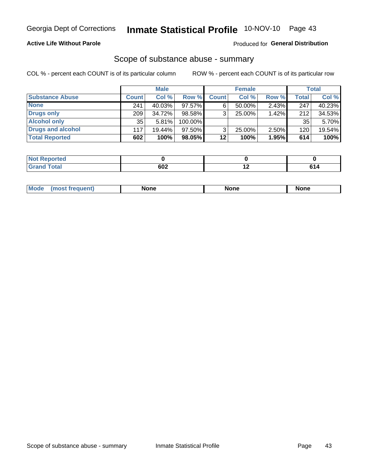#### **Active Life Without Parole**

#### Produced for General Distribution

### Scope of substance abuse - summary

COL % - percent each COUNT is of its particular column

|                        |              | <b>Male</b> |         |              | <b>Female</b> |          |              | <b>Total</b> |
|------------------------|--------------|-------------|---------|--------------|---------------|----------|--------------|--------------|
| <b>Substance Abuse</b> | <b>Count</b> | Col %       | Row %   | <b>Count</b> | Col %         | Row %    | <b>Total</b> | Col %        |
| <b>None</b>            | 241          | 40.03%      | 97.57%I |              | $50.00\%$     | $2.43\%$ | 247          | 40.23%       |
| <b>Drugs only</b>      | 209          | 34.72%      | 98.58%  |              | 25.00%        | 1.42%    | 212          | 34.53%       |
| <b>Alcohol only</b>    | 35           | 5.81%       | 100.00% |              |               |          | 35           | 5.70%        |
| Drugs and alcohol      | 117          | $19.44\%$   | 97.50%  |              | $25.00\%$     | 2.50%    | 120          | 19.54%       |
| <b>Total Reported</b>  | 602          | 100%        | 98.05%  | 12           | 100%          | 1.95%    | 614          | 100%         |

| <b>Not</b><br>Reported       |     |     |
|------------------------------|-----|-----|
| <b>Total</b><br><b>Grand</b> | 602 | - 4 |

| <b>Mod</b><br>'one<br>None<br><b>None</b> |
|-------------------------------------------|
|-------------------------------------------|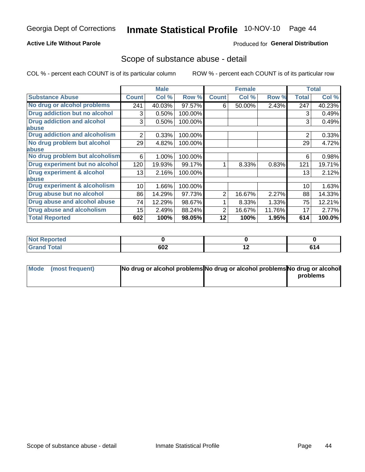#### **Active Life Without Parole**

### **Produced for General Distribution**

### Scope of substance abuse - detail

COL % - percent each COUNT is of its particular column

|                                      |                | <b>Male</b> |         |              | <b>Female</b> |        |                | <b>Total</b> |
|--------------------------------------|----------------|-------------|---------|--------------|---------------|--------|----------------|--------------|
| <b>Substance Abuse</b>               | <b>Count</b>   | Col %       | Row %   | <b>Count</b> | Col %         | Row %  | <b>Total</b>   | Col %        |
| No drug or alcohol problems          | 241            | 40.03%      | 97.57%  | 6            | 50.00%        | 2.43%  | 247            | 40.23%       |
| Drug addiction but no alcohol        | 3              | 0.50%       | 100.00% |              |               |        | 3              | 0.49%        |
| <b>Drug addiction and alcohol</b>    | 3              | 0.50%       | 100.00% |              |               |        | 3              | 0.49%        |
| abuse                                |                |             |         |              |               |        |                |              |
| <b>Drug addiction and alcoholism</b> | $\overline{2}$ | 0.33%       | 100.00% |              |               |        | $\overline{2}$ | 0.33%        |
| No drug problem but alcohol          | 29             | 4.82%       | 100.00% |              |               |        | 29             | 4.72%        |
| abuse                                |                |             |         |              |               |        |                |              |
| No drug problem but alcoholism       | 6              | 1.00%       | 100.00% |              |               |        | 6              | 0.98%        |
| Drug experiment but no alcohol       | 120            | 19.93%      | 99.17%  |              | 8.33%         | 0.83%  | 121            | 19.71%       |
| <b>Drug experiment &amp; alcohol</b> | 13             | 2.16%       | 100.00% |              |               |        | 13             | 2.12%        |
| abuse                                |                |             |         |              |               |        |                |              |
| Drug experiment & alcoholism         | 10             | 1.66%       | 100.00% |              |               |        | 10             | 1.63%        |
| Drug abuse but no alcohol            | 86             | 14.29%      | 97.73%  | 2            | 16.67%        | 2.27%  | 88             | 14.33%       |
| Drug abuse and alcohol abuse         | 74             | 12.29%      | 98.67%  |              | 8.33%         | 1.33%  | 75             | 12.21%       |
| <b>Drug abuse and alcoholism</b>     | 15             | 2.49%       | 88.24%  | 2            | 16.67%        | 11.76% | 17             | 2.77%        |
| <b>Total Reported</b>                | 602            | 100%        | 98.05%  | 12           | 100%          | 1.95%  | 614            | 100.0%       |

| <b>Reported</b><br>I NOT |     |     |                  |
|--------------------------|-----|-----|------------------|
| <b>Fotal</b><br>. Gren   | 602 | . . | c.<br><b>014</b> |

| Mode (most frequent) | No drug or alcohol problems No drug or alcohol problems No drug or alcohol |          |
|----------------------|----------------------------------------------------------------------------|----------|
|                      |                                                                            | problems |
|                      |                                                                            |          |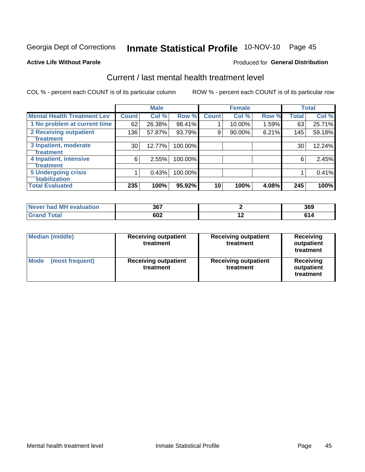# Inmate Statistical Profile 10-NOV-10 Page 45

#### **Active Life Without Parole**

#### **Produced for General Distribution**

# Current / last mental health treatment level

COL % - percent each COUNT is of its particular column

|                                                    |              | <b>Male</b> |         |              | <b>Female</b> |       |              | <b>Total</b> |
|----------------------------------------------------|--------------|-------------|---------|--------------|---------------|-------|--------------|--------------|
| <b>Mental Health Treatment Lev</b>                 | <b>Count</b> | Col %       | Row %   | <b>Count</b> | Col %         | Row % | <b>Total</b> | Col %        |
| 1 No problem at current time                       | 62           | 26.38%      | 98.41%  |              | 10.00%        | 1.59% | 63           | 25.71%       |
| 2 Receiving outpatient<br><b>Treatment</b>         | 136          | 57.87%      | 93.79%  | 9            | 90.00%        | 6.21% | 145          | 59.18%       |
| 3 Inpatient, moderate<br>Treatment                 | 30           | 12.77%      | 100.00% |              |               |       | 30           | 12.24%       |
| 4 Inpatient, intensive<br>Treatment                | 6            | 2.55%       | 100.00% |              |               |       | 6            | 2.45%        |
| <b>5 Undergoing crisis</b><br><b>stabilization</b> |              | 0.43%       | 100.00% |              |               |       |              | 0.41%        |
| <b>Total Evaluated</b>                             | 235          | 100%        | 95.92%  | 10           | 100%          | 4.08% | 245          | 100%         |

| evaluation<br>-M'<br>Never I<br>nar | 367 |     | 369 |
|-------------------------------------|-----|-----|-----|
|                                     | 602 | . . | e a |

| <b>Median (middle)</b>         | <b>Receiving outpatient</b><br>treatment | <b>Receiving outpatient</b><br>treatment | <b>Receiving</b><br>outpatient<br>treatment |  |
|--------------------------------|------------------------------------------|------------------------------------------|---------------------------------------------|--|
| <b>Mode</b><br>(most frequent) | <b>Receiving outpatient</b><br>treatment | <b>Receiving outpatient</b><br>treatment | Receiving<br>outpatient<br>treatment        |  |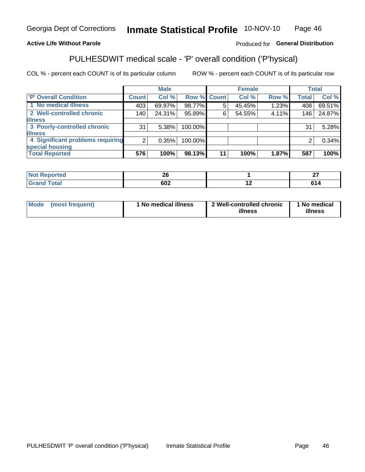#### **Inmate Statistical Profile 10-NOV-10** Page 46

#### **Active Life Without Parole**

#### Produced for General Distribution

# PULHESDWIT medical scale - 'P' overall condition ('P'hysical)

COL % - percent each COUNT is of its particular column

|                                  |         | <b>Male</b> |             |    | <b>Female</b> |       |              | <b>Total</b> |
|----------------------------------|---------|-------------|-------------|----|---------------|-------|--------------|--------------|
| 'P' Overall Condition            | Count l | Col %       | Row % Count |    | Col %         | Row % | <b>Total</b> | Col %        |
| 1 No medical illness             | 403     | 69.97%      | 98.77%      | 5  | 45.45%        | 1.23% | 408          | 69.51%       |
| 2 Well-controlled chronic        | 140     | 24.31%      | 95.89%      | 6  | 54.55%        | 4.11% | 146          | 24.87%       |
| <b>illness</b>                   |         |             |             |    |               |       |              |              |
| 3 Poorly-controlled chronic      | 31      | 5.38%       | 100.00%     |    |               |       | 31           | 5.28%        |
| <b>illness</b>                   |         |             |             |    |               |       |              |              |
| 4 Significant problems requiring | 2       | 0.35%       | 100.00%     |    |               |       | 2            | 0.34%        |
| special housing                  |         |             |             |    |               |       |              |              |
| <b>Total Reported</b>            | 576     | 100%        | 98.13%      | 11 | 100%          | 1.87% | 587          | 100%         |

| oc.<br>ΔU |     | $-$<br>. .<br>-- |
|-----------|-----|------------------|
| con<br>שנ | . . | z                |

| <b>Mode</b> | (most frequent) | 1 No medical illness | 2 Well-controlled chronic<br>illness | 1 No medical<br>illness |
|-------------|-----------------|----------------------|--------------------------------------|-------------------------|
|-------------|-----------------|----------------------|--------------------------------------|-------------------------|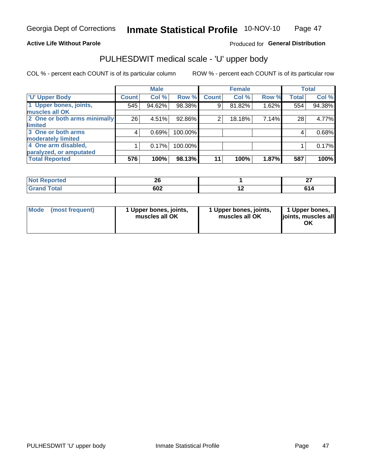#### **Active Life Without Parole**

#### Produced for General Distribution

# PULHESDWIT medical scale - 'U' upper body

COL % - percent each COUNT is of its particular column

|                              |              | <b>Male</b> |         |              | <b>Female</b> |       |              | <b>Total</b> |
|------------------------------|--------------|-------------|---------|--------------|---------------|-------|--------------|--------------|
| <b>U' Upper Body</b>         | <b>Count</b> | Col %       | Row %   | <b>Count</b> | Col %         | Row % | <b>Total</b> | Col %        |
| 1 Upper bones, joints,       | 545          | 94.62%      | 98.38%  | 9            | 81.82%        | 1.62% | 554          | 94.38%       |
| muscles all OK               |              |             |         |              |               |       |              |              |
| 2 One or both arms minimally | 26           | 4.51%       | 92.86%  | 2            | 18.18%        | 7.14% | 28           | 4.77%        |
| limited                      |              |             |         |              |               |       |              |              |
| 3 One or both arms           | 4            | 0.69%       | 100.00% |              |               |       | 4            | 0.68%        |
| <b>moderately limited</b>    |              |             |         |              |               |       |              |              |
| 4 One arm disabled,          |              | 0.17%       | 100.00% |              |               |       |              | 0.17%        |
| paralyzed, or amputated      |              |             |         |              |               |       |              |              |
| <b>Total Reported</b>        | 576          | 100%        | 98.13%  | 11           | 100%          | 1.87% | 587          | 100%         |

| prted<br><b>NOT REDO</b><br>$\sim$ . The set of $\sim$ | ^^<br>__ |    | $\sim$<br>-- |
|--------------------------------------------------------|----------|----|--------------|
| <b>Total</b><br>.                                      | 602      | -- |              |

| Mode | (most frequent) | 1 Upper bones, joints,<br>muscles all OK | 1 Upper bones, joints,<br>muscles all OK | 1 Upper bones,<br>ljoints, muscles all<br>ΟK |
|------|-----------------|------------------------------------------|------------------------------------------|----------------------------------------------|
|------|-----------------|------------------------------------------|------------------------------------------|----------------------------------------------|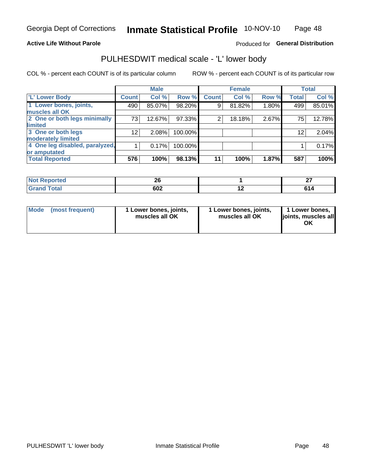#### **Active Life Without Parole**

### Produced for General Distribution

## PULHESDWIT medical scale - 'L' lower body

COL % - percent each COUNT is of its particular column

|                                |                 | <b>Male</b> |         |              | <b>Female</b> |       |              | <b>Total</b> |
|--------------------------------|-----------------|-------------|---------|--------------|---------------|-------|--------------|--------------|
| 'L' Lower Body                 | <b>Count</b>    | Col %       | Row %   | <b>Count</b> | Col %         | Row % | <b>Total</b> | Col %        |
| 1 Lower bones, joints,         | 490             | 85.07%      | 98.20%  | 9            | 81.82%        | 1.80% | 499          | 85.01%       |
| muscles all OK                 |                 |             |         |              |               |       |              |              |
| 2 One or both legs minimally   | 73              | 12.67%      | 97.33%  | 2            | 18.18%        | 2.67% | 75           | 12.78%       |
| limited                        |                 |             |         |              |               |       |              |              |
| 3 One or both legs             | 12 <sub>1</sub> | 2.08%       | 100.00% |              |               |       | 12           | 2.04%        |
| moderately limited             |                 |             |         |              |               |       |              |              |
| 4 One leg disabled, paralyzed, |                 | 0.17%       | 100.00% |              |               |       |              | 0.17%        |
| or amputated                   |                 |             |         |              |               |       |              |              |
| <b>Total Reported</b>          | 576             | 100%        | 98.13%  | 11           | 100%          | 1.87% | 587          | 100%         |

| prted<br><b>NOT REDO</b><br>$\sim$ . The set of $\sim$ | ^^<br>__ |    | $\sim$<br>-- |
|--------------------------------------------------------|----------|----|--------------|
| <b>Total</b><br>.                                      | 602      | -- |              |

| Mode | (most frequent) | 1 Lower bones, joints,<br>muscles all OK | 1 Lower bones, joints,<br>muscles all OK | 1 Lower bones,<br>ljoints, muscles all<br>OK |
|------|-----------------|------------------------------------------|------------------------------------------|----------------------------------------------|
|------|-----------------|------------------------------------------|------------------------------------------|----------------------------------------------|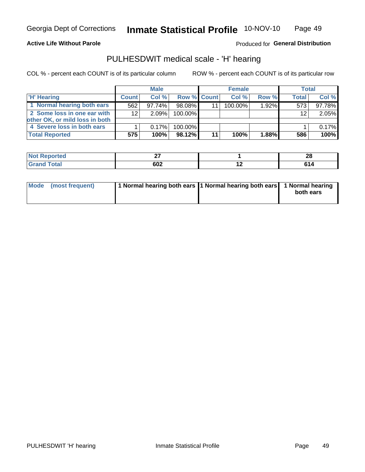#### **Active Life Without Parole**

Produced for General Distribution

## PULHESDWIT medical scale - 'H' hearing

COL % - percent each COUNT is of its particular column

|                                |                 | <b>Male</b> |                    | <b>Female</b> |          | <b>Total</b> |        |
|--------------------------------|-----------------|-------------|--------------------|---------------|----------|--------------|--------|
| <b>H' Hearing</b>              | <b>Count</b>    | Col %       | <b>Row % Count</b> | Col%          | Row %    | <b>Total</b> | Col %  |
| 1 Normal hearing both ears     | 562             | 97.74%      | 98.08%             | 100.00%       | 1.92%    | 573          | 97.78% |
| 2 Some loss in one ear with    | 12 <sup>2</sup> | 2.09%       | 100.00%            |               |          | 12           | 2.05%  |
| other OK, or mild loss in both |                 |             |                    |               |          |              |        |
| 4 Severe loss in both ears     |                 | 0.17%       | 100.00%            |               |          |              | 0.17%  |
| <b>Total Reported</b>          | 575             | 100%        | 98.12%             | 100%          | $1.88\%$ | 586          | 100%   |

| тео         | --        | - -<br>ΔU |
|-------------|-----------|-----------|
| $- \cdot -$ | can<br>שט | 614       |

| Mode (most frequent) | 1 Normal hearing both ears 1 Normal hearing both ears 1 Normal hearing |           |
|----------------------|------------------------------------------------------------------------|-----------|
|                      |                                                                        | both ears |
|                      |                                                                        |           |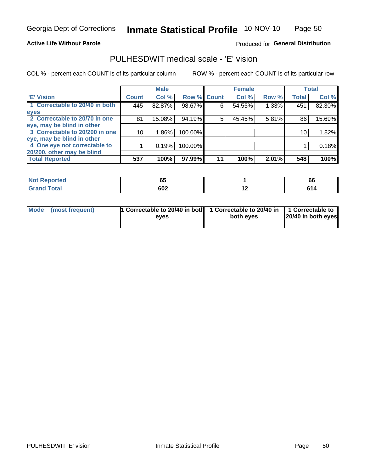**Active Life Without Parole** 

Produced for General Distribution

## PULHESDWIT medical scale - 'E' vision

COL % - percent each COUNT is of its particular column

|                                |              | <b>Male</b> |         |             | <b>Female</b> |       |              | <b>Total</b> |
|--------------------------------|--------------|-------------|---------|-------------|---------------|-------|--------------|--------------|
| <b>E' Vision</b>               | <b>Count</b> | Col %       |         | Row % Count | Col %         | Row % | <b>Total</b> | Col %        |
| 1 Correctable to 20/40 in both | 445          | 82.87%      | 98.67%  | 6           | 54.55%        | 1.33% | 451          | 82.30%       |
| eyes                           |              |             |         |             |               |       |              |              |
| 2 Correctable to 20/70 in one  | 81           | 15.08%      | 94.19%  | 5           | 45.45%        | 5.81% | 86           | 15.69%       |
| eye, may be blind in other     |              |             |         |             |               |       |              |              |
| 3 Correctable to 20/200 in one | 10           | $1.86\%$    | 100.00% |             |               |       | 10           | 1.82%        |
| eye, may be blind in other     |              |             |         |             |               |       |              |              |
| 4 One eye not correctable to   |              | 0.19%       | 100.00% |             |               |       |              | 0.18%        |
| 20/200, other may be blind     |              |             |         |             |               |       |              |              |
| <b>Total Reported</b>          | 537          | 100%        | 97.99%  | 11          | 100%          | 2.01% | 548          | 100%         |

| neo          | - -<br>p: |     | . .<br>. pr |
|--------------|-----------|-----|-------------|
| <b>Total</b> | 602       | . . |             |

| Mode (most frequent) | <sup>1</sup> Correctable to 20/40 in both 1 Correctable to 20/40 in 1 Correctable to<br>eves | both eyes | 20/40 in both eyes |
|----------------------|----------------------------------------------------------------------------------------------|-----------|--------------------|
|                      |                                                                                              |           |                    |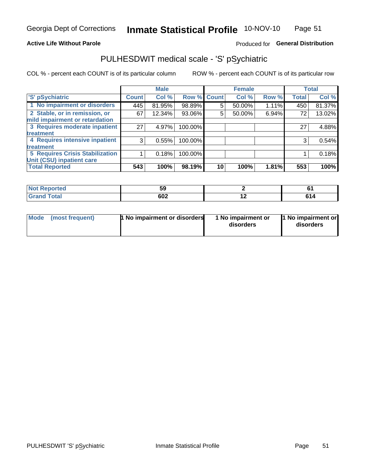#### **Active Life Without Parole**

### Produced for General Distribution

# PULHESDWIT medical scale - 'S' pSychiatric

COL % - percent each COUNT is of its particular column

|                                                                 |              | <b>Male</b> |                    |    | <b>Female</b> |       |              | <b>Total</b> |
|-----------------------------------------------------------------|--------------|-------------|--------------------|----|---------------|-------|--------------|--------------|
| 'S' pSychiatric                                                 | <b>Count</b> | Col %       | <b>Row % Count</b> |    | Col %         | Row % | <b>Total</b> | Col %        |
| 1 No impairment or disorders                                    | 445          | 81.95%      | 98.89%             | 5  | 50.00%        | 1.11% | 450          | 81.37%       |
| 2 Stable, or in remission, or<br>mild impairment or retardation | 67           | 12.34%      | 93.06%             | 5  | 50.00%        | 6.94% | 72           | 13.02%       |
| 3 Requires moderate inpatient                                   | 27           | 4.97%       | 100.00%            |    |               |       | 27           | 4.88%        |
| treatment                                                       |              |             |                    |    |               |       |              |              |
| 4 Requires intensive inpatient                                  | 3            | 0.55%       | 100.00%            |    |               |       | 3            | 0.54%        |
| treatment                                                       |              |             |                    |    |               |       |              |              |
| <b>5 Requires Crisis Stabilization</b>                          |              | 0.18%       | 100.00%            |    |               |       |              | 0.18%        |
| Unit (CSU) inpatient care                                       |              |             |                    |    |               |       |              |              |
| <b>Total Reported</b>                                           | 543          | 100%        | 98.19%             | 10 | 100%          | 1.81% | 553          | 100%         |

| <b>innorted</b><br>NOT<br>Renoi | <br>Jō |     |          |
|---------------------------------|--------|-----|----------|
| <b>Total</b>                    | 602    | . . | <b>.</b> |

| Mode<br>1 No impairment or disorders<br>(most frequent) | 1 No impairment or<br>disorders | 1 No impairment or<br>disorders |
|---------------------------------------------------------|---------------------------------|---------------------------------|
|---------------------------------------------------------|---------------------------------|---------------------------------|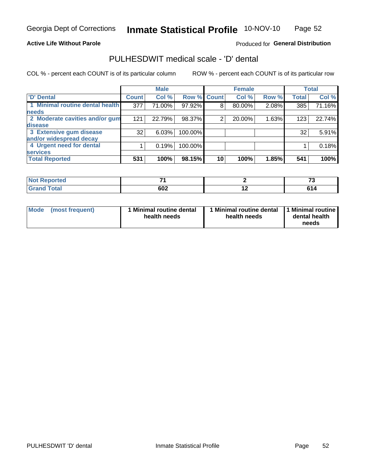#### **Active Life Without Parole**

### Produced for General Distribution

## PULHESDWIT medical scale - 'D' dental

COL % - percent each COUNT is of its particular column

|                                 |                    | <b>Male</b> |         |             | <b>Female</b> |       |              | <b>Total</b> |
|---------------------------------|--------------------|-------------|---------|-------------|---------------|-------|--------------|--------------|
| <b>D'</b> Dental                | Count <sup>1</sup> | Col %       |         | Row % Count | Col %         | Row % | <b>Total</b> | Col %        |
| 1 Minimal routine dental health | 377                | 71.00%      | 97.92%  | 8           | 80.00%        | 2.08% | 385          | 71.16%       |
| <b>needs</b>                    |                    |             |         |             |               |       |              |              |
| 2 Moderate cavities and/or gum  | 121                | 22.79%      | 98.37%  | 2           | 20.00%        | 1.63% | 123          | 22.74%       |
| disease                         |                    |             |         |             |               |       |              |              |
| 3 Extensive gum disease         | 32                 | 6.03%       | 100.00% |             |               |       | 32           | 5.91%        |
| and/or widespread decay         |                    |             |         |             |               |       |              |              |
| 4 Urgent need for dental        |                    | 0.19%       | 100.00% |             |               |       |              | 0.18%        |
| <b>services</b>                 |                    |             |         |             |               |       |              |              |
| <b>Total Reported</b>           | 531                | 100%        | 98.15%  | 10          | 100%          | 1.85% | 541          | 100%         |

| الداريم الألمان<br>rtea<br>N<br>. | $\sim$ |                          | $-$ |
|-----------------------------------|--------|--------------------------|-----|
| $F = 4 - 7$<br><u>i vtal</u>      | 602    | $\overline{\phantom{0}}$ |     |

| <b>Mode</b> | (most frequent) | <b>Minimal routine dental</b><br>health needs | 1 Minimal routine dental<br>health needs | <b>11 Minimal routine I</b><br>dental health<br>needs |
|-------------|-----------------|-----------------------------------------------|------------------------------------------|-------------------------------------------------------|
|-------------|-----------------|-----------------------------------------------|------------------------------------------|-------------------------------------------------------|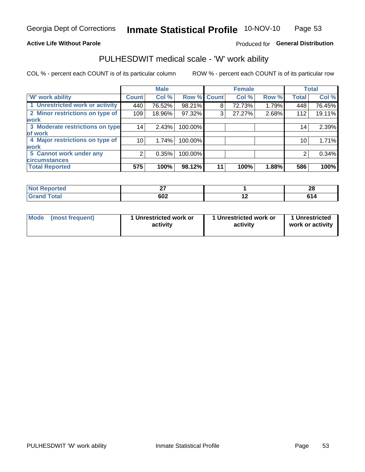#### **Active Life Without Parole**

### Produced for General Distribution

## PULHESDWIT medical scale - 'W' work ability

COL % - percent each COUNT is of its particular column

|                                 |              | <b>Male</b> |         |             | <b>Female</b> |       |              | <b>Total</b> |
|---------------------------------|--------------|-------------|---------|-------------|---------------|-------|--------------|--------------|
| <b>W' work ability</b>          | <b>Count</b> | Col %       |         | Row % Count | Col %         | Row % | <b>Total</b> | Col %        |
| 1 Unrestricted work or activity | 440          | 76.52%      | 98.21%  | 8           | 72.73%        | 1.79% | 448          | 76.45%       |
| 2 Minor restrictions on type of | 109          | 18.96%      | 97.32%  | 3           | 27.27%        | 2.68% | 112          | 19.11%       |
| <b>work</b>                     |              |             |         |             |               |       |              |              |
| 3 Moderate restrictions on type | 14           | 2.43%       | 100.00% |             |               |       | 14           | 2.39%        |
| lof work                        |              |             |         |             |               |       |              |              |
| 4 Major restrictions on type of | 10           | 1.74%       | 100.00% |             |               |       | 10           | 1.71%        |
| <b>work</b>                     |              |             |         |             |               |       |              |              |
| 5 Cannot work under any         | 2            | 0.35%       | 100.00% |             |               |       | 2            | 0.34%        |
| <b>circumstances</b>            |              |             |         |             |               |       |              |              |
| <b>Total Reported</b>           | 575          | 100%        | 98.12%  | 11          | 100%          | 1.88% | 586          | 100%         |

| <b>Not Reported</b> | $\sim$ |     | ഹ<br>40 |
|---------------------|--------|-----|---------|
| <b>Grand Total</b>  | 602    | . . | е4      |

| Mode            | 1 Unrestricted work or | 1 Unrestricted work or | 1 Unrestricted   |
|-----------------|------------------------|------------------------|------------------|
| (most frequent) | activity               | activity               | work or activity |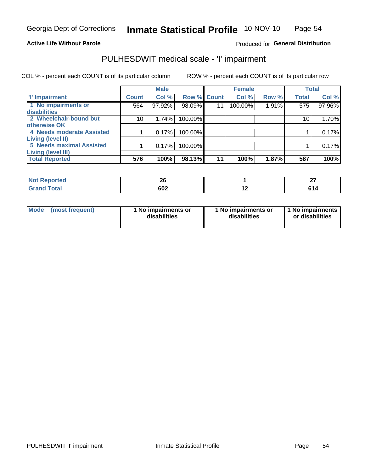#### **Active Life Without Parole**

#### Produced for General Distribution

# PULHESDWIT medical scale - 'I' impairment

COL % - percent each COUNT is of its particular column ROW % - percent each COUNT is of its particular row

|                           |                 | <b>Male</b> |             |    | <b>Female</b> |       |                 | <b>Total</b> |
|---------------------------|-----------------|-------------|-------------|----|---------------|-------|-----------------|--------------|
| <b>T' Impairment</b>      | <b>Count</b>    | Col %       | Row % Count |    | Col %         | Row % | <b>Total</b>    | Col %        |
| 1 No impairments or       | 564             | 97.92%      | 98.09%      | 11 | 100.00%       | 1.91% | 575             | 97.96%       |
| disabilities              |                 |             |             |    |               |       |                 |              |
| 2 Wheelchair-bound but    | 10 <sub>1</sub> | 1.74%       | 100.00%     |    |               |       | 10 <sub>1</sub> | 1.70%        |
| otherwise OK              |                 |             |             |    |               |       |                 |              |
| 4 Needs moderate Assisted |                 | 0.17%       | 100.00%     |    |               |       |                 | 0.17%        |
| Living (level II)         |                 |             |             |    |               |       |                 |              |
| 5 Needs maximal Assisted  |                 | 0.17%       | 100.00%     |    |               |       |                 | 0.17%        |
| Living (level III)        |                 |             |             |    |               |       |                 |              |
| <b>Total Reported</b>     | 576             | 100%        | 98.13%      | 11 | 100%          | 1.87% | 587             | 100%         |

| <b>eported</b> | oc.<br>Z |     | $\sim$<br>-- |
|----------------|----------|-----|--------------|
| Total          | 602      | . . | сл           |

| <b>Mode</b> | (most frequent) | 1 No impairments or<br>disabilities | 1 No impairments or<br>disabilities | 11 No impairments<br>or disabilities |
|-------------|-----------------|-------------------------------------|-------------------------------------|--------------------------------------|
|-------------|-----------------|-------------------------------------|-------------------------------------|--------------------------------------|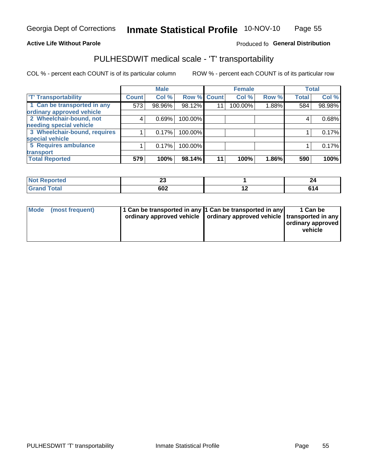#### **Active Life Without Parole**

#### Produced fo General Distribution

# PULHESDWIT medical scale - 'T' transportability

COL % - percent each COUNT is of its particular column

|                              |              | <b>Male</b> |             |    | <b>Female</b> |       |              | <b>Total</b> |
|------------------------------|--------------|-------------|-------------|----|---------------|-------|--------------|--------------|
| <b>T' Transportability</b>   | <b>Count</b> | Col %       | Row % Count |    | Col %         | Row % | <b>Total</b> | Col %        |
| 1 Can be transported in any  | 573          | 98.96%      | 98.12%      | 11 | 100.00%       | 1.88% | 584          | 98.98%       |
| ordinary approved vehicle    |              |             |             |    |               |       |              |              |
| 2 Wheelchair-bound, not      | 4            | 0.69%       | 100.00%     |    |               |       |              | 0.68%        |
| needing special vehicle      |              |             |             |    |               |       |              |              |
| 3 Wheelchair-bound, requires |              | 0.17%       | 100.00%     |    |               |       |              | 0.17%        |
| special vehicle              |              |             |             |    |               |       |              |              |
| 5 Requires ambulance         |              | 0.17%       | 100.00%     |    |               |       |              | 0.17%        |
| transport                    |              |             |             |    |               |       |              |              |
| <b>Total Reported</b>        | 579          | 100%        | 98.14%      | 11 | 100%          | 1.86% | 590          | 100%         |

| NI (<br>oortea | ^^<br>ΔJ |                          | 44 |
|----------------|----------|--------------------------|----|
| υιαι           | 602      | $\overline{\phantom{0}}$ |    |

| <b>Mode</b> | (most frequent) | 11 Can be transported in any 1 Can be transported in any<br>ordinary approved vehicle   ordinary approved vehicle   transported in any |  | 1 Can be<br>ordinary approved<br>vehicle |
|-------------|-----------------|----------------------------------------------------------------------------------------------------------------------------------------|--|------------------------------------------|
|-------------|-----------------|----------------------------------------------------------------------------------------------------------------------------------------|--|------------------------------------------|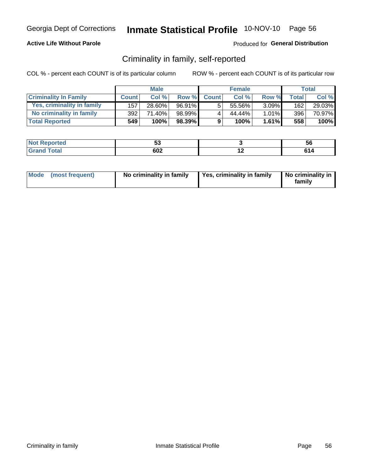#### **Active Life Without Parole**

#### Produced for General Distribution

### Criminality in family, self-reported

COL % - percent each COUNT is of its particular column

|                              |                  | <b>Male</b> |        |              | <b>Female</b> |          |       | Total  |
|------------------------------|------------------|-------------|--------|--------------|---------------|----------|-------|--------|
| <b>Criminality In Family</b> | <b>Count</b>     | Col %       | Row %  | <b>Count</b> | Col %         | Row %    | Total | Col %  |
| Yes, criminality in family   | 157 <sub>1</sub> | 28.60%      | 96.91% | 5            | 55.56%        | $3.09\%$ | 162   | 29.03% |
| No criminality in family     | 392              | 71.40%      | 98.99% | 4            | 44.44%        | $1.01\%$ | 396   | 70.97% |
| <b>Total Reported</b>        | 549              | 100%        | 98.39% | 9            | 100%          | $1.61\%$ | 558   | 100%   |

| المنتقب المتعارف<br>keportea | --<br>uu |     | <b>JC</b> |
|------------------------------|----------|-----|-----------|
| <b>otal</b>                  | 602      | . . | r a       |

| Mode (most frequent) |  | No criminality in family | Yes, criminality in family | No criminality in<br>family |
|----------------------|--|--------------------------|----------------------------|-----------------------------|
|----------------------|--|--------------------------|----------------------------|-----------------------------|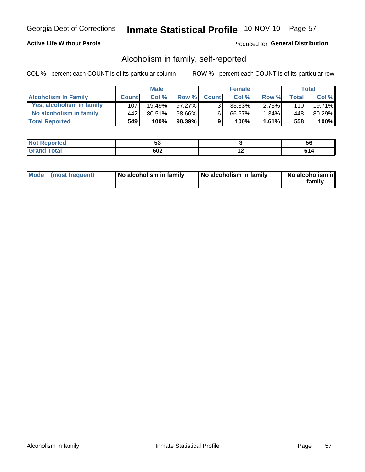#### **Active Life Without Parole**

#### Produced for General Distribution

### Alcoholism in family, self-reported

COL % - percent each COUNT is of its particular column

|                             |              | <b>Male</b> |           |              | <b>Female</b> |          |       | Total  |
|-----------------------------|--------------|-------------|-----------|--------------|---------------|----------|-------|--------|
| <b>Alcoholism In Family</b> | <b>Count</b> | Col%        | Row %     | <b>Count</b> | Col %         | Row %    | Total | Col %  |
| Yes, alcoholism in family   | 107          | $19.49\%$   | 97.27%    | $\mathbf{r}$ | 33.33%        | 2.73%    | 110   | 19.71% |
| No alcoholism in family     | 442          | 80.51%      | 98.66%I   | 6            | 66.67%        | $1.34\%$ | 448   | 80.29% |
| <b>Total Reported</b>       | 549          | 100%        | $98.39\%$ | 9            | 100%          | $1.61\%$ | 558   | 100%   |

| <b>rted</b><br><b>NOT</b> | . .       | วง |
|---------------------------|-----------|----|
| $\sim$<br>$\sim$          | coo<br>שט |    |

|  | Mode (most frequent) | No alcoholism in family | No alcoholism in family | No alcoholism in<br>family |
|--|----------------------|-------------------------|-------------------------|----------------------------|
|--|----------------------|-------------------------|-------------------------|----------------------------|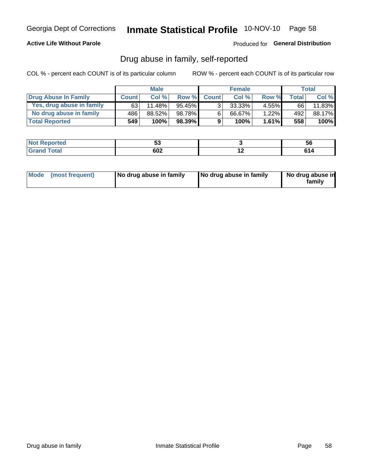#### **Active Life Without Parole**

Produced for General Distribution

### Drug abuse in family, self-reported

COL % - percent each COUNT is of its particular column

|                           |              | <b>Male</b> |        |                | <b>Female</b> |          |              | Total   |
|---------------------------|--------------|-------------|--------|----------------|---------------|----------|--------------|---------|
| Drug Abuse In Family      | <b>Count</b> | Col%        | Row %  | <b>Count</b>   | Col%          | Row %    | <b>Total</b> | Col %   |
| Yes, drug abuse in family | 63           | 11.48%      | 95.45% | 3 <sub>1</sub> | 33.33%        | $4.55\%$ | 66           | 11.83%  |
| No drug abuse in family   | 486          | 88.52%      | 98.78% | 6              | 66.67%        | 1.22%    | 492          | 88.17%  |
| <b>Total Reported</b>     | 549          | 100%        | 98.39% | 9              | 100%          | $1.61\%$ | 558          | $100\%$ |

| <b>Not Reported</b>  | ັ         |     | <b>JQ</b> |
|----------------------|-----------|-----|-----------|
| <b>Total</b><br>Gran | רחם<br>שט | . . | . .       |

|  | Mode (most frequent) | No drug abuse in family | No drug abuse in family | No drug abuse in<br>family |
|--|----------------------|-------------------------|-------------------------|----------------------------|
|--|----------------------|-------------------------|-------------------------|----------------------------|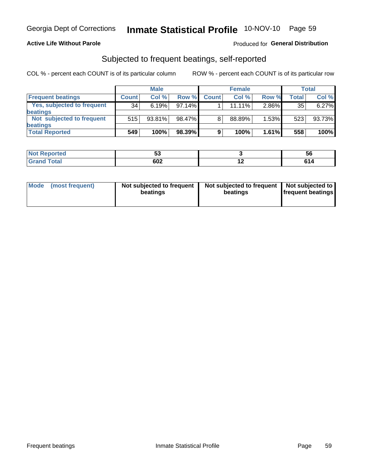#### **Active Life Without Parole**

#### Produced for General Distribution

### Subjected to frequent beatings, self-reported

COL % - percent each COUNT is of its particular column

|                            |                 | <b>Male</b> |        |              | <b>Female</b> |       |       | Total  |
|----------------------------|-----------------|-------------|--------|--------------|---------------|-------|-------|--------|
| <b>Frequent beatings</b>   | <b>Count</b>    | Col %       | Row %  | <b>Count</b> | Col %         | Row % | Total | Col %  |
| Yes, subjected to frequent | 34 <sub>1</sub> | 6.19%       | 97.14% |              | 11.11%        | 2.86% | 35    | 6.27%  |
| <b>beatings</b>            |                 |             |        |              |               |       |       |        |
| Not subjected to frequent  | 515             | 93.81%      | 98.47% | 8            | 88.89%        | 1.53% | 523   | 93.73% |
| <b>beatings</b>            |                 |             |        |              |               |       |       |        |
| <b>Total Reported</b>      | 549             | 100%        | 98.39% | 9            | 100%          | 1.61% | 558   | 100%   |

| <b>Not Reported</b> | --<br>ູບພ |     | 56                    |
|---------------------|-----------|-----|-----------------------|
| <b>Total</b>        | 602       | . . | C <sub>4</sub><br>614 |

| Mode | (most frequent) | Not subjected to frequent<br>beatings | Not subjected to frequent<br>beatings | Not subjected to<br><b>frequent beatings</b> |
|------|-----------------|---------------------------------------|---------------------------------------|----------------------------------------------|
|      |                 |                                       |                                       |                                              |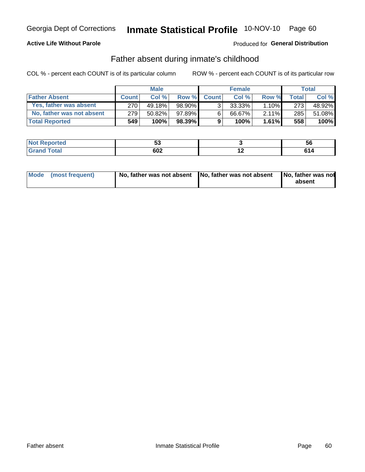#### **Active Life Without Parole**

### **Produced for General Distribution**

### Father absent during inmate's childhood

COL % - percent each COUNT is of its particular column

|                           |              | <b>Male</b> |           |                | <b>Female</b> |          |         | Total   |
|---------------------------|--------------|-------------|-----------|----------------|---------------|----------|---------|---------|
| <b>Father Absent</b>      | <b>Count</b> | Col%        | Row %     | <b>Count</b>   | Col %         | Row %    | Total i | Col %   |
| Yes, father was absent    | 270          | 49.18%      | 98.90%1   | 3 <sub>1</sub> | $33.33\%$     | $1.10\%$ | 273     | 48.92%  |
| No, father was not absent | 279          | 50.82%      | 97.89%    | 6              | 66.67%        | $2.11\%$ | 285     | 51.08%  |
| <b>Total Reported</b>     | 549          | 100%        | $98.39\%$ | 9              | 100%          | $1.61\%$ | 558     | $100\%$ |

| <b>Not Reported</b> | --<br>uu |     | ວເ |
|---------------------|----------|-----|----|
| <b>otal</b>         | cnn      | . . |    |
| Gran                | OUZ      |     |    |

|  | Mode (most frequent) | No, father was not absent No, father was not absent |  | No, father was not<br>absent |
|--|----------------------|-----------------------------------------------------|--|------------------------------|
|--|----------------------|-----------------------------------------------------|--|------------------------------|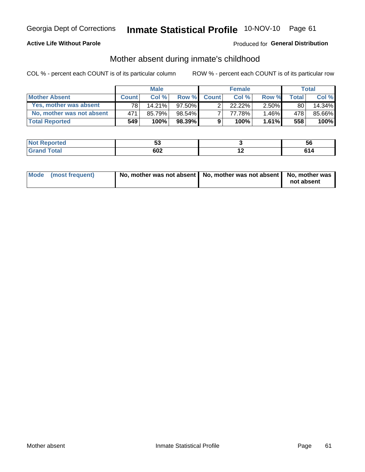#### **Active Life Without Parole**

### **Produced for General Distribution**

### Mother absent during inmate's childhood

COL % - percent each COUNT is of its particular column

|                           |                 | <b>Male</b> |           |              | <b>Female</b> |          |         | Total  |
|---------------------------|-----------------|-------------|-----------|--------------|---------------|----------|---------|--------|
| <b>Mother Absent</b>      | <b>Count</b>    | Col%        | Row %     | <b>Count</b> | Col %         | Row %    | Total ⊧ | Col %  |
| Yes, mother was absent    | 78 <sub>1</sub> | 14.21%      | 97.50%    | ◠            | $22.22\%$     | $2.50\%$ | 80      | 14.34% |
| No, mother was not absent | 471             | 85.79%      | $98.54\%$ |              | 77.78%        | $1.46\%$ | 478     | 85.66% |
| <b>Total Reported</b>     | 549             | 100%        | $98.39\%$ | 9            | 100%          | 1.61%    | 558     | 100%   |

| المنتقب المتعارف<br>keportea | --<br>uu |     | <b>JC</b> |
|------------------------------|----------|-----|-----------|
| <b>otal</b>                  | 602      | . . | r a       |

| Mode (most frequent) | No, mother was not absent   No, mother was not absent   No, mother was | not absent |
|----------------------|------------------------------------------------------------------------|------------|
|----------------------|------------------------------------------------------------------------|------------|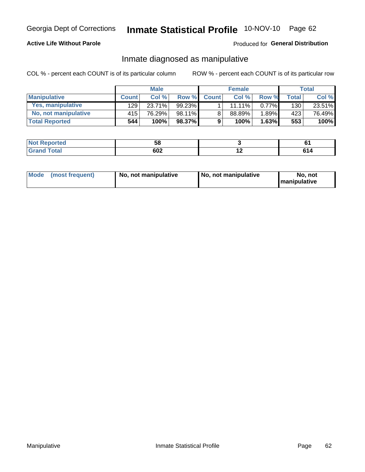#### **Active Life Without Parole**

#### Produced for General Distribution

### Inmate diagnosed as manipulative

COL % - percent each COUNT is of its particular column

|                          |              | <b>Male</b> |        |              | <b>Female</b> |          |              | Total  |
|--------------------------|--------------|-------------|--------|--------------|---------------|----------|--------------|--------|
| <b>Manipulative</b>      | <b>Count</b> | Col %       | Row %  | <b>Count</b> | Col %         | Row %    | <b>Total</b> | Col %  |
| <b>Yes, manipulative</b> | 129 l        | 23.71%      | 99.23% |              | 11.11%        | $0.77\%$ | 130          | 23.51% |
| No, not manipulative     | 415          | 76.29%      | 98.11% | 8            | 88.89%        | 1.89%    | 423          | 76.49% |
| <b>Total Reported</b>    | 544          | 100%        | 98.37% | 9            | 100%          | 1.63%    | 553          | 100%   |

| <b>rted</b><br><b>NOT</b> | --<br>wu   |     |
|---------------------------|------------|-----|
| $\sim$<br>$\sim$          | coo<br>∸טע | ,,, |

| Mode | (most frequent) | No, not manipulative | No, not manipulative | No. not<br><b>I</b> manipulative |
|------|-----------------|----------------------|----------------------|----------------------------------|
|------|-----------------|----------------------|----------------------|----------------------------------|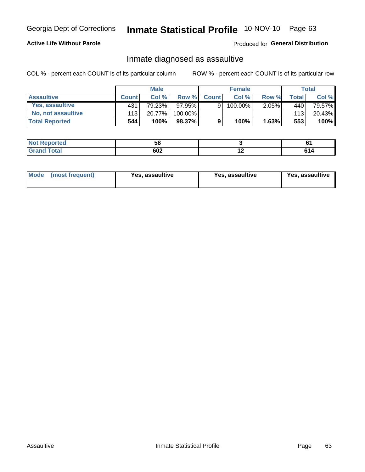# Inmate Statistical Profile 10-NOV-10 Page 63

#### **Active Life Without Parole**

#### Produced for General Distribution

### Inmate diagnosed as assaultive

COL % - percent each COUNT is of its particular column

|                           |              | <b>Male</b> |         |              | <b>Female</b> |          |       | Total  |
|---------------------------|--------------|-------------|---------|--------------|---------------|----------|-------|--------|
| <b>Assaultive</b>         | <b>Count</b> | Col%        | Row %   | <b>Count</b> | Col %         | Row %    | Total | Col %  |
| Yes, assaultive           | 431          | 79.23%      | 97.95%  | 9            | 100.00%       | $2.05\%$ | 440   | 79.57% |
| <b>No, not assaultive</b> | 113          | 20.77%      | 100.00% |              |               |          | 113   | 20.43% |
| <b>Total Reported</b>     | 544          | 100%        | 98.37%  | 9            | 100%          | 1.63%    | 553   | 100%   |

| <b>Reported</b><br><b>NO</b> t<br>. | - -<br>ว๐ |     | U.  |
|-------------------------------------|-----------|-----|-----|
| <b>otal</b>                         | 602       | . . | r., |

| <b>Mode</b><br>(most frequent) | <b>Yes, assaultive</b> | Yes, assaultive | <b>Yes, assaultive</b> |
|--------------------------------|------------------------|-----------------|------------------------|
|--------------------------------|------------------------|-----------------|------------------------|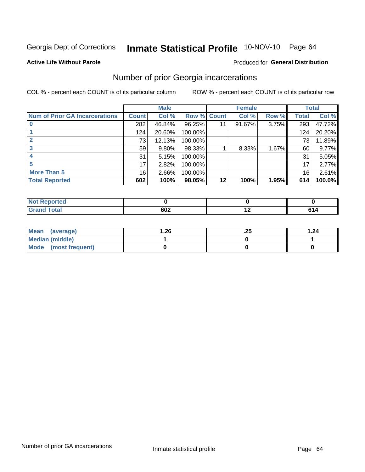# Inmate Statistical Profile 10-NOV-10 Page 64

#### **Active Life Without Parole**

#### Produced for General Distribution

## Number of prior Georgia incarcerations

COL % - percent each COUNT is of its particular column

|                                       |                 | <b>Male</b> |                    |         | <b>Female</b> |       |       | <b>Total</b> |
|---------------------------------------|-----------------|-------------|--------------------|---------|---------------|-------|-------|--------------|
| <b>Num of Prior GA Incarcerations</b> | <b>Count</b>    | Col %       | <b>Row % Count</b> |         | Col %         | Row % | Total | Col %        |
|                                       | 282             | 46.84%      | 96.25%             |         | 91.67%        | 3.75% | 293   | 47.72%       |
|                                       | 124             | 20.60%      | 100.00%            |         |               |       | 124   | 20.20%       |
|                                       | 73              | 12.13%      | 100.00%            |         |               |       | 73    | 11.89%       |
|                                       | 59              | $9.80\%$    | 98.33%             |         | 8.33%         | 1.67% | 60    | 9.77%        |
|                                       | 31              | 5.15%       | 100.00%            |         |               |       | 31    | 5.05%        |
|                                       | 17              | 2.82%       | 100.00%            |         |               |       | 17    | 2.77%        |
| <b>More Than 5</b>                    | 16 <sub>1</sub> | 2.66%       | 100.00%            |         |               |       | 16    | 2.61%        |
| <b>Total Reported</b>                 | 602             | 100%        | 98.05%             | $12 \,$ | 100%          | 1.95% | 614   | 100.0%       |

| <b>orteo</b>                    |     |                     |
|---------------------------------|-----|---------------------|
| <b>otal</b><br>$\mathbf{v}$ and | 602 | - - -<br>$\sqrt{ }$ |

| Mean (average)       | 26.، | ن 2. | 1.24 |
|----------------------|------|------|------|
| Median (middle)      |      |      |      |
| Mode (most frequent) |      |      |      |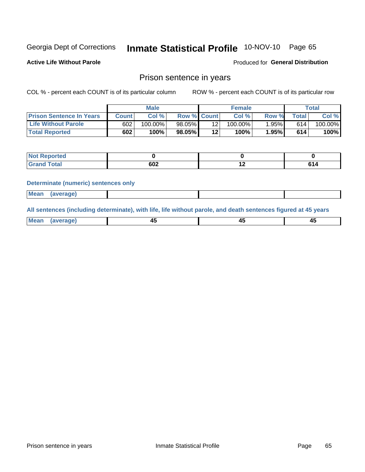# Inmate Statistical Profile 10-NOV-10 Page 65

**Active Life Without Parole** 

Produced for General Distribution

### Prison sentence in years

COL % - percent each COUNT is of its particular column

ROW % - percent each COUNT is of its particular row

|                                 |         | <b>Male</b> |                    |                 | <b>Female</b> |       |             | Total   |
|---------------------------------|---------|-------------|--------------------|-----------------|---------------|-------|-------------|---------|
| <b>Prison Sentence In Years</b> | Count l | Col %       | <b>Row % Count</b> |                 | Col %         | Row % | $\tau$ otal | Col %   |
| <b>Life Without Parole</b>      | 602     | $100.00\%$  | $98.05\%$          |                 | $100.00\%$    | 1.95% | 614         | 100.00% |
| <b>Total Reported</b>           | 602     | 100%        | 98.05%             | 12 <sub>1</sub> | 100%          | 1.95% | 614         | 100%    |

| Not Reported |     |     |  |
|--------------|-----|-----|--|
| <b>otal</b>  | 602 | . . |  |

#### **Determinate (numeric) sentences only**

| <b>Mean</b><br><i>(average)</i> |  |
|---------------------------------|--|
|---------------------------------|--|

All sentences (including determinate), with life, life without parole, and death sentences figured at 45 years

| $M$ ea<br>(average) | $\sim$ | ,,<br>т. |
|---------------------|--------|----------|
|                     |        |          |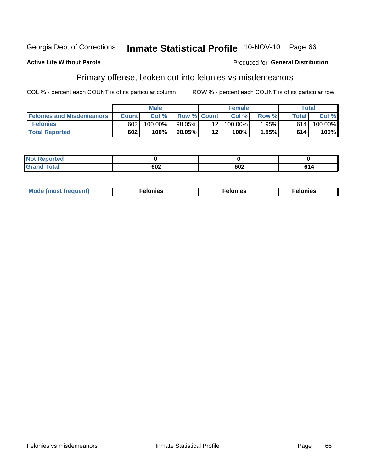#### Georgia Dept of Corrections Inmate Statistical Profile 10-NOV-10 Page 66

#### **Active Life Without Parole**

#### Produced for General Distribution

## Primary offense, broken out into felonies vs misdemeanors

COL % - percent each COUNT is of its particular column

|                                  | <b>Male</b>  |         |                    | <b>Female</b>   |            |       | Total        |         |  |
|----------------------------------|--------------|---------|--------------------|-----------------|------------|-------|--------------|---------|--|
| <b>Felonies and Misdemeanors</b> | <b>Count</b> | Col%    | <b>Row % Count</b> |                 | Col%       | Row % | <b>Total</b> | Col %   |  |
| <b>Felonies</b>                  | 602          | 100.00% | 98.05%             | 12 <sub>1</sub> | $100.00\%$ | 1.95% | 614          | 100.00% |  |
| <b>Total Reported</b>            | 602          | $100\%$ | 98.05%             | 12'             | $100\%$    | 1.95% | 614          | 100%    |  |

| <b>Not Reported</b>          |    |     |     |
|------------------------------|----|-----|-----|
| <b>Total</b><br>Grand<br>uuu | שט | 602 | 614 |

| $Mc$<br>equent)<br>нез<br>$\sim$<br>. | onies<br>. | <b>onies</b><br>. |
|---------------------------------------|------------|-------------------|
|---------------------------------------|------------|-------------------|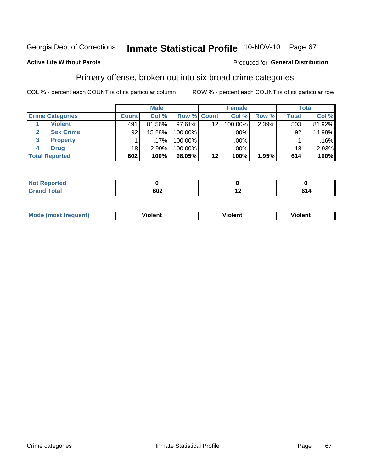# Inmate Statistical Profile 10-NOV-10 Page 67

#### **Active Life Without Parole**

#### Produced for General Distribution

## Primary offense, broken out into six broad crime categories

COL % - percent each COUNT is of its particular column

|                         | <b>Male</b>  |         |         | <b>Female</b>      |         |       | <b>Total</b> |        |
|-------------------------|--------------|---------|---------|--------------------|---------|-------|--------------|--------|
| <b>Crime Categories</b> | <b>Count</b> | Col %   |         | <b>Row % Count</b> | Col %   | Row % | <b>Total</b> | Col %  |
| <b>Violent</b>          | 491          | 81.56%  | 97.61%  | 12                 | 100.00% | 2.39% | 503          | 81.92% |
| <b>Sex Crime</b>        | 92           | 15.28%  | 100.00% |                    | .00%    |       | 92           | 14.98% |
| 3<br><b>Property</b>    |              | $.17\%$ | 100.00% |                    | .00%    |       |              | .16%   |
| <b>Drug</b><br>4        | 18           | 2.99%   | 100.00% |                    | .00%    |       | 18           | 2.93%  |
| <b>Total Reported</b>   | 602          | 100%    | 98.05%  | 12                 | 100%    | 1.95% | 614          | 100%   |

| the company and company with a<br>ortea<br>NOT<br>∴Je RGD⊑<br>$\sim$ |     |                          |             |
|----------------------------------------------------------------------|-----|--------------------------|-------------|
| T <sub>0</sub>                                                       | 602 | $\overline{\phantom{0}}$ | . .<br>, 14 |

| <b>Mode (most frequent)</b> |         |                | --             |
|-----------------------------|---------|----------------|----------------|
|                             | violent | <b>Violent</b> | <b>Violent</b> |
|                             |         |                |                |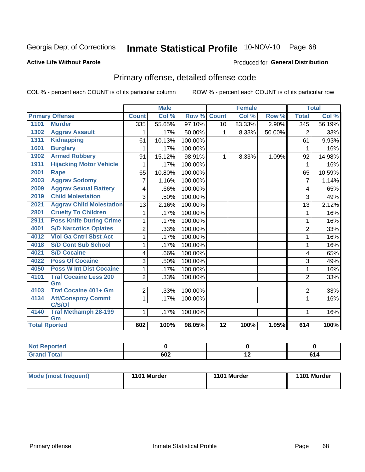# Inmate Statistical Profile 10-NOV-10 Page 68

#### **Active Life Without Parole**

#### Produced for General Distribution

# Primary offense, detailed offense code

COL % - percent each COUNT is of its particular column

|                      |                                     |                | <b>Male</b> |         |                 | <b>Female</b> |        |                  | <b>Total</b> |
|----------------------|-------------------------------------|----------------|-------------|---------|-----------------|---------------|--------|------------------|--------------|
|                      | <b>Primary Offense</b>              | <b>Count</b>   | Col %       | Row %   | <b>Count</b>    | Col %         | Row %  | <b>Total</b>     | Col %        |
| 1101                 | <b>Murder</b>                       | 335            | 55.65%      | 97.10%  | 10 <sup>1</sup> | 83.33%        | 2.90%  | $\overline{345}$ | 56.19%       |
| 1302                 | <b>Aggrav Assault</b>               | 1              | .17%        | 50.00%  | 1               | 8.33%         | 50.00% | $\overline{2}$   | .33%         |
| 1311                 | <b>Kidnapping</b>                   | 61             | 10.13%      | 100.00% |                 |               |        | 61               | 9.93%        |
| 1601                 | <b>Burglary</b>                     |                | .17%        | 100.00% |                 |               |        | 1                | .16%         |
| 1902                 | <b>Armed Robbery</b>                | 91             | 15.12%      | 98.91%  | $\mathbf 1$     | 8.33%         | 1.09%  | 92               | 14.98%       |
| 1911                 | <b>Hijacking Motor Vehicle</b>      |                | .17%        | 100.00% |                 |               |        | 1                | .16%         |
| 2001                 | Rape                                | 65             | 10.80%      | 100.00% |                 |               |        | 65               | 10.59%       |
| 2003                 | <b>Aggrav Sodomy</b>                | 7              | 1.16%       | 100.00% |                 |               |        | 7                | 1.14%        |
| 2009                 | <b>Aggrav Sexual Battery</b>        | 4              | .66%        | 100.00% |                 |               |        | 4                | .65%         |
| 2019                 | <b>Child Molestation</b>            | 3              | .50%        | 100.00% |                 |               |        | 3                | .49%         |
| 2021                 | <b>Aggrav Child Molestation</b>     | 13             | 2.16%       | 100.00% |                 |               |        | 13               | 2.12%        |
| 2801                 | <b>Cruelty To Children</b>          |                | .17%        | 100.00% |                 |               |        | 1                | .16%         |
| 2911                 | <b>Poss Knife During Crime</b>      | 1              | .17%        | 100.00% |                 |               |        | 1                | .16%         |
| 4001                 | <b>S/D Narcotics Opiates</b>        | $\overline{2}$ | .33%        | 100.00% |                 |               |        | $\overline{2}$   | .33%         |
| 4012                 | <b>Viol Ga Cntrl Sbst Act</b>       | 1              | .17%        | 100.00% |                 |               |        | 1                | .16%         |
| 4018                 | <b>S/D Cont Sub School</b>          | 1              | .17%        | 100.00% |                 |               |        | 1                | .16%         |
| 4021                 | <b>S/D Cocaine</b>                  | 4              | .66%        | 100.00% |                 |               |        | 4                | .65%         |
| 4022                 | <b>Poss Of Cocaine</b>              | 3              | .50%        | 100.00% |                 |               |        | 3                | .49%         |
| 4050                 | <b>Poss W Int Dist Cocaine</b>      | 1              | .17%        | 100.00% |                 |               |        | 1                | .16%         |
| 4101                 | <b>Traf Cocaine Less 200</b>        | $\overline{2}$ | .33%        | 100.00% |                 |               |        | $\overline{2}$   | .33%         |
|                      | Gm                                  |                |             |         |                 |               |        |                  |              |
| 4103                 | <b>Traf Cocaine 401+ Gm</b>         | $\overline{2}$ | .33%        | 100.00% |                 |               |        | $\overline{2}$   | .33%         |
| 4134                 | <b>Att/Consprcy Commt</b><br>C/S/Of | $\mathbf 1$    | .17%        | 100.00% |                 |               |        | 1                | .16%         |
| 4140                 | <b>Traf Methamph 28-199</b>         | 1.             | .17%        | 100.00% |                 |               |        | 1                | .16%         |
|                      | Gm                                  |                |             |         |                 |               |        |                  |              |
| <b>Total Rported</b> |                                     | 602            | 100%        | 98.05%  | $\overline{12}$ | 100%          | 1.95%  | 614              | 100%         |

| . Reported<br>$\sim$  |     |                          |    |
|-----------------------|-----|--------------------------|----|
| <b>otal</b><br>______ | 602 | $\overline{\phantom{0}}$ | cа |

| Mode (most frequent) | 1101 Murder | 1101 Murder | 1101 Murder |
|----------------------|-------------|-------------|-------------|
|                      |             |             |             |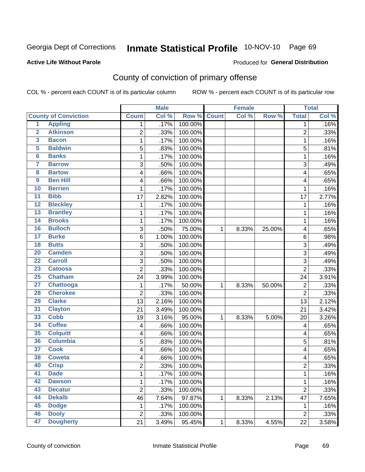#### Inmate Statistical Profile 10-NOV-10 Page 69

#### **Active Life Without Parole**

#### Produced for General Distribution

## County of conviction of primary offense

COL % - percent each COUNT is of its particular column

|                         |                             |                | <b>Male</b> |         |              | <b>Female</b> |        |                  | <b>Total</b> |
|-------------------------|-----------------------------|----------------|-------------|---------|--------------|---------------|--------|------------------|--------------|
|                         | <b>County of Conviction</b> | <b>Count</b>   | Col %       | Row %   | <b>Count</b> | Col %         | Row %  | <b>Total</b>     | Col %        |
| 1                       | <b>Appling</b>              | 1              | .17%        | 100.00% |              |               |        | 1                | .16%         |
| $\overline{2}$          | <b>Atkinson</b>             | $\overline{2}$ | .33%        | 100.00% |              |               |        | $\overline{2}$   | .33%         |
| $\overline{\mathbf{3}}$ | <b>Bacon</b>                | 1              | .17%        | 100.00% |              |               |        | $\mathbf 1$      | .16%         |
| 5                       | <b>Baldwin</b>              | 5              | .83%        | 100.00% |              |               |        | 5                | .81%         |
| $6\phantom{a}$          | <b>Banks</b>                | 1              | .17%        | 100.00% |              |               |        | $\mathbf 1$      | .16%         |
| 7                       | <b>Barrow</b>               | 3              | .50%        | 100.00% |              |               |        | 3                | .49%         |
| 8                       | <b>Bartow</b>               | 4              | .66%        | 100.00% |              |               |        | 4                | .65%         |
| $\overline{9}$          | <b>Ben Hill</b>             | 4              | .66%        | 100.00% |              |               |        | 4                | .65%         |
| 10                      | <b>Berrien</b>              | 1              | .17%        | 100.00% |              |               |        | 1                | .16%         |
| $\overline{11}$         | <b>Bibb</b>                 | 17             | 2.82%       | 100.00% |              |               |        | 17               | 2.77%        |
| $\overline{12}$         | <b>Bleckley</b>             | 1              | .17%        | 100.00% |              |               |        | $\mathbf 1$      | .16%         |
| $\overline{13}$         | <b>Brantley</b>             | 1              | .17%        | 100.00% |              |               |        | $\mathbf{1}$     | .16%         |
| $\overline{14}$         | <b>Brooks</b>               | 1              | .17%        | 100.00% |              |               |        | $\mathbf 1$      | .16%         |
| 16                      | <b>Bulloch</b>              | $\mathbf{3}$   | .50%        | 75.00%  | 1            | 8.33%         | 25.00% | 4                | .65%         |
| $\overline{17}$         | <b>Burke</b>                | $\,6$          | 1.00%       | 100.00% |              |               |        | 6                | .98%         |
| $\overline{18}$         | <b>Butts</b>                | 3              | .50%        | 100.00% |              |               |        | $\sqrt{3}$       | .49%         |
| $\overline{20}$         | <b>Camden</b>               | 3              | .50%        | 100.00% |              |               |        | 3                | .49%         |
| $\overline{22}$         | <b>Carroll</b>              | 3              | .50%        | 100.00% |              |               |        | 3                | .49%         |
| 23                      | <b>Catoosa</b>              | $\overline{2}$ | .33%        | 100.00% |              |               |        | $\overline{2}$   | .33%         |
| 25                      | <b>Chatham</b>              | 24             | 3.99%       | 100.00% |              |               |        | 24               | 3.91%        |
| $\overline{27}$         | Chattooga                   | 1              | .17%        | 50.00%  | $\mathbf{1}$ | 8.33%         | 50.00% | $\overline{2}$   | .33%         |
| 28                      | <b>Cherokee</b>             | $\overline{2}$ | .33%        | 100.00% |              |               |        | $\overline{2}$   | .33%         |
| 29                      | <b>Clarke</b>               | 13             | 2.16%       | 100.00% |              |               |        | 13               | 2.12%        |
| 31                      | <b>Clayton</b>              | 21             | 3.49%       | 100.00% |              |               |        | 21               | 3.42%        |
| 33                      | <b>Cobb</b>                 | 19             | 3.16%       | 95.00%  | $\mathbf{1}$ | 8.33%         | 5.00%  | 20               | 3.26%        |
| 34                      | <b>Coffee</b>               | 4              | .66%        | 100.00% |              |               |        | 4                | .65%         |
| 35                      | <b>Colquitt</b>             | 4              | .66%        | 100.00% |              |               |        | 4                | .65%         |
| 36                      | <b>Columbia</b>             | 5              | .83%        | 100.00% |              |               |        | 5                | .81%         |
| $\overline{37}$         | <b>Cook</b>                 | 4              | .66%        | 100.00% |              |               |        | 4                | .65%         |
| 38                      | <b>Coweta</b>               | 4              | .66%        | 100.00% |              |               |        | 4                | .65%         |
| 40                      | <b>Crisp</b>                | $\overline{c}$ | .33%        | 100.00% |              |               |        | $\overline{c}$   | .33%         |
| 41                      | <b>Dade</b>                 | 1              | .17%        | 100.00% |              |               |        | 1                | .16%         |
| 42                      | <b>Dawson</b>               | $\mathbf{1}$   | .17%        | 100.00% |              |               |        | 1                | .16%         |
| 43                      | <b>Decatur</b>              | $\overline{2}$ | .33%        | 100.00% |              |               |        | $\overline{2}$   | .33%         |
| 44                      | <b>Dekalb</b>               | 46             | 7.64%       | 97.87%  | 1            | 8.33%         | 2.13%  | 47               | 7.65%        |
| 45                      | <b>Dodge</b>                | 1              | .17%        | 100.00% |              |               |        | 1                | .16%         |
| 46                      | <b>Dooly</b>                | $\mathbf 2$    | .33%        | 100.00% |              |               |        | $\boldsymbol{2}$ | .33%         |
| 47                      | <b>Dougherty</b>            | 21             | 3.49%       | 95.45%  | $\mathbf{1}$ | 8.33%         | 4.55%  | 22               | 3.58%        |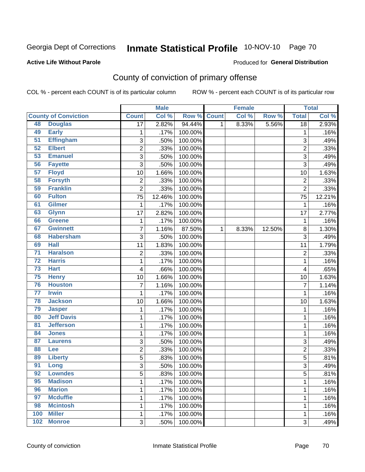# Inmate Statistical Profile 10-NOV-10 Page 70

#### **Active Life Without Parole**

#### Produced for General Distribution

# County of conviction of primary offense

COL % - percent each COUNT is of its particular column

|                 |                             |                         | <b>Male</b> |         |              | <b>Female</b> |        |                | <b>Total</b> |
|-----------------|-----------------------------|-------------------------|-------------|---------|--------------|---------------|--------|----------------|--------------|
|                 | <b>County of Conviction</b> | <b>Count</b>            | Col %       | Row %   | <b>Count</b> | Col %         | Row %  | <b>Total</b>   | Col %        |
| 48              | <b>Douglas</b>              | $\overline{17}$         | 2.82%       | 94.44%  | 1            | 8.33%         | 5.56%  | 18             | 2.93%        |
| 49              | <b>Early</b>                | 1                       | .17%        | 100.00% |              |               |        | 1              | .16%         |
| $\overline{51}$ | <b>Effingham</b>            | 3                       | .50%        | 100.00% |              |               |        | 3              | .49%         |
| 52              | <b>Elbert</b>               | $\overline{2}$          | .33%        | 100.00% |              |               |        | $\overline{2}$ | .33%         |
| 53              | <b>Emanuel</b>              | 3                       | .50%        | 100.00% |              |               |        | 3              | .49%         |
| 56              | <b>Fayette</b>              | $\sqrt{3}$              | .50%        | 100.00% |              |               |        | 3              | .49%         |
| 57              | <b>Floyd</b>                | 10                      | 1.66%       | 100.00% |              |               |        | 10             | 1.63%        |
| 58              | <b>Forsyth</b>              | $\overline{2}$          | .33%        | 100.00% |              |               |        | $\overline{2}$ | .33%         |
| 59              | <b>Franklin</b>             | $\overline{2}$          | .33%        | 100.00% |              |               |        | $\overline{2}$ | .33%         |
| 60              | <b>Fulton</b>               | 75                      | 12.46%      | 100.00% |              |               |        | 75             | 12.21%       |
| 61              | <b>Gilmer</b>               | 1                       | .17%        | 100.00% |              |               |        | $\mathbf 1$    | .16%         |
| 63              | <b>Glynn</b>                | 17                      | 2.82%       | 100.00% |              |               |        | 17             | 2.77%        |
| 66              | <b>Greene</b>               | 1                       | .17%        | 100.00% |              |               |        | $\mathbf 1$    | .16%         |
| 67              | <b>Gwinnett</b>             | 7                       | 1.16%       | 87.50%  | 1            | 8.33%         | 12.50% | 8              | 1.30%        |
| 68              | <b>Habersham</b>            | 3                       | .50%        | 100.00% |              |               |        | 3              | .49%         |
| 69              | <b>Hall</b>                 | 11                      | 1.83%       | 100.00% |              |               |        | 11             | 1.79%        |
| $\overline{71}$ | <b>Haralson</b>             | $\overline{2}$          | .33%        | 100.00% |              |               |        | $\overline{2}$ | .33%         |
| $\overline{72}$ | <b>Harris</b>               | 1                       | .17%        | 100.00% |              |               |        | 1              | .16%         |
| $\overline{73}$ | <b>Hart</b>                 | $\overline{\mathbf{4}}$ | .66%        | 100.00% |              |               |        | 4              | .65%         |
| 75              | <b>Henry</b>                | 10                      | 1.66%       | 100.00% |              |               |        | 10             | 1.63%        |
| 76              | <b>Houston</b>              | $\overline{7}$          | 1.16%       | 100.00% |              |               |        | $\overline{7}$ | 1.14%        |
| $\overline{77}$ | <b>Irwin</b>                | 1                       | .17%        | 100.00% |              |               |        | $\mathbf{1}$   | .16%         |
| 78              | <b>Jackson</b>              | 10                      | 1.66%       | 100.00% |              |               |        | 10             | 1.63%        |
| 79              | <b>Jasper</b>               | 1                       | .17%        | 100.00% |              |               |        | 1              | .16%         |
| 80              | <b>Jeff Davis</b>           | 1                       | .17%        | 100.00% |              |               |        | 1              | .16%         |
| $\overline{81}$ | <b>Jefferson</b>            | 1                       | .17%        | 100.00% |              |               |        | 1              | .16%         |
| 84              | <b>Jones</b>                | 1                       | .17%        | 100.00% |              |               |        | $\mathbf 1$    | .16%         |
| 87              | <b>Laurens</b>              | $\sqrt{3}$              | .50%        | 100.00% |              |               |        | $\sqrt{3}$     | .49%         |
| 88              | Lee                         | 2                       | .33%        | 100.00% |              |               |        | $\overline{c}$ | .33%         |
| 89              | <b>Liberty</b>              | 5                       | .83%        | 100.00% |              |               |        | 5              | .81%         |
| $\overline{91}$ | Long                        | 3                       | .50%        | 100.00% |              |               |        | 3              | .49%         |
| 92              | <b>Lowndes</b>              | 5                       | .83%        | 100.00% |              |               |        | 5              | .81%         |
| 95              | <b>Madison</b>              | 1                       | .17%        | 100.00% |              |               |        | $\mathbf{1}$   | .16%         |
| 96              | <b>Marion</b>               | 1                       | .17%        | 100.00% |              |               |        | $\mathbf{1}$   | .16%         |
| 97              | <b>Mcduffie</b>             | 1                       | .17%        | 100.00% |              |               |        | $\mathbf{1}$   | .16%         |
| 98              | <b>Mcintosh</b>             | 1                       | .17%        | 100.00% |              |               |        | 1              | .16%         |
| 100             | <b>Miller</b>               | 1                       | .17%        | 100.00% |              |               |        | $\mathbf 1$    | .16%         |
| 102             | <b>Monroe</b>               | $\mathfrak{S}$          | .50%        | 100.00% |              |               |        | 3              | .49%         |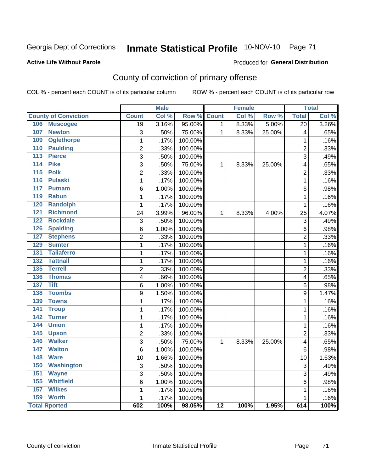# Inmate Statistical Profile 10-NOV-10 Page 71

#### **Active Life Without Parole**

#### Produced for General Distribution

# County of conviction of primary offense

COL % - percent each COUNT is of its particular column

|                                     |                         | <b>Male</b> |         |                 | <b>Female</b> |        |                         | <b>Total</b> |
|-------------------------------------|-------------------------|-------------|---------|-----------------|---------------|--------|-------------------------|--------------|
| <b>County of Conviction</b>         | <b>Count</b>            | Col %       | Row %   | <b>Count</b>    | Col %         | Row %  | <b>Total</b>            | Col %        |
| 106<br><b>Muscogee</b>              | $\overline{19}$         | 3.16%       | 95.00%  | 1               | 8.33%         | 5.00%  | $\overline{20}$         | 3.26%        |
| 107<br><b>Newton</b>                | 3                       | .50%        | 75.00%  | 1               | 8.33%         | 25.00% | 4                       | .65%         |
| 109<br><b>Oglethorpe</b>            | 1                       | .17%        | 100.00% |                 |               |        | 1                       | .16%         |
| 110<br><b>Paulding</b>              | $\overline{2}$          | .33%        | 100.00% |                 |               |        | $\overline{2}$          | .33%         |
| 113<br><b>Pierce</b>                | 3                       | .50%        | 100.00% |                 |               |        | $\overline{3}$          | .49%         |
| <b>Pike</b><br>114                  | 3                       | .50%        | 75.00%  | $\mathbf{1}$    | 8.33%         | 25.00% | $\overline{\mathbf{4}}$ | .65%         |
| $\overline{115}$<br><b>Polk</b>     | $\overline{2}$          | .33%        | 100.00% |                 |               |        | $\overline{2}$          | .33%         |
| 116<br><b>Pulaski</b>               | $\mathbf{1}$            | .17%        | 100.00% |                 |               |        | 1                       | .16%         |
| 117<br><b>Putnam</b>                | 6                       | 1.00%       | 100.00% |                 |               |        | 6                       | .98%         |
| <b>Rabun</b><br>119                 | $\mathbf{1}$            | .17%        | 100.00% |                 |               |        | $\mathbf 1$             | .16%         |
| 120<br><b>Randolph</b>              | $\mathbf 1$             | .17%        | 100.00% |                 |               |        | 1                       | .16%         |
| 121<br><b>Richmond</b>              | 24                      | 3.99%       | 96.00%  | $\mathbf{1}$    | 8.33%         | 4.00%  | 25                      | 4.07%        |
| <b>Rockdale</b><br>122              | 3                       | .50%        | 100.00% |                 |               |        | $\sqrt{3}$              | .49%         |
| <b>Spalding</b><br>126              | 6                       | 1.00%       | 100.00% |                 |               |        | 6                       | .98%         |
| 127<br><b>Stephens</b>              | $\overline{2}$          | .33%        | 100.00% |                 |               |        | $\overline{2}$          | .33%         |
| <b>Sumter</b><br>129                | $\mathbf{1}$            | .17%        | 100.00% |                 |               |        | $\mathbf 1$             | .16%         |
| <b>Taliaferro</b><br>131            | 1                       | .17%        | 100.00% |                 |               |        | 1                       | .16%         |
| $\overline{132}$<br><b>Tattnall</b> | 1                       | .17%        | 100.00% |                 |               |        | 1                       | .16%         |
| 135<br><b>Terrell</b>               | $\overline{c}$          | .33%        | 100.00% |                 |               |        | $\overline{c}$          | .33%         |
| 136<br><b>Thomas</b>                | $\overline{\mathbf{4}}$ | .66%        | 100.00% |                 |               |        | $\overline{\mathbf{4}}$ | .65%         |
| <b>Tift</b><br>137                  | 6                       | 1.00%       | 100.00% |                 |               |        | 6                       | .98%         |
| <b>Toombs</b><br>138                | $\overline{9}$          | 1.50%       | 100.00% |                 |               |        | $\boldsymbol{9}$        | 1.47%        |
| 139<br><b>Towns</b>                 | $\mathbf 1$             | .17%        | 100.00% |                 |               |        | $\mathbf 1$             | .16%         |
| 141<br><b>Troup</b>                 | $\mathbf 1$             | .17%        | 100.00% |                 |               |        | $\mathbf 1$             | .16%         |
| 142<br><b>Turner</b>                | $\mathbf 1$             | .17%        | 100.00% |                 |               |        | $\mathbf 1$             | .16%         |
| <b>Union</b><br>144                 | $\overline{1}$          | .17%        | 100.00% |                 |               |        | $\overline{1}$          | .16%         |
| 145<br><b>Upson</b>                 | $\overline{2}$          | .33%        | 100.00% |                 |               |        | $\overline{2}$          | .33%         |
| <b>Walker</b><br>146                | $\overline{3}$          | .50%        | 75.00%  | 1               | 8.33%         | 25.00% | 4                       | .65%         |
| 147<br><b>Walton</b>                | $\overline{6}$          | 1.00%       | 100.00% |                 |               |        | 6                       | .98%         |
| <b>Ware</b><br>148                  | 10                      | 1.66%       | 100.00% |                 |               |        | 10                      | 1.63%        |
| 150<br><b>Washington</b>            | 3                       | .50%        | 100.00% |                 |               |        | 3                       | .49%         |
| 151<br><b>Wayne</b>                 | 3                       | .50%        | 100.00% |                 |               |        | 3                       | .49%         |
| 155<br><b>Whitfield</b>             | 6                       | 1.00%       | 100.00% |                 |               |        | 6                       | .98%         |
| <b>Wilkes</b><br>157                | $\mathbf{1}$            | .17%        | 100.00% |                 |               |        | $\mathbf{1}$            | .16%         |
| 159<br><b>Worth</b>                 | $\mathbf{1}$            | .17%        | 100.00% |                 |               |        | $\mathbf{1}$            | .16%         |
| <b>Total Rported</b>                | 602                     | 100%        | 98.05%  | $\overline{12}$ | 100%          | 1.95%  | 614                     | 100%         |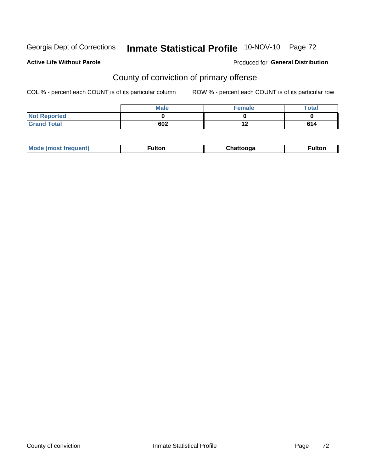# Inmate Statistical Profile 10-NOV-10 Page 72

#### **Active Life Without Parole**

#### Produced for General Distribution

# County of conviction of primary offense

COL % - percent each COUNT is of its particular column

|                     | <b>Male</b> | <b>Female</b> | <b>Total</b> |
|---------------------|-------------|---------------|--------------|
| <b>Not Reported</b> |             |               |              |
| <b>Grand Total</b>  | 602         | 42<br>1 Z     | 614          |

| Mode (most frequent)<br><b>ulton</b><br>™ulton<br>ooaa |
|--------------------------------------------------------|
|--------------------------------------------------------|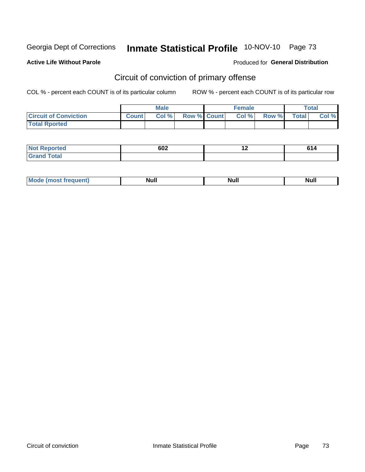Georgia Dept of Corrections

## Inmate Statistical Profile 10-NOV-10 Page 73

### **Active Life Without Parole**

### Produced for General Distribution

## Circuit of conviction of primary offense

COL % - percent each COUNT is of its particular column

|                              | <b>Male</b>  |       |                    | <b>Female</b> |       |       | <b>Total</b> |       |
|------------------------------|--------------|-------|--------------------|---------------|-------|-------|--------------|-------|
| <b>Circuit of Conviction</b> | <b>Count</b> | Col % | <b>Row % Count</b> |               | Col % | Row % | <b>Total</b> | Col % |
| <b>Total Rported</b>         |              |       |                    |               |       |       |              |       |

| Not R                   | 602  |             | CA. |
|-------------------------|------|-------------|-----|
| <b>roorted</b>          | $ -$ | <u>. . </u> | 014 |
| <b>Total</b><br>$C$ ror |      |             |     |

| <b>Mode</b><br>frequent)<br>. | <b>Null</b> | <b>Nul</b> ı<br>------ | <b>Null</b> |
|-------------------------------|-------------|------------------------|-------------|
|-------------------------------|-------------|------------------------|-------------|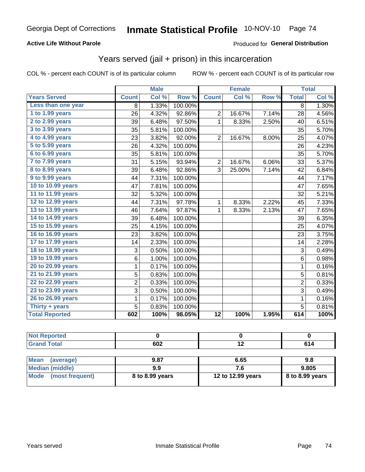### **Active Life Without Parole**

#### Produced for General Distribution

## Years served (jail + prison) in this incarceration

COL % - percent each COUNT is of its particular column

|                       |                | <b>Male</b> |         |                | <b>Female</b> |       |                | <b>Total</b> |
|-----------------------|----------------|-------------|---------|----------------|---------------|-------|----------------|--------------|
| <b>Years Served</b>   | <b>Count</b>   | Col %       | Row %   | <b>Count</b>   | Col %         | Row % | <b>Total</b>   | Col %        |
| Less than one year    | 8              | 1.33%       | 100.00% |                |               |       | 8              | 1.30%        |
| 1 to 1.99 years       | 26             | 4.32%       | 92.86%  | $\overline{2}$ | 16.67%        | 7.14% | 28             | 4.56%        |
| 2 to 2.99 years       | 39             | 6.48%       | 97.50%  | $\mathbf{1}$   | 8.33%         | 2.50% | 40             | 6.51%        |
| 3 to 3.99 years       | 35             | 5.81%       | 100.00% |                |               |       | 35             | 5.70%        |
| 4 to 4.99 years       | 23             | 3.82%       | 92.00%  | $\overline{2}$ | 16.67%        | 8.00% | 25             | 4.07%        |
| $5$ to $5.99$ years   | 26             | 4.32%       | 100.00% |                |               |       | 26             | 4.23%        |
| 6 to 6.99 years       | 35             | 5.81%       | 100.00% |                |               |       | 35             | 5.70%        |
| 7 to 7.99 years       | 31             | 5.15%       | 93.94%  | $\overline{2}$ | 16.67%        | 6.06% | 33             | 5.37%        |
| 8 to 8.99 years       | 39             | 6.48%       | 92.86%  | 3              | 25.00%        | 7.14% | 42             | 6.84%        |
| 9 to 9.99 years       | 44             | 7.31%       | 100.00% |                |               |       | 44             | 7.17%        |
| 10 to 10.99 years     | 47             | 7.81%       | 100.00% |                |               |       | 47             | 7.65%        |
| 11 to 11.99 years     | 32             | 5.32%       | 100.00% |                |               |       | 32             | 5.21%        |
| 12 to 12.99 years     | 44             | 7.31%       | 97.78%  | 1              | 8.33%         | 2.22% | 45             | 7.33%        |
| 13 to 13.99 years     | 46             | 7.64%       | 97.87%  | $\mathbf 1$    | 8.33%         | 2.13% | 47             | 7.65%        |
| 14 to 14.99 years     | 39             | 6.48%       | 100.00% |                |               |       | 39             | 6.35%        |
| 15 to 15.99 years     | 25             | 4.15%       | 100.00% |                |               |       | 25             | 4.07%        |
| 16 to 16.99 years     | 23             | 3.82%       | 100.00% |                |               |       | 23             | 3.75%        |
| 17 to 17.99 years     | 14             | 2.33%       | 100.00% |                |               |       | 14             | 2.28%        |
| 18 to 18.99 years     | 3              | 0.50%       | 100.00% |                |               |       | 3              | 0.49%        |
| 19 to 19.99 years     | 6              | 1.00%       | 100.00% |                |               |       | $\,6$          | 0.98%        |
| 20 to 20.99 years     | 1              | 0.17%       | 100.00% |                |               |       | $\mathbf{1}$   | 0.16%        |
| 21 to 21.99 years     | 5              | 0.83%       | 100.00% |                |               |       | $\overline{5}$ | 0.81%        |
| 22 to 22.99 years     | $\overline{2}$ | 0.33%       | 100.00% |                |               |       | $\overline{2}$ | 0.33%        |
| 23 to 23.99 years     | 3              | 0.50%       | 100.00% |                |               |       | $\overline{3}$ | 0.49%        |
| 26 to 26.99 years     | 1              | 0.17%       | 100.00% |                |               |       | $\mathbf{1}$   | 0.16%        |
| Thirty $+$ years      | 5              | 0.83%       | 100.00% |                |               |       | 5              | 0.81%        |
| <b>Total Reported</b> | 602            | 100%        | 98.05%  | 12             | 100%          | 1.95% | 614            | 100%         |

| <b>Not Reported</b>      |                 |                   |                 |
|--------------------------|-----------------|-------------------|-----------------|
| <b>Grand Total</b>       | 602             | 12                | 614             |
|                          |                 |                   |                 |
| <b>Mean</b><br>(average) | 9.87            | 6.65              | 9.8             |
| <b>Median (middle)</b>   | 9.9             | 7.6               | 9.805           |
| Mode<br>(most frequent)  | 8 to 8.99 years | 12 to 12.99 years | 8 to 8.99 years |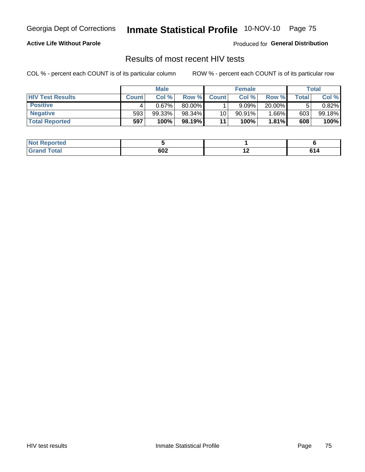Georgia Dept of Corrections

# Inmate Statistical Profile 10-NOV-10 Page 75

### **Active Life Without Parole**

Produced for General Distribution

## Results of most recent HIV tests

COL % - percent each COUNT is of its particular column

|                         | <b>Male</b>  |        |        | <b>Female</b> |           |        | Total |        |
|-------------------------|--------------|--------|--------|---------------|-----------|--------|-------|--------|
| <b>HIV Test Results</b> | <b>Count</b> | Col%   | Row %I | <b>Count</b>  | Col %     | Row %  | Total | Col %  |
| <b>Positive</b>         |              | 0.67%  | 80.00% |               | 9.09%     | 20.00% |       | 0.82%  |
| <b>Negative</b>         | 593          | 99.33% | 98.34% | 10            | $90.91\%$ | 1.66%  | 603   | 99.18% |
| <b>Total Reported</b>   | 597          | 100%   | 98.19% | 11            | 100%      | 1.81%  | 608   | 100%   |

| <b>Not Reported</b> |     |                          |     |
|---------------------|-----|--------------------------|-----|
| <b>Total</b>        | 602 | $\overline{\phantom{0}}$ | . . |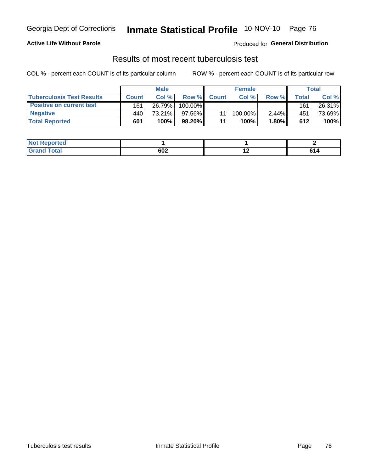### **Active Life Without Parole**

Produced for General Distribution

## Results of most recent tuberculosis test

COL % - percent each COUNT is of its particular column

|                                  | <b>Male</b>  |        |           | <b>Female</b> |         |       | Total |        |
|----------------------------------|--------------|--------|-----------|---------------|---------|-------|-------|--------|
| <b>Tuberculosis Test Results</b> | <b>Count</b> | Col%   | Row %     | <b>Count</b>  | Col %   | Row % | Total | Col %  |
| <b>Positive on current test</b>  | 161          | 26.79% | 100.00%   |               |         |       | 161   | 26.31% |
| <b>Negative</b>                  | 440          | 73.21% | $97.56\%$ |               | 100.00% | 2.44% | 451   | 73.69% |
| <b>Total Reported</b>            | 601          | 100%   | 98.20%    | 11            | 100%    | 1.80% | 612   | 100%   |

| <b>Not Reported</b> |     |     |         |
|---------------------|-----|-----|---------|
| <b>Total</b>        | 602 | . . | cа<br>. |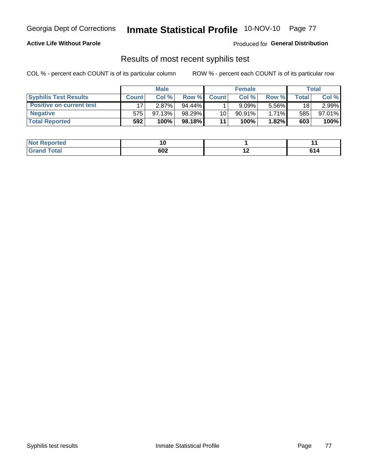### **Active Life Without Parole**

Produced for General Distribution

### Results of most recent syphilis test

COL % - percent each COUNT is of its particular column

|                                 | <b>Male</b>  |        |         | <b>Female</b> |           |          | Total |        |
|---------------------------------|--------------|--------|---------|---------------|-----------|----------|-------|--------|
| <b>Syphilis Test Results</b>    | <b>Count</b> | Col %  | Row %   | <b>Count</b>  | Col %     | Row %I   | Total | Col %  |
| <b>Positive on current test</b> |              | 2.87%  | 94.44%  |               | 9.09%     | 5.56%    | 18    | 2.99%  |
| <b>Negative</b>                 | 575          | 97.13% | 98.29%  | 10            | $90.91\%$ | $1.71\%$ | 585   | 97.01% |
| <b>Total Reported</b>           | 592          | 100%   | 98.18%I | 11            | 100%      | 1.82%    | 603   | 100%   |

| <b>Not Reported</b> |     |     |                                                             |
|---------------------|-----|-----|-------------------------------------------------------------|
| <b>Total</b>        | 602 | . . | cа<br>.<br>$\sim$ $\sim$ $\sim$ $\sim$ $\sim$ $\sim$ $\sim$ |